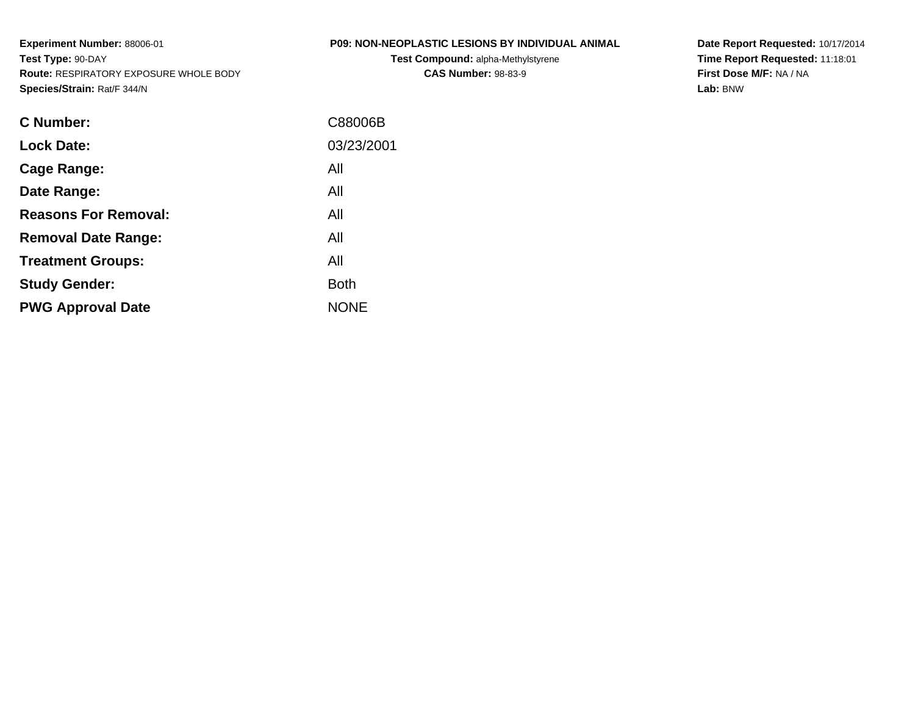**Experiment Number:** 88006-01**Test Type:** 90-DAY **Route:** RESPIRATORY EXPOSURE WHOLE BODY**Species/Strain:** Rat/F 344/N

# **P09: NON-NEOPLASTIC LESIONS BY INDIVIDUAL ANIMAL**

**Test Compound:** alpha-Methylstyrene**CAS Number:** 98-83-9

**Date Report Requested:** 10/17/2014 **Time Report Requested:** 11:18:01**First Dose M/F:** NA / NA**Lab:** BNW

| <b>C</b> Number:            | C88006B     |
|-----------------------------|-------------|
| <b>Lock Date:</b>           | 03/23/2001  |
| Cage Range:                 | All         |
| Date Range:                 | All         |
| <b>Reasons For Removal:</b> | All         |
| <b>Removal Date Range:</b>  | All         |
| <b>Treatment Groups:</b>    | All         |
| <b>Study Gender:</b>        | <b>Both</b> |
| <b>PWG Approval Date</b>    | <b>NONE</b> |
|                             |             |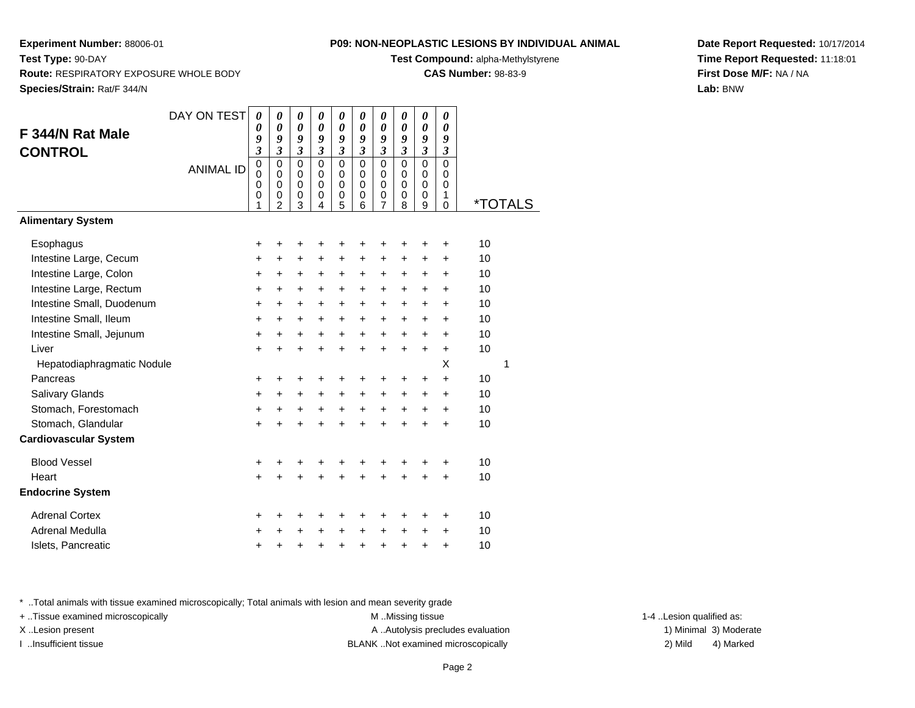**Test Compound:** alpha-Methylstyrene

**CAS Number:** 98-83-9

**Date Report Requested:** 10/17/2014**Time Report Requested:** 11:18:01**First Dose M/F:** NA / NA**Lab:** BNW

**Experiment Number:** 88006-01

|                              | DAY ON TEST      | 0                            | 0                            | 0                            | 0                            | 0                            | 0                          | 0                            | 0                     | 0                          | 0                     |                       |
|------------------------------|------------------|------------------------------|------------------------------|------------------------------|------------------------------|------------------------------|----------------------------|------------------------------|-----------------------|----------------------------|-----------------------|-----------------------|
| F 344/N Rat Male             |                  | $\boldsymbol{\theta}$        | $\boldsymbol{\theta}$        | $\boldsymbol{\theta}$        | $\boldsymbol{\theta}$        | $\boldsymbol{\theta}$        | $\boldsymbol{\theta}$      | $\boldsymbol{\theta}$        | $\boldsymbol{\theta}$ | $\boldsymbol{\theta}$      | $\boldsymbol{\theta}$ |                       |
| <b>CONTROL</b>               |                  | 9<br>$\overline{\mathbf{3}}$ | 9<br>$\overline{\mathbf{3}}$ | 9<br>$\overline{\mathbf{3}}$ | 9<br>$\overline{\mathbf{3}}$ | 9<br>$\overline{\mathbf{3}}$ | 9<br>$\mathfrak{z}$        | 9<br>$\overline{\mathbf{3}}$ | 9<br>$\mathfrak{z}$   | 9<br>$\mathfrak{z}$        | 9<br>$\mathfrak{z}$   |                       |
|                              |                  | $\pmb{0}$                    | $\mathbf 0$                  | $\overline{0}$               | $\mathbf 0$                  | $\mathbf 0$                  | $\mathbf 0$                | $\mathsf 0$                  | $\mathbf 0$           | $\mathbf 0$                | $\mathbf 0$           |                       |
|                              | <b>ANIMAL ID</b> | $\mathbf 0$                  | $\pmb{0}$                    | $\mathbf 0$                  | $\mathbf 0$                  | 0                            | 0                          | $\mathbf 0$                  | 0                     | $\mathbf 0$                | $\Omega$              |                       |
|                              |                  | $\mathbf 0$<br>$\mathbf 0$   | $\mathbf 0$<br>$\pmb{0}$     | $\mathbf 0$<br>$\pmb{0}$     | $\mathbf 0$<br>$\mathbf 0$   | $\mathbf 0$<br>$\pmb{0}$     | $\mathbf 0$<br>$\mathbf 0$ | $\mathbf 0$<br>$\mathbf 0$   | 0<br>$\mathbf 0$      | $\mathbf 0$<br>$\mathbf 0$ | $\mathbf 0$<br>1      |                       |
|                              |                  | 1                            | $\overline{c}$               | 3                            | 4                            | 5                            | 6                          | $\overline{7}$               | 8                     | 9                          | $\mathbf 0$           | <i><b>*TOTALS</b></i> |
| <b>Alimentary System</b>     |                  |                              |                              |                              |                              |                              |                            |                              |                       |                            |                       |                       |
| Esophagus                    |                  | +                            | +                            | +                            | +                            | +                            | +                          | +                            |                       | +                          | ٠                     | 10                    |
| Intestine Large, Cecum       |                  | +                            | +                            | $\ddot{}$                    | $\ddot{}$                    | $\ddot{}$                    | $\ddot{}$                  | $\ddot{}$                    | $\ddot{}$             | $\ddot{}$                  | $\ddot{}$             | 10                    |
| Intestine Large, Colon       |                  | +                            | +                            | +                            | +                            | +                            | $\ddot{}$                  | $\ddot{}$                    | +                     | +                          | +                     | 10                    |
| Intestine Large, Rectum      |                  | +                            | +                            | $\ddot{}$                    | +                            | +                            | $\ddot{}$                  | $\ddot{}$                    | $\ddot{}$             | $\ddot{}$                  | +                     | 10                    |
| Intestine Small, Duodenum    |                  | $\ddot{}$                    | $\ddot{}$                    | $\ddot{}$                    | $\ddot{}$                    | $\ddot{}$                    | $\ddot{}$                  | $\ddot{}$                    | $\ddot{}$             | $\ddot{}$                  | $\ddot{}$             | 10                    |
| Intestine Small, Ileum       |                  | $\ddot{}$                    | $\ddot{}$                    | $\ddot{}$                    | $\ddot{}$                    | $\ddot{}$                    | $\ddot{}$                  | $\ddot{}$                    | $\ddot{}$             | $\ddot{}$                  | $\ddot{}$             | 10                    |
| Intestine Small, Jejunum     |                  | $\ddot{}$                    | $\ddot{}$                    | $+$                          | $+$                          | $+$                          | $\ddot{}$                  | $\ddot{}$                    | $\ddot{}$             | $+$                        | $\ddot{}$             | 10                    |
| Liver                        |                  | $\ddot{}$                    | $\ddot{}$                    | $\ddot{}$                    | $\ddot{}$                    | $\ddot{}$                    | $\ddot{}$                  | $\ddot{}$                    | $\ddot{}$             | $\ddot{}$                  | $\ddot{}$             | 10                    |
| Hepatodiaphragmatic Nodule   |                  |                              |                              |                              |                              |                              |                            |                              |                       |                            | X                     | 1                     |
| Pancreas                     |                  | $\ddot{}$                    | $\ddot{}$                    | +                            | +                            | +                            | +                          | +                            | +                     | +                          | $\ddot{}$             | 10                    |
| Salivary Glands              |                  | +                            | +                            | $\ddot{}$                    | $\ddot{}$                    | $\ddot{}$                    | $\ddot{}$                  | $\ddot{}$                    | $\ddot{}$             | $\ddot{}$                  | $\ddot{}$             | 10                    |
| Stomach, Forestomach         |                  | $\ddot{}$                    | $\ddot{}$                    | $\ddot{}$                    | $\ddot{}$                    | $\ddot{}$                    | $\ddot{}$                  | $\ddot{}$                    | $\ddot{}$             | $\ddot{}$                  | $\ddot{}$             | 10                    |
| Stomach, Glandular           |                  | $\ddot{}$                    | $\ddot{}$                    | $\ddot{}$                    | $\ddot{}$                    | $\ddot{}$                    | $\ddot{}$                  | $\ddot{}$                    | $\ddot{}$             | $\ddot{}$                  | $\ddot{}$             | 10                    |
| <b>Cardiovascular System</b> |                  |                              |                              |                              |                              |                              |                            |                              |                       |                            |                       |                       |
| <b>Blood Vessel</b>          |                  | +                            | +                            | +                            | +                            | +                            | +                          | +                            |                       |                            | ٠                     | 10                    |
| Heart                        |                  | $\ddot{}$                    | $\ddot{}$                    | $\ddot{}$                    | $\ddot{}$                    | $\ddot{}$                    | $\ddot{}$                  | $\ddot{}$                    | $\ddot{}$             | $\ddot{}$                  | $\ddot{}$             | 10                    |
| <b>Endocrine System</b>      |                  |                              |                              |                              |                              |                              |                            |                              |                       |                            |                       |                       |
| <b>Adrenal Cortex</b>        |                  | +                            | +                            | +                            | +                            | +                            | +                          | +                            | +                     | +                          | +                     | 10                    |
| Adrenal Medulla              |                  | ٠                            | +                            | +                            | +                            | +                            | $\ddot{}$                  | +                            | +                     | +                          | $\ddot{}$             | 10                    |
| Islets, Pancreatic           |                  | +                            | +                            | +                            | +                            | $\ddot{}$                    | $\ddot{}$                  | $\ddot{}$                    | $\ddot{}$             | $\ddot{}$                  | $\ddot{}$             | 10                    |

\* ..Total animals with tissue examined microscopically; Total animals with lesion and mean severity grade

+ ..Tissue examined microscopically M ...Missing tissue 1-4 ... M ...Missing tissue

X..Lesion present **A ..Autolysis precludes evaluation** A ..Autolysis precludes evaluation 1) Minimal 3) Moderate I ..Insufficient tissue BLANK ..Not examined microscopically 2) Mild 4) Marked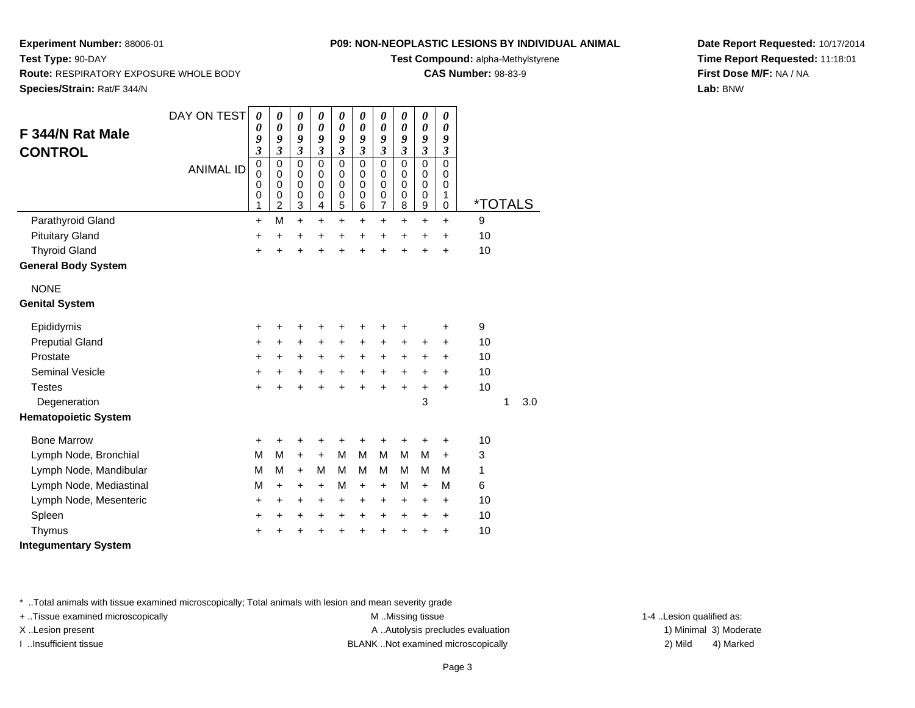**Test Compound:** alpha-Methylstyrene

**CAS Number:** 98-83-9

**Date Report Requested:** 10/17/2014**Time Report Requested:** 11:18:01**First Dose M/F:** NA / NA**Lab:** BNW

**Experiment Number:** 88006-01**Test Type:** 90-DAY **Route:** RESPIRATORY EXPOSURE WHOLE BODY**Species/Strain:** Rat/F 344/N

| F 344/N Rat Male<br><b>CONTROL</b> | DAY ON TEST<br><b>ANIMAL ID</b> | 0<br>0<br>9<br>$\overline{\mathbf{3}}$<br>$\mathbf 0$<br>0<br>0<br>0<br>1 | 0<br>0<br>9<br>$\overline{\mathbf{3}}$<br>$\mathbf 0$<br>$\mathbf 0$<br>0<br>0<br>$\overline{2}$ | 0<br>0<br>9<br>$\mathfrak{z}$<br>$\mathbf 0$<br>$\mathbf 0$<br>0<br>$\mathbf 0$<br>3 | 0<br>$\boldsymbol{\theta}$<br>9<br>$\mathfrak{z}$<br>$\mathbf 0$<br>0<br>0<br>$\pmb{0}$<br>$\overline{4}$ | 0<br>0<br>9<br>$\overline{\mathbf{3}}$<br>$\mathbf 0$<br>$\mathbf 0$<br>0<br>$\mathbf 0$<br>5 | 0<br>0<br>9<br>3<br>0<br>0<br>0<br>0<br>6 | 0<br>0<br>9<br>3<br>0<br>$\mathbf 0$<br>0<br>0<br>7 | 0<br>$\boldsymbol{\theta}$<br>9<br>$\mathfrak{z}$<br>$\Omega$<br>0<br>$\Omega$<br>$\mathbf 0$<br>8 | 0<br>0<br>9<br>$\mathfrak{z}$<br>$\mathbf 0$<br>$\mathbf 0$<br>$\mathbf 0$<br>$\mathbf 0$<br>$\mathsf g$ | 0<br>$\boldsymbol{\theta}$<br>9<br>$\boldsymbol{\beta}$<br>$\mathbf 0$<br>0<br>0<br>1<br>$\mathbf 0$ | <i><b>*TOTALS</b></i> |   |     |
|------------------------------------|---------------------------------|---------------------------------------------------------------------------|--------------------------------------------------------------------------------------------------|--------------------------------------------------------------------------------------|-----------------------------------------------------------------------------------------------------------|-----------------------------------------------------------------------------------------------|-------------------------------------------|-----------------------------------------------------|----------------------------------------------------------------------------------------------------|----------------------------------------------------------------------------------------------------------|------------------------------------------------------------------------------------------------------|-----------------------|---|-----|
| Parathyroid Gland                  |                                 | +                                                                         | M                                                                                                | $\ddot{}$                                                                            | $\ddot{}$                                                                                                 | $\ddot{}$                                                                                     | $\pm$                                     | +                                                   | $\ddot{}$                                                                                          | $\ddot{}$                                                                                                | $\ddot{}$                                                                                            | 9                     |   |     |
| <b>Pituitary Gland</b>             |                                 | $\ddot{}$                                                                 | $\ddot{}$                                                                                        | $\ddot{}$                                                                            | $\ddot{}$                                                                                                 | $\ddot{}$                                                                                     | $\ddot{}$                                 | $\ddot{}$                                           | $\ddot{}$                                                                                          | $\ddot{}$                                                                                                | $\ddot{}$                                                                                            | 10                    |   |     |
| <b>Thyroid Gland</b>               |                                 | $\ddot{}$                                                                 | $\ddot{}$                                                                                        | $\ddot{}$                                                                            | $\ddot{}$                                                                                                 | $\ddot{}$                                                                                     | $\ddot{}$                                 | $\ddot{}$                                           | $\ddot{}$                                                                                          | $\ddot{}$                                                                                                | $\ddot{}$                                                                                            | 10                    |   |     |
| <b>General Body System</b>         |                                 |                                                                           |                                                                                                  |                                                                                      |                                                                                                           |                                                                                               |                                           |                                                     |                                                                                                    |                                                                                                          |                                                                                                      |                       |   |     |
| <b>NONE</b>                        |                                 |                                                                           |                                                                                                  |                                                                                      |                                                                                                           |                                                                                               |                                           |                                                     |                                                                                                    |                                                                                                          |                                                                                                      |                       |   |     |
| <b>Genital System</b>              |                                 |                                                                           |                                                                                                  |                                                                                      |                                                                                                           |                                                                                               |                                           |                                                     |                                                                                                    |                                                                                                          |                                                                                                      |                       |   |     |
| Epididymis                         |                                 | +                                                                         | +                                                                                                | +                                                                                    | +                                                                                                         | +                                                                                             | +                                         | +                                                   | +                                                                                                  |                                                                                                          | +                                                                                                    | 9                     |   |     |
| <b>Preputial Gland</b>             |                                 | $\ddot{}$                                                                 | $\ddot{}$                                                                                        | +                                                                                    | $\ddot{}$                                                                                                 | +                                                                                             | $\ddot{}$                                 | $\ddot{}$                                           | $\ddot{}$                                                                                          | $\ddot{}$                                                                                                | $\ddot{}$                                                                                            | 10                    |   |     |
| Prostate                           |                                 | $\ddot{}$                                                                 | +                                                                                                | $\pm$                                                                                | $\ddot{}$                                                                                                 | $\ddot{}$                                                                                     | $\ddot{}$                                 | $\pm$                                               | $\ddot{}$                                                                                          | +                                                                                                        | $\ddot{}$                                                                                            | 10                    |   |     |
| <b>Seminal Vesicle</b>             |                                 | +                                                                         | +                                                                                                | +                                                                                    | $\ddot{}$                                                                                                 | $\ddot{}$                                                                                     | $\ddot{}$                                 | $\ddot{}$                                           | $\ddot{}$                                                                                          | +                                                                                                        | $\ddot{}$                                                                                            | 10                    |   |     |
| <b>Testes</b>                      |                                 | $\ddot{}$                                                                 | $\ddot{}$                                                                                        | $\ddot{}$                                                                            | $\ddot{}$                                                                                                 | $\ddot{}$                                                                                     | ÷                                         | $\ddot{}$                                           | $\ddot{}$                                                                                          | $\ddot{}$                                                                                                | $\ddot{}$                                                                                            | 10                    |   |     |
| Degeneration                       |                                 |                                                                           |                                                                                                  |                                                                                      |                                                                                                           |                                                                                               |                                           |                                                     |                                                                                                    | 3                                                                                                        |                                                                                                      |                       | 1 | 3.0 |
| <b>Hematopoietic System</b>        |                                 |                                                                           |                                                                                                  |                                                                                      |                                                                                                           |                                                                                               |                                           |                                                     |                                                                                                    |                                                                                                          |                                                                                                      |                       |   |     |
| <b>Bone Marrow</b>                 |                                 | +                                                                         | +                                                                                                | +                                                                                    |                                                                                                           |                                                                                               |                                           |                                                     | +                                                                                                  | ٠                                                                                                        | ٠                                                                                                    | 10                    |   |     |
| Lymph Node, Bronchial              |                                 | M                                                                         | M                                                                                                | $\ddot{}$                                                                            | $+$                                                                                                       | M                                                                                             | M                                         | M                                                   | M                                                                                                  | M                                                                                                        | $\ddot{}$                                                                                            | 3                     |   |     |
| Lymph Node, Mandibular             |                                 | M                                                                         | М                                                                                                | $\ddot{}$                                                                            | м                                                                                                         | M                                                                                             | м                                         | м                                                   | M                                                                                                  | M                                                                                                        | M                                                                                                    | 1                     |   |     |
| Lymph Node, Mediastinal            |                                 | M                                                                         | $\ddot{}$                                                                                        | +                                                                                    | $\ddot{}$                                                                                                 | M                                                                                             | $\ddot{}$                                 | +                                                   | М                                                                                                  | $\ddot{}$                                                                                                | М                                                                                                    | 6                     |   |     |
| Lymph Node, Mesenteric             |                                 | +                                                                         | $\ddot{}$                                                                                        | +                                                                                    | $\ddot{}$                                                                                                 | +                                                                                             | +                                         | +                                                   | +                                                                                                  | +                                                                                                        | $\ddot{}$                                                                                            | 10                    |   |     |
| Spleen                             |                                 | +                                                                         | +                                                                                                | +                                                                                    | +                                                                                                         | $\pm$                                                                                         | +                                         | +                                                   | +                                                                                                  | +                                                                                                        | $\pm$                                                                                                | 10                    |   |     |
| Thymus                             |                                 | +                                                                         | +                                                                                                | +                                                                                    | +                                                                                                         | +                                                                                             | +                                         | +                                                   | +                                                                                                  | +                                                                                                        | +                                                                                                    | 10                    |   |     |

**Integumentary System**

\* ..Total animals with tissue examined microscopically; Total animals with lesion and mean severity grade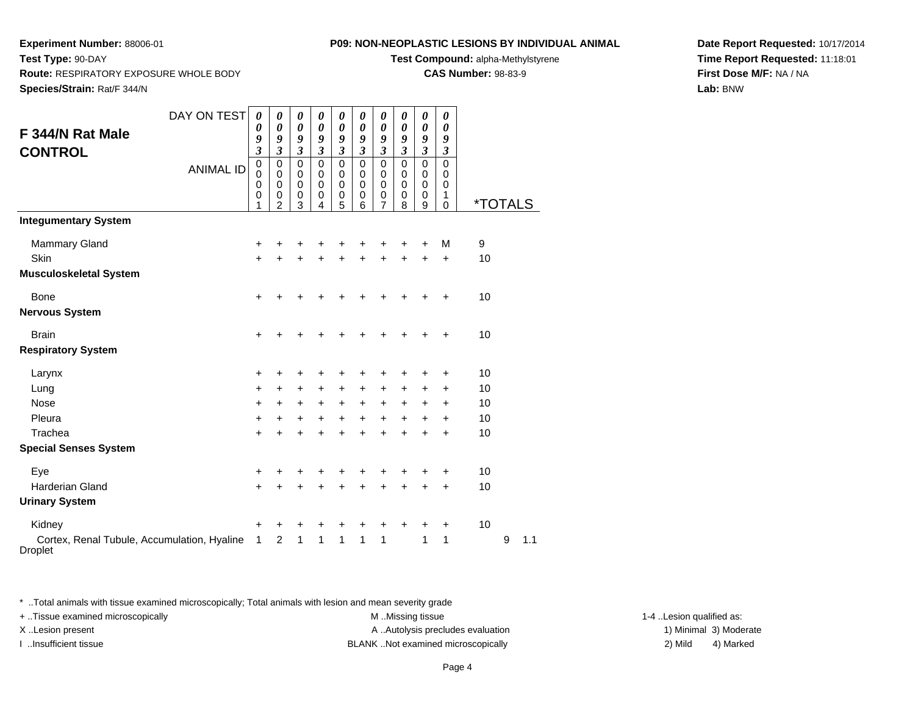**Test Compound:** alpha-Methylstyrene

**CAS Number:** 98-83-9

**Date Report Requested:** 10/17/2014**Time Report Requested:** 11:18:01**First Dose M/F:** NA / NA**Lab:** BNW

| F 344/N Rat Male<br><b>CONTROL</b>                            | DAY ON TEST<br><b>ANIMAL ID</b> | $\boldsymbol{\theta}$<br>0<br>9<br>$\boldsymbol{\beta}$<br>$\mathbf 0$<br>$\mathbf 0$<br>0<br>0 | 0<br>$\boldsymbol{\theta}$<br>9<br>$\mathfrak{z}$<br>$\mathbf 0$<br>$\pmb{0}$<br>$\mathbf 0$<br>0 | $\boldsymbol{\theta}$<br>$\boldsymbol{\theta}$<br>9<br>$\boldsymbol{\beta}$<br>$\Omega$<br>$\mathbf 0$<br>0<br>$\mathbf 0$ | 0<br>$\boldsymbol{\theta}$<br>9<br>$\mathfrak{z}$<br>$\mathbf 0$<br>$\mathbf 0$<br>0<br>0 | 0<br>$\boldsymbol{\theta}$<br>9<br>$\mathfrak{z}$<br>$\mathbf 0$<br>$\mathbf 0$<br>$\mathbf 0$<br>$\mathbf 0$ | 0<br>0<br>9<br>$\mathfrak{z}$<br>$\mathbf 0$<br>$\pmb{0}$<br>0<br>0 | 0<br>0<br>9<br>$\mathfrak{z}$<br>$\mathbf 0$<br>$\pmb{0}$<br>0<br>$\boldsymbol{0}$ | 0<br>0<br>9<br>$\boldsymbol{\mathfrak{z}}$<br>$\mathbf 0$<br>$\mathbf 0$<br>0<br>0 | 0<br>$\boldsymbol{\theta}$<br>9<br>$\mathfrak{z}$<br>$\overline{0}$<br>$\pmb{0}$<br>$\pmb{0}$<br>$\pmb{0}$ | 0<br>0<br>9<br>$\boldsymbol{\beta}$<br>$\overline{0}$<br>$\mathbf 0$<br>0<br>1 |         |   |     |
|---------------------------------------------------------------|---------------------------------|-------------------------------------------------------------------------------------------------|---------------------------------------------------------------------------------------------------|----------------------------------------------------------------------------------------------------------------------------|-------------------------------------------------------------------------------------------|---------------------------------------------------------------------------------------------------------------|---------------------------------------------------------------------|------------------------------------------------------------------------------------|------------------------------------------------------------------------------------|------------------------------------------------------------------------------------------------------------|--------------------------------------------------------------------------------|---------|---|-----|
|                                                               |                                 | 1                                                                                               | $\overline{2}$                                                                                    | 3                                                                                                                          | 4                                                                                         | 5                                                                                                             | 6                                                                   | $\overline{7}$                                                                     | 8                                                                                  | 9                                                                                                          | $\Omega$                                                                       | *TOTALS |   |     |
| <b>Integumentary System</b>                                   |                                 |                                                                                                 |                                                                                                   |                                                                                                                            |                                                                                           |                                                                                                               |                                                                     |                                                                                    |                                                                                    |                                                                                                            |                                                                                |         |   |     |
| <b>Mammary Gland</b>                                          |                                 | +                                                                                               | +                                                                                                 | +                                                                                                                          | +                                                                                         | +                                                                                                             | +                                                                   | +                                                                                  | +                                                                                  | +                                                                                                          | М                                                                              | 9       |   |     |
| Skin                                                          |                                 | $\ddot{}$                                                                                       | $\ddot{}$                                                                                         | $\ddot{}$                                                                                                                  | $\ddot{}$                                                                                 | $\ddot{}$                                                                                                     | Ŧ.                                                                  | $\ddot{}$                                                                          | $\ddot{}$                                                                          | $\ddot{}$                                                                                                  | $\ddot{}$                                                                      | 10      |   |     |
| <b>Musculoskeletal System</b>                                 |                                 |                                                                                                 |                                                                                                   |                                                                                                                            |                                                                                           |                                                                                                               |                                                                     |                                                                                    |                                                                                    |                                                                                                            |                                                                                |         |   |     |
| <b>Bone</b>                                                   |                                 | +                                                                                               | +                                                                                                 | +                                                                                                                          |                                                                                           |                                                                                                               | +                                                                   | +                                                                                  | +                                                                                  | +                                                                                                          | +                                                                              | 10      |   |     |
| <b>Nervous System</b>                                         |                                 |                                                                                                 |                                                                                                   |                                                                                                                            |                                                                                           |                                                                                                               |                                                                     |                                                                                    |                                                                                    |                                                                                                            |                                                                                |         |   |     |
| <b>Brain</b>                                                  |                                 | +                                                                                               | +                                                                                                 | +                                                                                                                          | +                                                                                         | ٠                                                                                                             | +                                                                   | +                                                                                  | +                                                                                  | ÷                                                                                                          | $\ddot{}$                                                                      | 10      |   |     |
| <b>Respiratory System</b>                                     |                                 |                                                                                                 |                                                                                                   |                                                                                                                            |                                                                                           |                                                                                                               |                                                                     |                                                                                    |                                                                                    |                                                                                                            |                                                                                |         |   |     |
| Larynx                                                        |                                 | +                                                                                               | ٠                                                                                                 | +                                                                                                                          |                                                                                           | ٠                                                                                                             | +                                                                   | +                                                                                  | +                                                                                  | ٠                                                                                                          | $\ddot{}$                                                                      | 10      |   |     |
| Lung                                                          |                                 | +                                                                                               | +                                                                                                 | $\ddot{}$                                                                                                                  | $\ddot{}$                                                                                 | $\ddot{}$                                                                                                     | +                                                                   | $\ddot{}$                                                                          | +                                                                                  | +                                                                                                          | $\ddot{}$                                                                      | 10      |   |     |
| Nose                                                          |                                 | +                                                                                               | $\ddot{}$                                                                                         | $\ddot{}$                                                                                                                  | $\ddot{}$                                                                                 | $\ddot{}$                                                                                                     | +                                                                   | $\ddot{}$                                                                          | +                                                                                  | +                                                                                                          | $\ddot{}$                                                                      | 10      |   |     |
| Pleura                                                        |                                 | +                                                                                               | $\ddot{}$                                                                                         | +                                                                                                                          | $\ddot{}$                                                                                 | $\ddot{}$                                                                                                     | $\ddot{}$                                                           | $\ddot{}$                                                                          | $\ddot{}$                                                                          | +                                                                                                          | $\ddot{}$                                                                      | 10      |   |     |
| Trachea                                                       |                                 | +                                                                                               | +                                                                                                 | +                                                                                                                          | +                                                                                         | +                                                                                                             | $\ddot{}$                                                           | $\ddot{}$                                                                          | $\ddot{}$                                                                          | $\ddot{}$                                                                                                  | $\ddot{}$                                                                      | 10      |   |     |
| <b>Special Senses System</b>                                  |                                 |                                                                                                 |                                                                                                   |                                                                                                                            |                                                                                           |                                                                                                               |                                                                     |                                                                                    |                                                                                    |                                                                                                            |                                                                                |         |   |     |
| Eye                                                           |                                 | +                                                                                               | +                                                                                                 | +                                                                                                                          | +                                                                                         | +                                                                                                             | +                                                                   | +                                                                                  | +                                                                                  | +                                                                                                          | +                                                                              | 10      |   |     |
| <b>Harderian Gland</b>                                        |                                 | +                                                                                               | +                                                                                                 | $\ddot{}$                                                                                                                  | +                                                                                         | $\ddot{}$                                                                                                     | $\ddot{}$                                                           | $\ddot{}$                                                                          | $\ddot{}$                                                                          | $\ddot{}$                                                                                                  | $\ddot{}$                                                                      | 10      |   |     |
| <b>Urinary System</b>                                         |                                 |                                                                                                 |                                                                                                   |                                                                                                                            |                                                                                           |                                                                                                               |                                                                     |                                                                                    |                                                                                    |                                                                                                            |                                                                                |         |   |     |
| Kidney                                                        |                                 | +                                                                                               | +                                                                                                 | +                                                                                                                          |                                                                                           |                                                                                                               |                                                                     | +                                                                                  | +                                                                                  | +                                                                                                          | +                                                                              | 10      |   |     |
| Cortex, Renal Tubule, Accumulation, Hyaline<br><b>Droplet</b> |                                 | 1                                                                                               | $\overline{c}$                                                                                    | 1                                                                                                                          | 1                                                                                         | $\mathbf{1}$                                                                                                  | 1                                                                   | 1                                                                                  |                                                                                    | $\mathbf{1}$                                                                                               | 1                                                                              |         | 9 | 1.1 |

\* ..Total animals with tissue examined microscopically; Total animals with lesion and mean severity grade

+ ..Tissue examined microscopically M ...Missing tissue 1-4 ... M ...Missing tissue

X..Lesion present **A ..Autolysis precludes evaluation** A ..Autolysis precludes evaluation 1) Minimal 3) Moderate I ..Insufficient tissue BLANK ..Not examined microscopically 2) Mild 4) Marked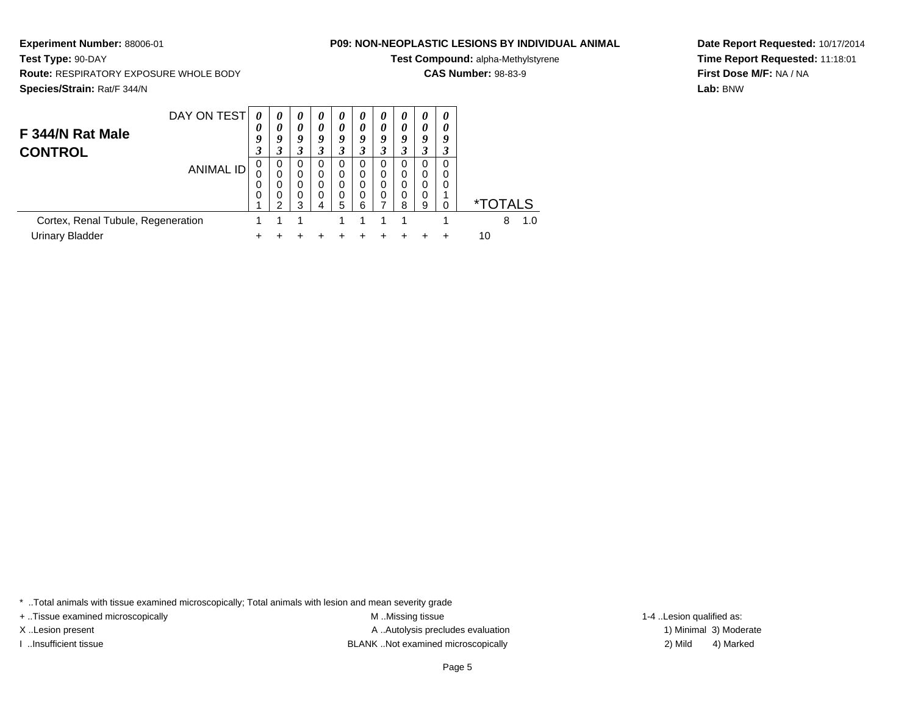**Test Compound:** alpha-Methylstyrene

**CAS Number:** 98-83-9

**Species/Strain:** Rat/F 344/N

**Test Type:** 90-DAY

**Experiment Number:** 88006-01

**Route:** RESPIRATORY EXPOSURE WHOLE BODY

| DAY ON TEST                        | $\boldsymbol{\theta}$<br>0 | 0<br>0      | 0<br>0        | $\boldsymbol{\theta}$<br>0 | $\theta$<br>0 | $\boldsymbol{\theta}$<br>0 | $\theta$<br>$\theta$ | $\boldsymbol{\theta}$<br>0 | $\boldsymbol{\theta}$<br>$\boldsymbol{\theta}$ | 0<br>0 |                       |
|------------------------------------|----------------------------|-------------|---------------|----------------------------|---------------|----------------------------|----------------------|----------------------------|------------------------------------------------|--------|-----------------------|
| F 344/N Rat Male<br><b>CONTROL</b> | 9<br>3                     | Q           | 9<br>3        | 9<br>3                     | 9<br>3        | 9                          | 9                    | 9                          | 9                                              | q      |                       |
| <b>ANIMAL ID</b>                   | 0<br>0                     | 0<br>0<br>0 | 0<br>0<br>0   | 0<br>0<br>0                | 0<br>0<br>0   | O                          | 0<br>0               |                            |                                                | 0      |                       |
|                                    | 0                          | 0<br>ົ      | $\Omega$<br>っ | 0                          | 0<br>5        | 0                          | 0                    | я                          | 0<br>9                                         |        | <i><b>*TOTALS</b></i> |
| Cortex, Renal Tubule, Regeneration |                            |             |               |                            |               |                            |                      |                            |                                                |        | 8<br>1.0              |
| <b>Urinary Bladder</b>             |                            |             |               |                            |               |                            |                      |                            |                                                |        | 10                    |

**Date Report Requested:** 10/17/2014**Time Report Requested:** 11:18:01**First Dose M/F:** NA / NA**Lab:** BNW

\* ..Total animals with tissue examined microscopically; Total animals with lesion and mean severity grade

+ ..Tissue examined microscopically M ...Missing tissue 1-4 ... M ...Missing tissue

X..Lesion present **A ..Autolysis precludes evaluation** A ..Autolysis precludes evaluation 1) Minimal 3) Moderate I ..Insufficient tissue BLANK ..Not examined microscopically 2) Mild 4) Marked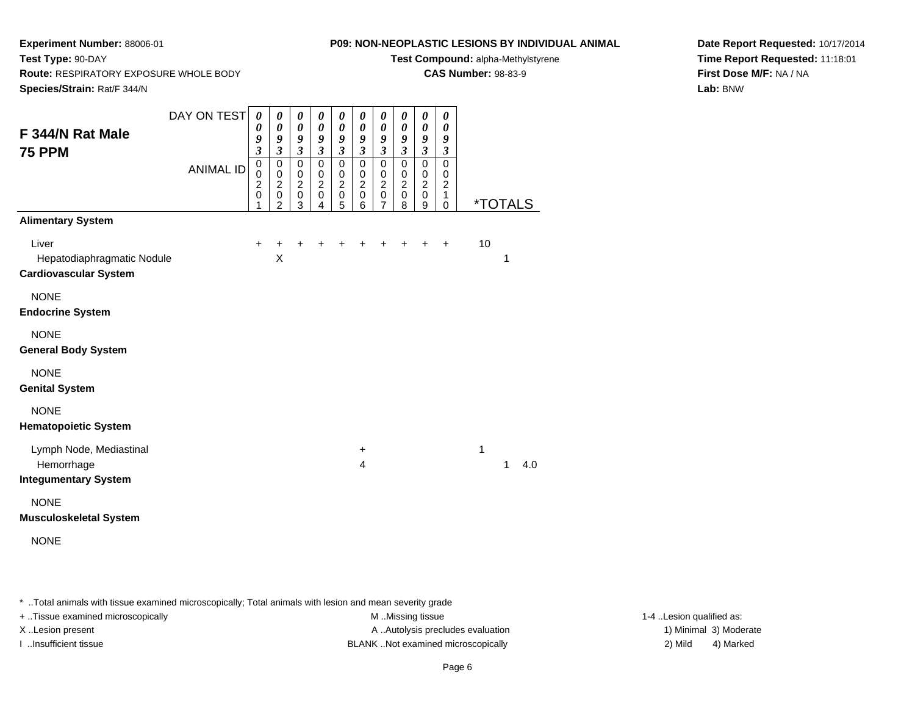**Route:** RESPIRATORY EXPOSURE WHOLE BODY

## **P09: NON-NEOPLASTIC LESIONS BY INDIVIDUAL ANIMAL**

**Test Compound:** alpha-Methylstyrene

**CAS Number:** 98-83-9

**Species/Strain:** Rat/F 344/N

**Test Type:** 90-DAY

**Date Report Requested:** 10/17/2014**Time Report Requested:** 11:18:01**First Dose M/F:** NA / NA**Lab:** BNW

| F 344/N Rat Male<br><b>75 PPM</b>                                                               | DAY ON TEST<br><b>ANIMAL ID</b> | 0<br>0<br>9<br>$\overline{\mathbf{3}}$<br>$\mathbf 0$<br>$\mathbf 0$<br>$\overline{c}$<br>$\mathbf 0$<br>1 | 0<br>$\boldsymbol{\theta}$<br>9<br>$\mathfrak{z}$<br>$\pmb{0}$<br>$\pmb{0}$<br>$\boldsymbol{2}$<br>$\mathbf 0$<br>$\overline{2}$ | 0<br>$\boldsymbol{\theta}$<br>9<br>$\mathfrak{z}$<br>$\pmb{0}$<br>$\pmb{0}$<br>$\boldsymbol{2}$<br>$\pmb{0}$<br>3 | 0<br>$\boldsymbol{\theta}$<br>9<br>$\mathfrak{z}$<br>$\mathbf 0$<br>$\pmb{0}$<br>$\sqrt{2}$<br>$\pmb{0}$<br>4 | 0<br>$\boldsymbol{\theta}$<br>9<br>$\mathfrak{z}$<br>$\mathbf 0$<br>$\pmb{0}$<br>$\boldsymbol{2}$<br>$\pmb{0}$<br>5 | 0<br>$\boldsymbol{\theta}$<br>9<br>$\mathfrak{z}$<br>$\mathbf 0$<br>$\pmb{0}$<br>$\boldsymbol{2}$<br>0<br>6 | 0<br>$\pmb{\theta}$<br>9<br>$\overline{\mathbf{3}}$<br>$\pmb{0}$<br>$\pmb{0}$<br>$\overline{c}$<br>$\mathbf 0$<br>$\overline{7}$ | 0<br>$\boldsymbol{\theta}$<br>9<br>$\mathfrak{z}$<br>$\mathbf 0$<br>$\pmb{0}$<br>$\overline{c}$<br>$\pmb{0}$<br>8 | 0<br>$\boldsymbol{\theta}$<br>9<br>$\mathfrak{z}$<br>$\mathbf 0$<br>$\mathbf 0$<br>$\boldsymbol{2}$<br>$\mathbf 0$<br>9 | 0<br>0<br>9<br>$\mathfrak{z}$<br>$\mathbf 0$<br>$\mathbf 0$<br>$\overline{c}$<br>1<br>$\mathbf 0$ | <i><b>*TOTALS</b></i> |
|-------------------------------------------------------------------------------------------------|---------------------------------|------------------------------------------------------------------------------------------------------------|----------------------------------------------------------------------------------------------------------------------------------|-------------------------------------------------------------------------------------------------------------------|---------------------------------------------------------------------------------------------------------------|---------------------------------------------------------------------------------------------------------------------|-------------------------------------------------------------------------------------------------------------|----------------------------------------------------------------------------------------------------------------------------------|-------------------------------------------------------------------------------------------------------------------|-------------------------------------------------------------------------------------------------------------------------|---------------------------------------------------------------------------------------------------|-----------------------|
| <b>Alimentary System</b><br>Liver<br>Hepatodiaphragmatic Nodule<br><b>Cardiovascular System</b> |                                 | $\ddot{}$                                                                                                  | +<br>X                                                                                                                           | ٠                                                                                                                 |                                                                                                               |                                                                                                                     |                                                                                                             |                                                                                                                                  |                                                                                                                   |                                                                                                                         | $\ddot{}$                                                                                         | 10<br>1               |
| <b>NONE</b><br><b>Endocrine System</b>                                                          |                                 |                                                                                                            |                                                                                                                                  |                                                                                                                   |                                                                                                               |                                                                                                                     |                                                                                                             |                                                                                                                                  |                                                                                                                   |                                                                                                                         |                                                                                                   |                       |
| <b>NONE</b><br><b>General Body System</b>                                                       |                                 |                                                                                                            |                                                                                                                                  |                                                                                                                   |                                                                                                               |                                                                                                                     |                                                                                                             |                                                                                                                                  |                                                                                                                   |                                                                                                                         |                                                                                                   |                       |
| <b>NONE</b><br><b>Genital System</b>                                                            |                                 |                                                                                                            |                                                                                                                                  |                                                                                                                   |                                                                                                               |                                                                                                                     |                                                                                                             |                                                                                                                                  |                                                                                                                   |                                                                                                                         |                                                                                                   |                       |
| <b>NONE</b><br><b>Hematopoietic System</b>                                                      |                                 |                                                                                                            |                                                                                                                                  |                                                                                                                   |                                                                                                               |                                                                                                                     |                                                                                                             |                                                                                                                                  |                                                                                                                   |                                                                                                                         |                                                                                                   |                       |
| Lymph Node, Mediastinal<br>Hemorrhage<br><b>Integumentary System</b>                            |                                 |                                                                                                            |                                                                                                                                  |                                                                                                                   |                                                                                                               |                                                                                                                     | +<br>4                                                                                                      |                                                                                                                                  |                                                                                                                   |                                                                                                                         |                                                                                                   | 1<br>1<br>4.0         |
| <b>NONE</b><br><b>Musculoskeletal System</b>                                                    |                                 |                                                                                                            |                                                                                                                                  |                                                                                                                   |                                                                                                               |                                                                                                                     |                                                                                                             |                                                                                                                                  |                                                                                                                   |                                                                                                                         |                                                                                                   |                       |

NONE

\* ..Total animals with tissue examined microscopically; Total animals with lesion and mean severity grade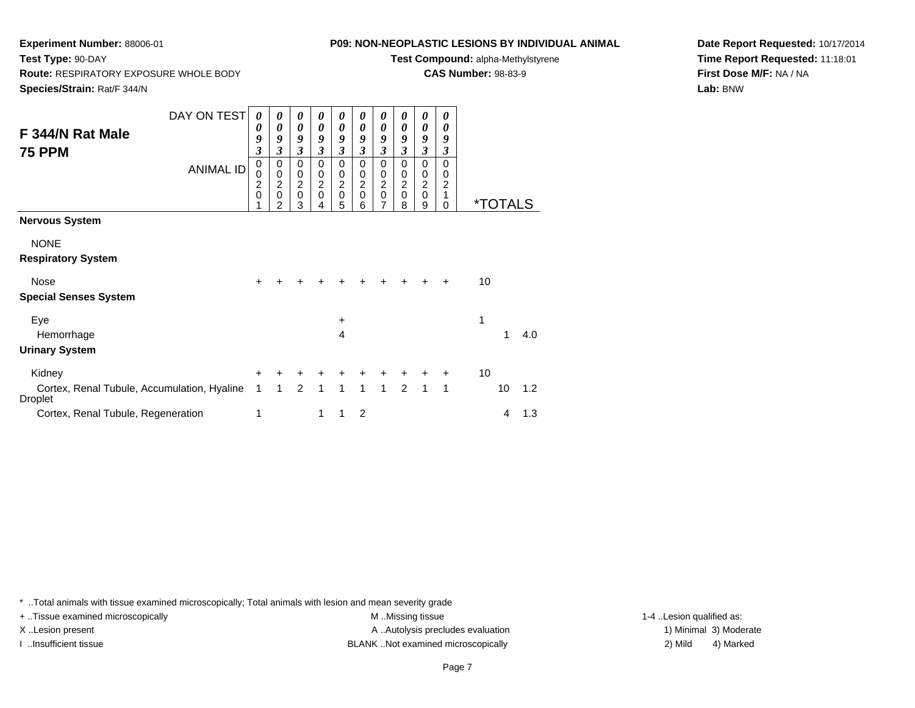**Experiment Number:** 88006-01**Test Type:** 90-DAY

**Route:** RESPIRATORY EXPOSURE WHOLE BODY

## **P09: NON-NEOPLASTIC LESIONS BY INDIVIDUAL ANIMAL**

**Test Compound:** alpha-Methylstyrene

**CAS Number:** 98-83-9

**Species/Strain:** Rat/F 344/N

**Date Report Requested:** 10/17/2014**Time Report Requested:** 11:18:01**First Dose M/F:** NA / NA**Lab:** BNW

|                                                               | DAY ON TEST      | 0                   | 0                            | 0                   | 0      | 0                                           | 0                   | 0                                  | 0                   | 0                           | 0                   |    |                       |     |
|---------------------------------------------------------------|------------------|---------------------|------------------------------|---------------------|--------|---------------------------------------------|---------------------|------------------------------------|---------------------|-----------------------------|---------------------|----|-----------------------|-----|
| F 344/N Rat Male                                              |                  | 0<br>9              | 0<br>9                       | 0<br>9              | 0<br>9 | 0<br>9                                      | 0<br>9              | 0<br>9                             | 0<br>9              | 0<br>9                      | 0<br>9              |    |                       |     |
| <b>75 PPM</b>                                                 |                  | 3                   | 3                            | $\mathfrak{z}$      | 3      | 3                                           | 3                   | 3                                  | 3                   | $\mathfrak{z}$              | 3                   |    |                       |     |
|                                                               | <b>ANIMAL ID</b> | 0                   | 0                            | 0                   | 0      | 0                                           | 0                   | $\mathbf 0$                        | 0                   | 0                           | $\Omega$            |    |                       |     |
|                                                               |                  | 0<br>$\overline{c}$ | 0<br>$\overline{c}$          | 0<br>$\overline{c}$ | 0<br>2 | $\boldsymbol{0}$<br>$\overline{\mathbf{c}}$ | 0<br>$\overline{c}$ | $\boldsymbol{0}$<br>$\overline{c}$ | 0<br>$\overline{c}$ | $\pmb{0}$<br>$\overline{2}$ | 0<br>$\overline{2}$ |    |                       |     |
|                                                               |                  | $\mathbf 0$         | $\mathbf 0$<br>$\mathcal{P}$ | $\mathbf 0$<br>3    | 0<br>4 | $\mathbf 0$<br>5                            | 0<br>6              | $\mathsf 0$<br>7                   | $\mathbf 0$<br>8    | $\mathbf 0$<br>9            | 1<br>$\Omega$       |    | <i><b>*TOTALS</b></i> |     |
| <b>Nervous System</b>                                         |                  |                     |                              |                     |        |                                             |                     |                                    |                     |                             |                     |    |                       |     |
|                                                               |                  |                     |                              |                     |        |                                             |                     |                                    |                     |                             |                     |    |                       |     |
| <b>NONE</b>                                                   |                  |                     |                              |                     |        |                                             |                     |                                    |                     |                             |                     |    |                       |     |
| <b>Respiratory System</b>                                     |                  |                     |                              |                     |        |                                             |                     |                                    |                     |                             |                     |    |                       |     |
| <b>Nose</b>                                                   |                  | ÷                   |                              |                     |        |                                             |                     |                                    |                     |                             | +                   | 10 |                       |     |
| <b>Special Senses System</b>                                  |                  |                     |                              |                     |        |                                             |                     |                                    |                     |                             |                     |    |                       |     |
| Eye                                                           |                  |                     |                              |                     |        | $\ddot{}$                                   |                     |                                    |                     |                             |                     | 1  |                       |     |
| Hemorrhage                                                    |                  |                     |                              |                     |        | 4                                           |                     |                                    |                     |                             |                     |    | 1                     | 4.0 |
| <b>Urinary System</b>                                         |                  |                     |                              |                     |        |                                             |                     |                                    |                     |                             |                     |    |                       |     |
| Kidney                                                        |                  | $\pm$               | +                            | +                   |        | +                                           | ٠                   |                                    |                     |                             | ٠                   | 10 |                       |     |
| Cortex, Renal Tubule, Accumulation, Hyaline<br><b>Droplet</b> |                  | 1                   | 1                            | 2                   | 1      | 1                                           | $\mathbf{1}$        | $\mathbf{1}$                       | 2                   | 1                           | 1                   |    | 10                    | 1.2 |
| Cortex, Renal Tubule, Regeneration                            |                  | 1                   |                              |                     | 1      | 1                                           | $\overline{2}$      |                                    |                     |                             |                     |    | 4                     | 1.3 |

\* ..Total animals with tissue examined microscopically; Total animals with lesion and mean severity grade

+ ..Tissue examined microscopically M ...Missing tissue 1-4 ... M ...Missing tissue

X..Lesion present **A ..Autolysis precludes evaluation** A ..Autolysis precludes evaluation 1) Minimal 3) Moderate I ..Insufficient tissue BLANK ..Not examined microscopically 2) Mild 4) Marked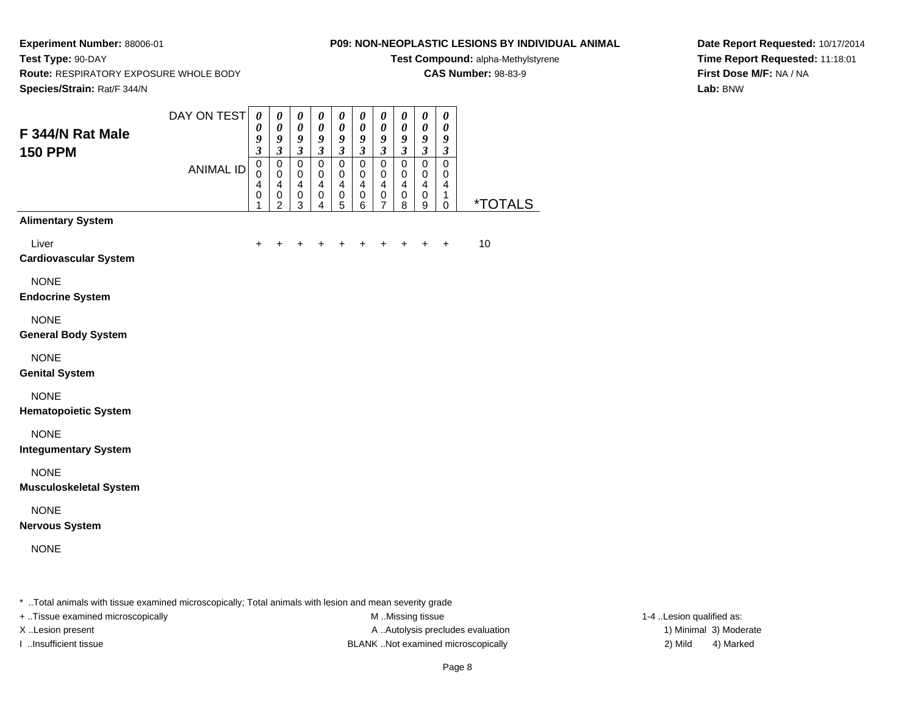**Route:** RESPIRATORY EXPOSURE WHOLE BODY

## **P09: NON-NEOPLASTIC LESIONS BY INDIVIDUAL ANIMAL**

**Test Compound:** alpha-Methylstyrene

**CAS Number:** 98-83-9

**Species/Strain:** Rat/F 344/N

**Test Type:** 90-DAY

**Date Report Requested:** 10/17/2014**Time Report Requested:** 11:18:01**First Dose M/F:** NA / NA**Lab:** BNW

| F 344/N Rat Male<br><b>150 PPM</b>           | DAY ON TEST      | $\boldsymbol{\theta}$<br>$\boldsymbol{\theta}$<br>9<br>$\overline{\mathbf{3}}$ | $\pmb{\theta}$<br>0<br>$\boldsymbol{g}$<br>$\mathfrak{z}$ | $\pmb{\theta}$<br>$\pmb{\theta}$<br>9<br>$\boldsymbol{\beta}$           | $\pmb{\theta}$<br>$\pmb{\theta}$<br>9<br>$\mathfrak{z}$                     | $\pmb{\theta}$<br>$\boldsymbol{\theta}$<br>9<br>$\boldsymbol{\mathfrak{z}}$ | $\boldsymbol{\theta}$<br>$\pmb{\theta}$<br>$\boldsymbol{9}$<br>$\mathfrak{z}$ | 0<br>$\pmb{\theta}$<br>$\boldsymbol{g}$<br>$\mathfrak{z}$             | $\boldsymbol{\theta}$<br>$\pmb{\theta}$<br>$\boldsymbol{g}$<br>$\mathfrak{z}$ | $\boldsymbol{\theta}$<br>$\boldsymbol{\theta}$<br>$\boldsymbol{g}$<br>$\mathfrak{z}$ | 0<br>$\boldsymbol{\theta}$<br>9<br>$\boldsymbol{\beta}$ |                       |
|----------------------------------------------|------------------|--------------------------------------------------------------------------------|-----------------------------------------------------------|-------------------------------------------------------------------------|-----------------------------------------------------------------------------|-----------------------------------------------------------------------------|-------------------------------------------------------------------------------|-----------------------------------------------------------------------|-------------------------------------------------------------------------------|--------------------------------------------------------------------------------------|---------------------------------------------------------|-----------------------|
|                                              | <b>ANIMAL ID</b> | $\overline{0}$<br>$\pmb{0}$<br>$\overline{\mathbf{4}}$<br>$\pmb{0}$<br>1       | $\mathbf 0$<br>$\mathbf 0$<br>4<br>0<br>$\overline{2}$    | $\mathbf 0$<br>$\mathbf 0$<br>$\overline{\mathbf{4}}$<br>$\pmb{0}$<br>3 | $\mathbf 0$<br>$\mathbf 0$<br>$\overline{4}$<br>$\pmb{0}$<br>$\overline{4}$ | $\mathbf 0$<br>0<br>$\overline{\mathbf{4}}$<br>$\pmb{0}$<br>$\overline{5}$  | $\mathbf 0$<br>$\mathbf 0$<br>4<br>0<br>6                                     | $\mathbf 0$<br>$\pmb{0}$<br>$\overline{\mathbf{4}}$<br>$\pmb{0}$<br>7 | $\pmb{0}$<br>$\mathbf 0$<br>$\overline{4}$<br>0<br>8                          | $\overline{0}$<br>$\mathbf 0$<br>$\overline{4}$<br>0<br>9                            | $\mathbf 0$<br>0<br>$\overline{4}$<br>1<br>$\mathbf 0$  | <i><b>*TOTALS</b></i> |
| <b>Alimentary System</b>                     |                  |                                                                                |                                                           |                                                                         |                                                                             |                                                                             |                                                                               |                                                                       |                                                                               |                                                                                      |                                                         |                       |
| Liver<br><b>Cardiovascular System</b>        |                  | $\pm$                                                                          |                                                           |                                                                         |                                                                             |                                                                             |                                                                               |                                                                       |                                                                               | +                                                                                    | $\ddot{}$                                               | 10                    |
| <b>NONE</b><br><b>Endocrine System</b>       |                  |                                                                                |                                                           |                                                                         |                                                                             |                                                                             |                                                                               |                                                                       |                                                                               |                                                                                      |                                                         |                       |
| <b>NONE</b><br><b>General Body System</b>    |                  |                                                                                |                                                           |                                                                         |                                                                             |                                                                             |                                                                               |                                                                       |                                                                               |                                                                                      |                                                         |                       |
| <b>NONE</b><br><b>Genital System</b>         |                  |                                                                                |                                                           |                                                                         |                                                                             |                                                                             |                                                                               |                                                                       |                                                                               |                                                                                      |                                                         |                       |
| <b>NONE</b><br><b>Hematopoietic System</b>   |                  |                                                                                |                                                           |                                                                         |                                                                             |                                                                             |                                                                               |                                                                       |                                                                               |                                                                                      |                                                         |                       |
| <b>NONE</b><br><b>Integumentary System</b>   |                  |                                                                                |                                                           |                                                                         |                                                                             |                                                                             |                                                                               |                                                                       |                                                                               |                                                                                      |                                                         |                       |
| <b>NONE</b><br><b>Musculoskeletal System</b> |                  |                                                                                |                                                           |                                                                         |                                                                             |                                                                             |                                                                               |                                                                       |                                                                               |                                                                                      |                                                         |                       |
| <b>NONE</b><br><b>Nervous System</b>         |                  |                                                                                |                                                           |                                                                         |                                                                             |                                                                             |                                                                               |                                                                       |                                                                               |                                                                                      |                                                         |                       |
|                                              |                  |                                                                                |                                                           |                                                                         |                                                                             |                                                                             |                                                                               |                                                                       |                                                                               |                                                                                      |                                                         |                       |

\* ..Total animals with tissue examined microscopically; Total animals with lesion and mean severity grade

+ ..Tissue examined microscopically M ...Missing tissue 1-4 ... M ...Missing tissue

X..Lesion present **A ..Autolysis precludes evaluation** A ..Autolysis precludes evaluation 1) Minimal 3) Moderate I ..Insufficient tissue BLANK ..Not examined microscopically 2) Mild 4) Marked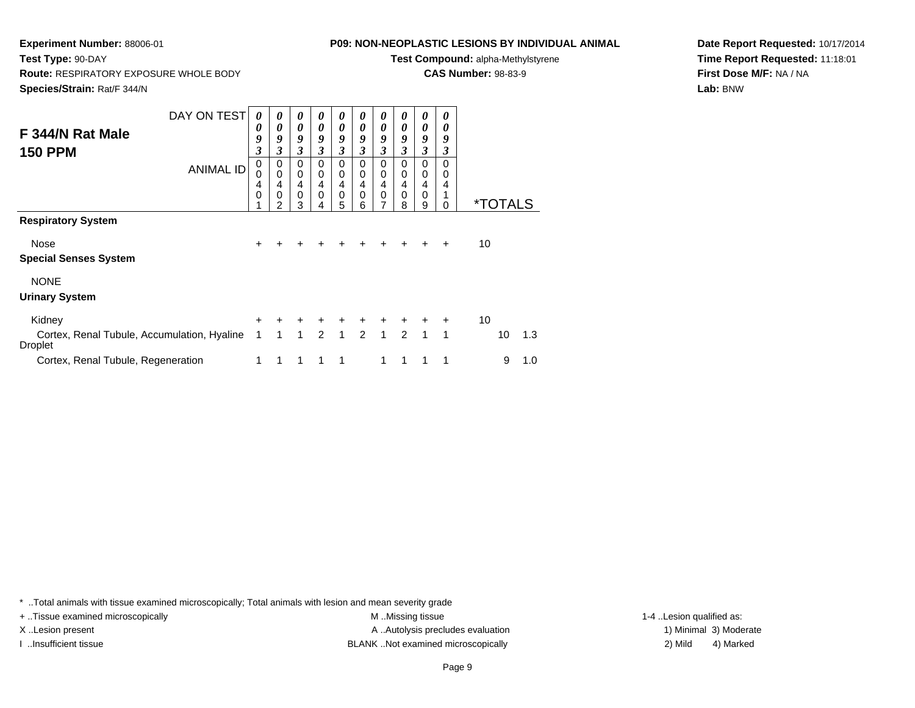**Route:** RESPIRATORY EXPOSURE WHOLE BODY

## **P09: NON-NEOPLASTIC LESIONS BY INDIVIDUAL ANIMAL**

**Test Compound:** alpha-Methylstyrene

**CAS Number:** 98-83-9

**Species/Strain:** Rat/F 344/N

**Test Type:** 90-DAY

**Date Report Requested:** 10/17/2014**Time Report Requested:** 11:18:01**First Dose M/F:** NA / NA**Lab:** BNW

| F 344/N Rat Male<br><b>150 PPM</b>                            | DAY ON TEST<br><b>ANIMAL ID</b> | 0<br>0<br>9<br>3<br>0<br>0<br>4<br>0 | 0<br>0<br>9<br>3<br>0<br>$\mathbf 0$<br>4<br>0<br>2 | 0<br>$\boldsymbol{\theta}$<br>9<br>$\overline{\mathbf{3}}$<br>$\Omega$<br>$\mathbf 0$<br>4<br>$\mathbf 0$<br>3 | 0<br>0<br>9<br>3<br>$\Omega$<br>$\mathbf 0$<br>4<br>$\mathbf 0$<br>4 | 0<br>0<br>9<br>$\boldsymbol{\beta}$<br>$\Omega$<br>0<br>$\overline{4}$<br>$\mathsf 0$<br>5 | 0<br>0<br>9<br>3<br>0<br>0<br>4<br>0<br>6 | 0<br>0<br>9<br>$\mathfrak{z}$<br>$\Omega$<br>0<br>4<br>0<br>7 | 0<br>0<br>9<br>3<br>0<br>0<br>4<br>0<br>8 | 0<br>0<br>9<br>3<br>$\Omega$<br>0<br>4<br>0<br>9 | 0<br>0<br>9<br>3<br>0<br>0<br>4<br>0 |    | <i><b>*TOTAL</b></i> |     |
|---------------------------------------------------------------|---------------------------------|--------------------------------------|-----------------------------------------------------|----------------------------------------------------------------------------------------------------------------|----------------------------------------------------------------------|--------------------------------------------------------------------------------------------|-------------------------------------------|---------------------------------------------------------------|-------------------------------------------|--------------------------------------------------|--------------------------------------|----|----------------------|-----|
| <b>Respiratory System</b>                                     |                                 |                                      |                                                     |                                                                                                                |                                                                      |                                                                                            |                                           |                                                               |                                           |                                                  |                                      |    |                      |     |
| Nose<br><b>Special Senses System</b>                          |                                 | +                                    |                                                     |                                                                                                                |                                                                      |                                                                                            |                                           |                                                               |                                           |                                                  | $\div$                               | 10 |                      |     |
| <b>NONE</b><br><b>Urinary System</b>                          |                                 |                                      |                                                     |                                                                                                                |                                                                      |                                                                                            |                                           |                                                               |                                           |                                                  |                                      |    |                      |     |
| Kidney                                                        |                                 | $\pm$                                | ÷                                                   | $\ddot{}$                                                                                                      | $\ddot{}$                                                            | $\ddot{}$                                                                                  | $+$                                       | $\ddot{}$                                                     | $\ddot{}$                                 | $\pm$                                            | $\ddot{}$                            | 10 |                      |     |
| Cortex, Renal Tubule, Accumulation, Hyaline<br><b>Droplet</b> |                                 | 1                                    | 1                                                   | $\mathbf{1}$                                                                                                   | $\mathcal{P}$                                                        | $\mathbf{1}$                                                                               | $2^{\circ}$                               | $\mathbf{1}$                                                  | $\mathcal{P}$                             | $\mathbf{1}$                                     | 1                                    |    | 10                   | 1.3 |
| Cortex, Renal Tubule, Regeneration                            |                                 | 1                                    |                                                     | 1                                                                                                              | 1                                                                    | 1                                                                                          |                                           | 1                                                             | 1                                         |                                                  | 1                                    |    | 9                    | 1.0 |

\* ..Total animals with tissue examined microscopically; Total animals with lesion and mean severity grade

+ ..Tissue examined microscopically M ...Missing tissue 1-4 ... M ...Missing tissue

X..Lesion present **A ..Autolysis precludes evaluation** A ..Autolysis precludes evaluation 1) Minimal 3) Moderate I ..Insufficient tissue BLANK ..Not examined microscopically 2) Mild 4) Marked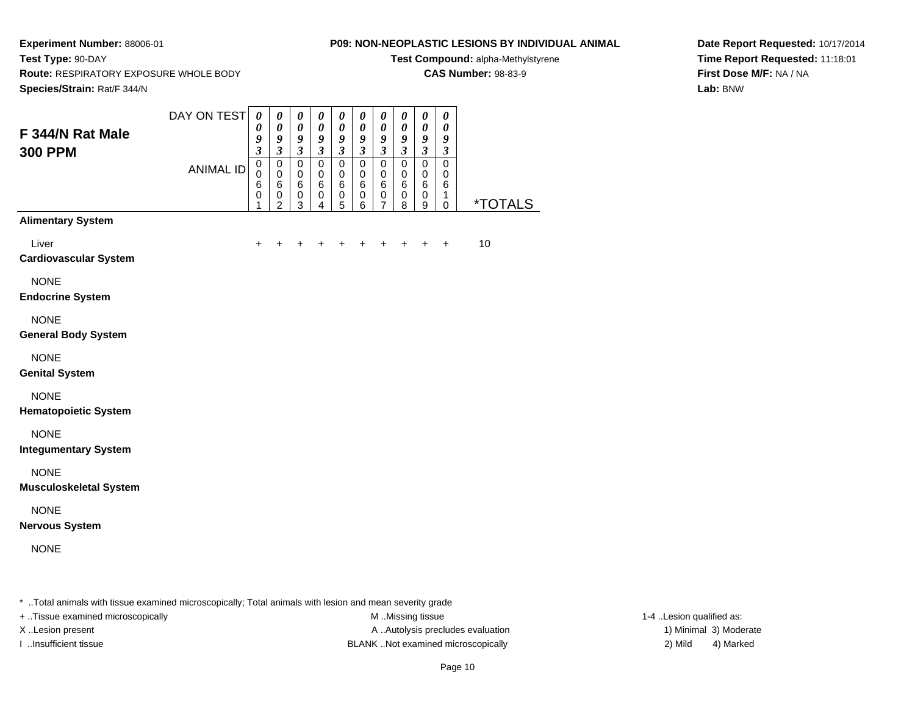**Route:** RESPIRATORY EXPOSURE WHOLE BODY

## **P09: NON-NEOPLASTIC LESIONS BY INDIVIDUAL ANIMAL**

**Test Compound:** alpha-Methylstyrene

**CAS Number:** 98-83-9

**Species/Strain:** Rat/F 344/N

**Test Type:** 90-DAY

**Date Report Requested:** 10/17/2014**Time Report Requested:** 11:18:01**First Dose M/F:** NA / NA**Lab:** BNW

| F 344/N Rat Male<br><b>300 PPM</b>           | DAY ON TEST      | $\boldsymbol{\theta}$<br>0<br>9<br>$\mathfrak{z}$       | $\pmb{\theta}$<br>$\pmb{\theta}$<br>$\boldsymbol{g}$<br>$\mathfrak{z}$ | $\pmb{\theta}$<br>$\pmb{\theta}$<br>$\boldsymbol{g}$<br>$\mathfrak{z}$ | $\pmb{\theta}$<br>$\boldsymbol{\theta}$<br>9<br>$\mathfrak{z}$   | $\pmb{\theta}$<br>$\pmb{\theta}$<br>9<br>$\mathfrak{z}$ | $\pmb{\theta}$<br>$\pmb{\theta}$<br>9<br>$\mathfrak{z}$ | $\pmb{\theta}$<br>$\pmb{\theta}$<br>$\boldsymbol{9}$<br>$\mathfrak{z}$ | $\boldsymbol{\theta}$<br>$\pmb{\theta}$<br>$\frac{9}{3}$ | $\pmb{\theta}$<br>$\pmb{\theta}$<br>$\frac{9}{3}$ | $\pmb{\theta}$<br>$\boldsymbol{\theta}$<br>$\boldsymbol{9}$<br>$\boldsymbol{\beta}$ |                       |
|----------------------------------------------|------------------|---------------------------------------------------------|------------------------------------------------------------------------|------------------------------------------------------------------------|------------------------------------------------------------------|---------------------------------------------------------|---------------------------------------------------------|------------------------------------------------------------------------|----------------------------------------------------------|---------------------------------------------------|-------------------------------------------------------------------------------------|-----------------------|
|                                              | <b>ANIMAL ID</b> | $\mathbf 0$<br>$\mathbf 0$<br>$\,6$<br>$\mathbf 0$<br>1 | $\pmb{0}$<br>$\pmb{0}$<br>$\,6$<br>$\pmb{0}$<br>$\overline{2}$         | $\pmb{0}$<br>$\mathbf 0$<br>$\,6\,$<br>$\mathbf 0$<br>3                | $\mathbf 0$<br>$\pmb{0}$<br>$\,6$<br>$\pmb{0}$<br>$\overline{4}$ | $\mathsf 0$<br>$\mathbf 0$<br>6<br>0<br>5               | $\mathbf 0$<br>$\pmb{0}$<br>$\,6$<br>$\,0\,$<br>6       | $\mathsf 0$<br>$\mathbf 0$<br>$\,6$<br>$\pmb{0}$<br>$\overline{7}$     | $\pmb{0}$<br>$\pmb{0}$<br>$\,6$<br>$\pmb{0}$<br>8        | $\pmb{0}$<br>$\mathsf 0$<br>6<br>0<br>9           | $\mathbf 0$<br>$\mathbf 0$<br>6<br>1<br>$\mathbf 0$                                 | <i><b>*TOTALS</b></i> |
| <b>Alimentary System</b>                     |                  |                                                         |                                                                        |                                                                        |                                                                  |                                                         |                                                         |                                                                        |                                                          |                                                   |                                                                                     |                       |
| Liver<br><b>Cardiovascular System</b>        |                  | $\ddot{}$                                               | $+$                                                                    | +                                                                      | $\ddot{}$                                                        | $\ddot{}$                                               | $\ddot{}$                                               | $\ddot{}$                                                              |                                                          | $+$ $+$                                           | $\ddot{}$                                                                           | 10                    |
| <b>NONE</b><br><b>Endocrine System</b>       |                  |                                                         |                                                                        |                                                                        |                                                                  |                                                         |                                                         |                                                                        |                                                          |                                                   |                                                                                     |                       |
| <b>NONE</b><br><b>General Body System</b>    |                  |                                                         |                                                                        |                                                                        |                                                                  |                                                         |                                                         |                                                                        |                                                          |                                                   |                                                                                     |                       |
| <b>NONE</b><br><b>Genital System</b>         |                  |                                                         |                                                                        |                                                                        |                                                                  |                                                         |                                                         |                                                                        |                                                          |                                                   |                                                                                     |                       |
| <b>NONE</b><br><b>Hematopoietic System</b>   |                  |                                                         |                                                                        |                                                                        |                                                                  |                                                         |                                                         |                                                                        |                                                          |                                                   |                                                                                     |                       |
| <b>NONE</b><br><b>Integumentary System</b>   |                  |                                                         |                                                                        |                                                                        |                                                                  |                                                         |                                                         |                                                                        |                                                          |                                                   |                                                                                     |                       |
| <b>NONE</b><br><b>Musculoskeletal System</b> |                  |                                                         |                                                                        |                                                                        |                                                                  |                                                         |                                                         |                                                                        |                                                          |                                                   |                                                                                     |                       |
| <b>NONE</b><br><b>Nervous System</b>         |                  |                                                         |                                                                        |                                                                        |                                                                  |                                                         |                                                         |                                                                        |                                                          |                                                   |                                                                                     |                       |
| <b>NONE</b>                                  |                  |                                                         |                                                                        |                                                                        |                                                                  |                                                         |                                                         |                                                                        |                                                          |                                                   |                                                                                     |                       |
|                                              |                  |                                                         |                                                                        |                                                                        |                                                                  |                                                         |                                                         |                                                                        |                                                          |                                                   |                                                                                     |                       |

\* ..Total animals with tissue examined microscopically; Total animals with lesion and mean severity grade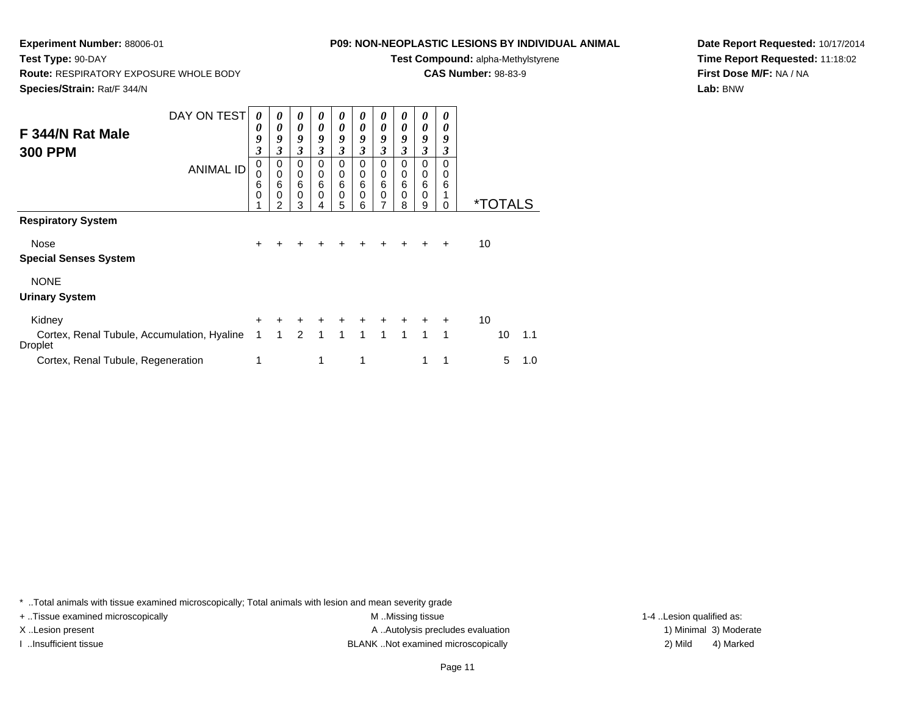**Route:** RESPIRATORY EXPOSURE WHOLE BODY

## **P09: NON-NEOPLASTIC LESIONS BY INDIVIDUAL ANIMAL**

**Test Compound:** alpha-Methylstyrene

**CAS Number:** 98-83-9

**Species/Strain:** Rat/F 344/N

**Test Type:** 90-DAY

**Date Report Requested:** 10/17/2014**Time Report Requested:** 11:18:02**First Dose M/F:** NA / NA**Lab:** BNW

| F 344/N Rat Male<br><b>300 PPM</b>                            | DAY ON TEST<br><b>ANIMAL ID</b> | 0<br>0<br>9<br>$\boldsymbol{\beta}$<br>$\mathbf 0$<br>0<br>6 | 0<br>$\boldsymbol{\theta}$<br>9<br>3<br>$\Omega$<br>$\mathbf 0$<br>$6\phantom{1}6$ | 0<br>0<br>9<br>$\boldsymbol{\beta}$<br>$\Omega$<br>0<br>$6\phantom{1}6$ | 0<br>0<br>9<br>3<br>$\Omega$<br>0<br>6 | 0<br>0<br>9<br>$\mathfrak{z}$<br>$\Omega$<br>0<br>6 | Ŋ<br>0<br>9<br>3<br>$\Omega$<br>0<br>6 | 0<br>0<br>9<br>3<br>$\Omega$<br>0<br>6 | 0<br>0<br>9<br>3<br>0<br>0<br>6 | 0<br>0<br>9<br>3<br>0<br>0<br>6 | 0<br>0<br>9<br>3<br>0<br>0<br>6 |    |                       |     |
|---------------------------------------------------------------|---------------------------------|--------------------------------------------------------------|------------------------------------------------------------------------------------|-------------------------------------------------------------------------|----------------------------------------|-----------------------------------------------------|----------------------------------------|----------------------------------------|---------------------------------|---------------------------------|---------------------------------|----|-----------------------|-----|
|                                                               |                                 | 0                                                            | $\Omega$<br>2                                                                      | $\mathbf 0$<br>3                                                        | 0<br>4                                 | $\mathbf 0$<br>5                                    | 0<br>6                                 | 0<br>7                                 | 0<br>8                          | 0<br>9                          | 0                               |    | <i><b>*TOTALS</b></i> |     |
| <b>Respiratory System</b>                                     |                                 |                                                              |                                                                                    |                                                                         |                                        |                                                     |                                        |                                        |                                 |                                 |                                 |    |                       |     |
| Nose<br><b>Special Senses System</b>                          |                                 | $\ddot{}$                                                    |                                                                                    |                                                                         |                                        |                                                     |                                        |                                        |                                 |                                 | $\div$                          | 10 |                       |     |
| <b>NONE</b><br><b>Urinary System</b>                          |                                 |                                                              |                                                                                    |                                                                         |                                        |                                                     |                                        |                                        |                                 |                                 |                                 |    |                       |     |
| Kidney                                                        |                                 | $\pm$                                                        | ÷                                                                                  | $\ddot{}$                                                               | +                                      | ٠                                                   | $+$                                    | $\ddot{}$                              | $\ddot{}$                       | $\ddot{}$                       | $\ddot{}$                       | 10 |                       |     |
| Cortex, Renal Tubule, Accumulation, Hyaline<br><b>Droplet</b> |                                 | 1                                                            | 1                                                                                  | $\mathcal{P}$                                                           | 1                                      | 1                                                   | $\mathbf{1}$                           | $\mathbf{1}$                           | $\mathbf{1}$                    | $\mathbf{1}$                    | $\overline{1}$                  |    | 10                    | 1.1 |
| Cortex, Renal Tubule, Regeneration                            |                                 | 1                                                            |                                                                                    |                                                                         | 1                                      |                                                     | 1                                      |                                        |                                 | 1                               |                                 |    | 5                     | 1.0 |

\* ..Total animals with tissue examined microscopically; Total animals with lesion and mean severity grade

+ ..Tissue examined microscopically examined microscopically examined as:  $M$  ..Missing tissue 1-4 ..Lesion qualified as: X..Lesion present **A ..Autolysis precludes evaluation** A ..Autolysis precludes evaluation 1) Minimal 3) Moderate I ..Insufficient tissue 2) Mild 2 and the BLANK ..Not examined microscopically and the same 2) Mild

4) Marked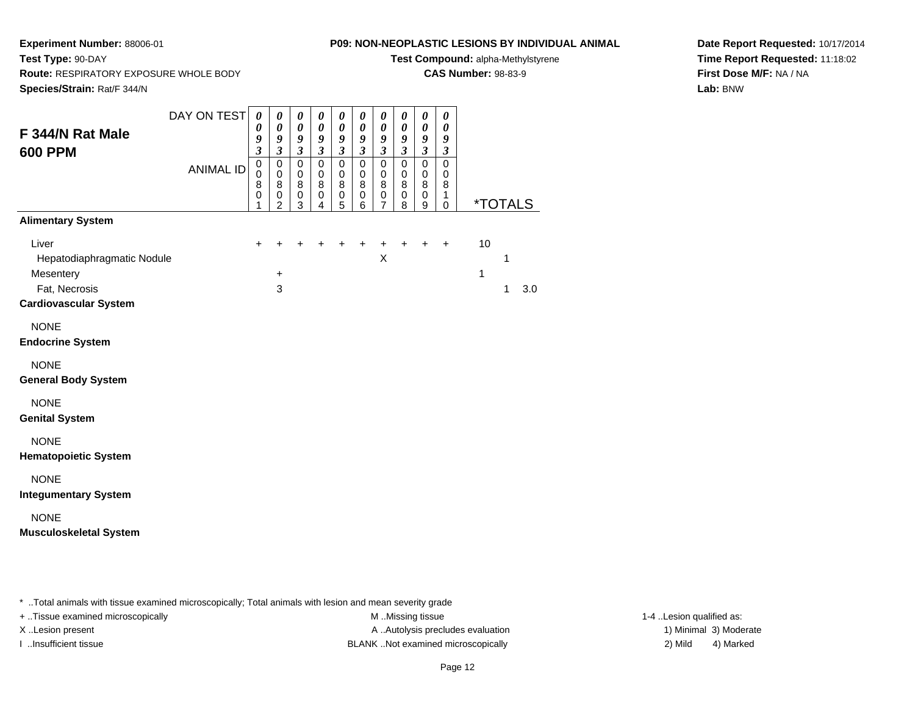**Route:** RESPIRATORY EXPOSURE WHOLE BODY

## **P09: NON-NEOPLASTIC LESIONS BY INDIVIDUAL ANIMAL**

**Test Compound:** alpha-Methylstyrene

**CAS Number:** 98-83-9

**Species/Strain:** Rat/F 344/N

**Test Type:** 90-DAY

**Date Report Requested:** 10/17/2014**Time Report Requested:** 11:18:02**First Dose M/F:** NA / NA**Lab:** BNW

| F 344/N Rat Male<br><b>600 PPM</b>                                                                                                                                                                                                                                      | DAY ON TEST<br><b>ANIMAL ID</b> | $\boldsymbol{\theta}$<br>$\boldsymbol{\theta}$<br>9<br>3<br>$\mathbf 0$<br>0<br>8<br>$\pmb{0}$<br>1 | 0<br>$\pmb{\theta}$<br>9<br>$\boldsymbol{\mathfrak{z}}$<br>$\mathbf 0$<br>$\pmb{0}$<br>8<br>$\pmb{0}$<br>$\overline{2}$ | $\boldsymbol{\theta}$<br>$\pmb{\theta}$<br>9<br>$\boldsymbol{\beta}$<br>$\pmb{0}$<br>0<br>8<br>$\pmb{0}$<br>3 | 0<br>$\boldsymbol{\theta}$<br>9<br>$\boldsymbol{\beta}$<br>$\mathbf 0$<br>0<br>8<br>$\mathbf 0$<br>4 | $\pmb{\theta}$<br>$\boldsymbol{\theta}$<br>9<br>$\boldsymbol{\beta}$<br>$\mathbf 0$<br>$\mathbf 0$<br>8<br>0<br>5 | $\pmb{\theta}$<br>0<br>9<br>$\boldsymbol{\mathfrak{z}}$<br>$\mathbf 0$<br>0<br>8<br>$\mathbf 0$<br>6 | 0<br>$\pmb{\theta}$<br>9<br>$\boldsymbol{\beta}$<br>0<br>0<br>8<br>0<br>7 | $\boldsymbol{\theta}$<br>$\boldsymbol{\theta}$<br>9<br>$\boldsymbol{\beta}$<br>$\mathbf 0$<br>$\mathbf 0$<br>8<br>$\mathbf 0$<br>8 | $\boldsymbol{\theta}$<br>$\boldsymbol{\theta}$<br>9<br>$\boldsymbol{\beta}$<br>$\mathbf 0$<br>$\mathbf 0$<br>8<br>$\mathbf 0$<br>9 | $\boldsymbol{\theta}$<br>$\boldsymbol{\theta}$<br>9<br>3<br>$\pmb{0}$<br>0<br>8<br>$\mathbf{1}$<br>$\mathbf 0$ | <i><b>*TOTALS</b></i> |        |     |
|-------------------------------------------------------------------------------------------------------------------------------------------------------------------------------------------------------------------------------------------------------------------------|---------------------------------|-----------------------------------------------------------------------------------------------------|-------------------------------------------------------------------------------------------------------------------------|---------------------------------------------------------------------------------------------------------------|------------------------------------------------------------------------------------------------------|-------------------------------------------------------------------------------------------------------------------|------------------------------------------------------------------------------------------------------|---------------------------------------------------------------------------|------------------------------------------------------------------------------------------------------------------------------------|------------------------------------------------------------------------------------------------------------------------------------|----------------------------------------------------------------------------------------------------------------|-----------------------|--------|-----|
| <b>Alimentary System</b><br>Liver<br>Hepatodiaphragmatic Nodule<br>Mesentery<br>Fat, Necrosis<br><b>Cardiovascular System</b>                                                                                                                                           |                                 | +                                                                                                   | +<br>$\ddot{}$<br>3                                                                                                     |                                                                                                               |                                                                                                      | +                                                                                                                 |                                                                                                      | +<br>X                                                                    |                                                                                                                                    | +                                                                                                                                  | $\ddot{}$                                                                                                      | 10<br>1               | 1<br>1 | 3.0 |
| <b>NONE</b><br><b>Endocrine System</b><br><b>NONE</b><br><b>General Body System</b><br><b>NONE</b><br><b>Genital System</b><br><b>NONE</b><br><b>Hematopoietic System</b><br><b>NONE</b><br><b>Integumentary System</b><br><b>NONE</b><br><b>Musculoskeletal System</b> |                                 |                                                                                                     |                                                                                                                         |                                                                                                               |                                                                                                      |                                                                                                                   |                                                                                                      |                                                                           |                                                                                                                                    |                                                                                                                                    |                                                                                                                |                       |        |     |

\* ..Total animals with tissue examined microscopically; Total animals with lesion and mean severity grade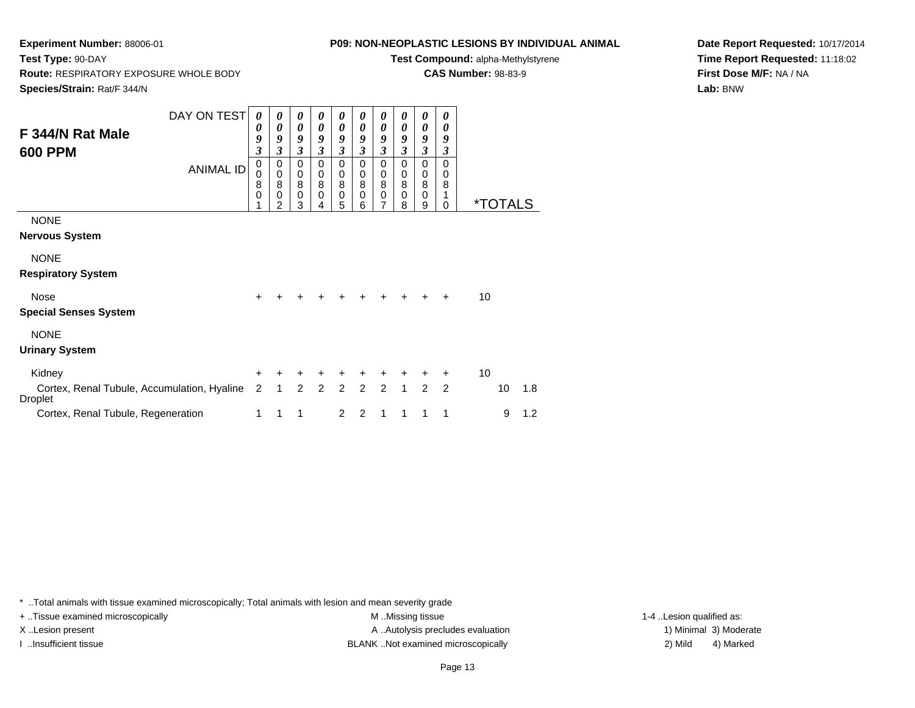**Experiment Number:** 88006-01**Test Type:** 90-DAY

## **Route:** RESPIRATORY EXPOSURE WHOLE BODY

**Species/Strain:** Rat/F 344/N

## **P09: NON-NEOPLASTIC LESIONS BY INDIVIDUAL ANIMAL**

**Test Compound:** alpha-Methylstyrene

**CAS Number:** 98-83-9

**Date Report Requested:** 10/17/2014**Time Report Requested:** 11:18:02**First Dose M/F:** NA / NA**Lab:** BNW

|                                                        | DAY ON TEST      | $\theta$                  | $\boldsymbol{\theta}$ | 0                | 0              | 0                     | 0                | 0                   | 0                | 0                     | 0              |    |                       |     |
|--------------------------------------------------------|------------------|---------------------------|-----------------------|------------------|----------------|-----------------------|------------------|---------------------|------------------|-----------------------|----------------|----|-----------------------|-----|
| F 344/N Rat Male                                       |                  | 0                         | 0                     | 0                | 0              | $\boldsymbol{\theta}$ | 0                | 0                   | 0                | $\boldsymbol{\theta}$ | 0              |    |                       |     |
|                                                        |                  | 9                         | 9                     | 9                | 9              | 9<br>$\mathfrak{z}$   | 9<br>3           | 9<br>$\mathfrak{z}$ | 9                | 9                     | 9              |    |                       |     |
| <b>600 PPM</b>                                         |                  | $\boldsymbol{\beta}$<br>0 | 3<br>0                | 3<br>0           | 3<br>0         | 0                     | 0                | 0                   | 3<br>0           | 3<br>0                | 3<br>0         |    |                       |     |
|                                                        | <b>ANIMAL ID</b> | 0                         | $\pmb{0}$             | 0                | 0              | 0                     | 0                | $\boldsymbol{0}$    | 0                | $\mathbf 0$           | 0              |    |                       |     |
|                                                        |                  | 8                         | 8                     | 8                | 8              | 8                     | 8                | 8                   | 8                | 8                     | 8              |    |                       |     |
|                                                        |                  | 0<br>1                    | $\mathbf 0$<br>2      | $\mathbf 0$<br>3 | 0<br>4         | $\mathbf 0$<br>5      | $\mathbf 0$<br>6 | $\pmb{0}$<br>7      | $\mathbf 0$<br>8 | $\mathbf 0$<br>9      | 1<br>0         |    | <i><b>*TOTALS</b></i> |     |
| <b>NONE</b>                                            |                  |                           |                       |                  |                |                       |                  |                     |                  |                       |                |    |                       |     |
| <b>Nervous System</b>                                  |                  |                           |                       |                  |                |                       |                  |                     |                  |                       |                |    |                       |     |
|                                                        |                  |                           |                       |                  |                |                       |                  |                     |                  |                       |                |    |                       |     |
| <b>NONE</b>                                            |                  |                           |                       |                  |                |                       |                  |                     |                  |                       |                |    |                       |     |
| <b>Respiratory System</b>                              |                  |                           |                       |                  |                |                       |                  |                     |                  |                       |                |    |                       |     |
| Nose                                                   |                  | $\ddot{}$                 |                       |                  |                |                       |                  |                     |                  | ÷                     | ÷              | 10 |                       |     |
| <b>Special Senses System</b>                           |                  |                           |                       |                  |                |                       |                  |                     |                  |                       |                |    |                       |     |
| <b>NONE</b>                                            |                  |                           |                       |                  |                |                       |                  |                     |                  |                       |                |    |                       |     |
| <b>Urinary System</b>                                  |                  |                           |                       |                  |                |                       |                  |                     |                  |                       |                |    |                       |     |
| Kidney                                                 |                  | $\ddot{}$                 | +                     | $\ddot{}$        | +              | $\ddot{}$             | $\ddot{}$        | +                   | +                | $\ddot{}$             | $\pm$          | 10 |                       |     |
| Cortex, Renal Tubule, Accumulation, Hyaline<br>Droplet |                  | 2                         | $\mathbf{1}$          | $\overline{2}$   | $\overline{2}$ | 2 <sup>1</sup>        | $\overline{2}$   | $\overline{2}$      | $\mathbf{1}$     | $\overline{2}$        | $\overline{2}$ |    | 10                    | 1.8 |
| Cortex, Renal Tubule, Regeneration                     |                  | 1                         | 1                     | 1                |                | $\overline{2}$        | 2                | 1                   | 1                | 1                     | 1              |    | 9                     | 1.2 |

\* ..Total animals with tissue examined microscopically; Total animals with lesion and mean severity grade

+ ..Tissue examined microscopically examined microscopically examined as:  $M$  ..Missing tissue 1-4 ..Lesion qualified as:

X..Lesion present **A ..Autolysis precludes evaluation** A ..Autolysis precludes evaluation 1) Minimal 3) Moderate I ..Insufficient tissue BLANK ..Not examined microscopically 2) Mild 4) Marked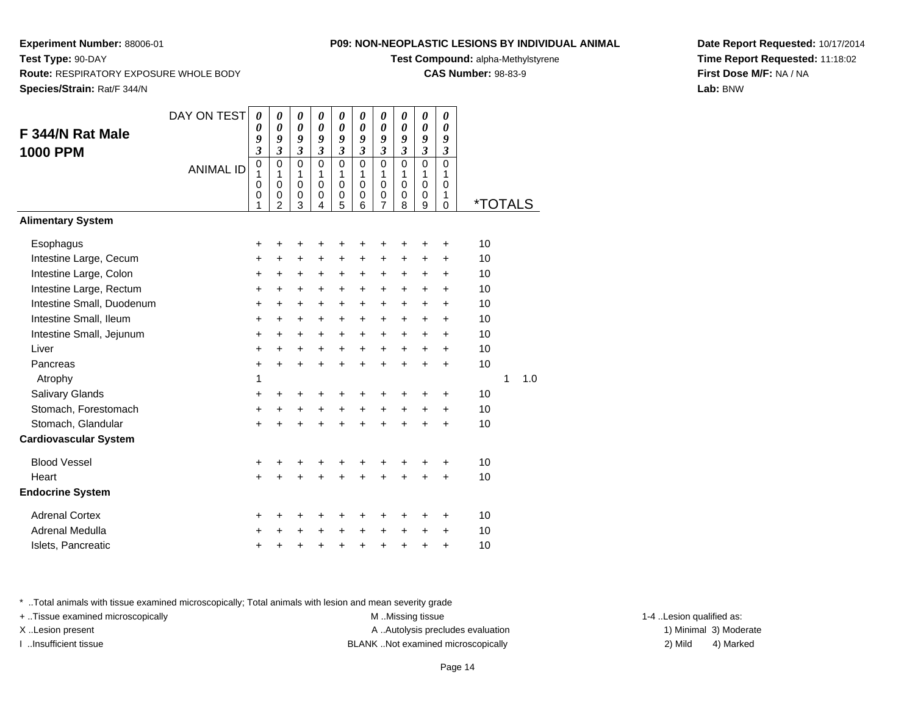**Test Compound:** alpha-Methylstyrene

**CAS Number:** 98-83-9

**Date Report Requested:** 10/17/2014**Time Report Requested:** 11:18:02**First Dose M/F:** NA / NA**Lab:** BNW

**Experiment Number:** 88006-01

| F 344/N Rat Male<br><b>1000 PPM</b> | DAY ON TEST      | 0<br>0<br>9<br>$\overline{\mathbf{3}}$ | 0<br>$\boldsymbol{\theta}$<br>9<br>$\mathfrak{z}$              | 0<br>$\boldsymbol{\theta}$<br>9<br>$\mathfrak{z}$ | 0<br>$\theta$<br>9<br>$\overline{\mathbf{3}}$        | 0<br>$\boldsymbol{\theta}$<br>9<br>$\mathfrak{z}$            | 0<br>$\boldsymbol{\theta}$<br>9<br>$\boldsymbol{\mathfrak{z}}$         | 0<br>$\boldsymbol{\theta}$<br>9<br>$\mathfrak{z}$                  | 0<br>0<br>9<br>$\boldsymbol{\mathfrak{z}}$               | 0<br>$\boldsymbol{\theta}$<br>9<br>$\mathfrak{z}$       | 0<br>$\boldsymbol{\theta}$<br>9<br>$\mathfrak{z}$ |         |   |     |
|-------------------------------------|------------------|----------------------------------------|----------------------------------------------------------------|---------------------------------------------------|------------------------------------------------------|--------------------------------------------------------------|------------------------------------------------------------------------|--------------------------------------------------------------------|----------------------------------------------------------|---------------------------------------------------------|---------------------------------------------------|---------|---|-----|
|                                     | <b>ANIMAL ID</b> | $\overline{0}$<br>1<br>0<br>0<br>1     | $\mathbf 0$<br>1<br>$\mathbf 0$<br>$\pmb{0}$<br>$\overline{2}$ | $\mathbf 0$<br>1<br>$\mathbf 0$<br>0<br>3         | $\mathbf 0$<br>$\mathbf{1}$<br>$\mathbf 0$<br>0<br>4 | $\mathbf 0$<br>$\mathbf{1}$<br>$\mathbf 0$<br>$\pmb{0}$<br>5 | $\overline{0}$<br>$\mathbf{1}$<br>$\mathbf 0$<br>$\boldsymbol{0}$<br>6 | $\overline{0}$<br>$\mathbf{1}$<br>0<br>$\pmb{0}$<br>$\overline{7}$ | $\mathbf 0$<br>1<br>$\mathbf 0$<br>$\boldsymbol{0}$<br>8 | $\overline{0}$<br>$\mathbf{1}$<br>$\mathbf 0$<br>0<br>9 | 0<br>1<br>$\Omega$<br>1<br>$\Omega$               | *TOTALS |   |     |
| <b>Alimentary System</b>            |                  |                                        |                                                                |                                                   |                                                      |                                                              |                                                                        |                                                                    |                                                          |                                                         |                                                   |         |   |     |
| Esophagus                           |                  | +                                      | +                                                              | +                                                 | +                                                    | +                                                            | +                                                                      | +                                                                  | +                                                        | +                                                       | +                                                 | 10      |   |     |
| Intestine Large, Cecum              |                  | +                                      | +                                                              | +                                                 | +                                                    | $\ddot{}$                                                    | +                                                                      | $\ddot{}$                                                          | +                                                        | +                                                       | $\ddot{}$                                         | 10      |   |     |
| Intestine Large, Colon              |                  | +                                      | +                                                              | +                                                 | +                                                    | $\ddot{}$                                                    | +                                                                      | $\ddot{}$                                                          | +                                                        | $\ddot{}$                                               | +                                                 | 10      |   |     |
| Intestine Large, Rectum             |                  | +                                      | +                                                              | $\ddot{}$                                         | +                                                    | $\ddot{}$                                                    | +                                                                      | $\ddot{}$                                                          | +                                                        | $\ddot{}$                                               | $\ddot{}$                                         | 10      |   |     |
| Intestine Small, Duodenum           |                  | +                                      | +                                                              | +                                                 | +                                                    | +                                                            | +                                                                      | +                                                                  | +                                                        | +                                                       | +                                                 | 10      |   |     |
| Intestine Small, Ileum              |                  | +                                      | $\ddot{}$                                                      | +                                                 | +                                                    | $\ddot{}$                                                    | +                                                                      | $\ddot{}$                                                          | +                                                        | $\ddot{}$                                               | $\ddot{}$                                         | 10      |   |     |
| Intestine Small, Jejunum            |                  | +                                      | +                                                              | +                                                 | +                                                    | +                                                            | +                                                                      | +                                                                  | +                                                        | $\ddot{}$                                               | +                                                 | 10      |   |     |
| Liver                               |                  | +                                      | +                                                              | $\ddot{}$                                         | +                                                    | $\ddot{}$                                                    | $\ddot{}$                                                              | $\ddot{}$                                                          | $\ddot{}$                                                | $\ddot{}$                                               | $\ddot{}$                                         | 10      |   |     |
| Pancreas                            |                  | +                                      | $\ddot{}$                                                      | $\ddot{}$                                         | $\ddot{}$                                            | $\ddot{}$                                                    | $\ddot{}$                                                              | $\ddot{}$                                                          | $\ddot{}$                                                | $\ddot{}$                                               | $\ddot{}$                                         | 10      |   |     |
| Atrophy                             |                  | 1                                      |                                                                |                                                   |                                                      |                                                              |                                                                        |                                                                    |                                                          |                                                         |                                                   |         | 1 | 1.0 |
| Salivary Glands                     |                  | +                                      | +                                                              | +                                                 | +                                                    | +                                                            | +                                                                      | +                                                                  | +                                                        | +                                                       | +                                                 | 10      |   |     |
| Stomach, Forestomach                |                  | +                                      | +                                                              | $\ddot{}$                                         | +                                                    | $\ddot{}$                                                    | $\ddot{}$                                                              | $\ddot{}$                                                          | $\ddot{}$                                                | $\ddot{}$                                               | $\ddot{}$                                         | 10      |   |     |
| Stomach, Glandular                  |                  | +                                      | $\ddot{}$                                                      | $\ddot{}$                                         | $\ddot{}$                                            | $\ddot{}$                                                    | $\ddot{}$                                                              | $\ddot{}$                                                          | $\ddot{}$                                                | $\ddot{}$                                               | $\ddot{}$                                         | 10      |   |     |
| <b>Cardiovascular System</b>        |                  |                                        |                                                                |                                                   |                                                      |                                                              |                                                                        |                                                                    |                                                          |                                                         |                                                   |         |   |     |
| <b>Blood Vessel</b>                 |                  | +                                      | +                                                              | +                                                 | +                                                    | +                                                            | +                                                                      | +                                                                  | +                                                        | +                                                       | +                                                 | 10      |   |     |
| Heart                               |                  | ÷                                      | ÷                                                              | $\ddot{}$                                         | $\ddot{}$                                            | $\ddot{}$                                                    |                                                                        | $\ddot{}$                                                          | $\ddot{}$                                                | $\ddot{}$                                               | $\ddot{}$                                         | 10      |   |     |
| <b>Endocrine System</b>             |                  |                                        |                                                                |                                                   |                                                      |                                                              |                                                                        |                                                                    |                                                          |                                                         |                                                   |         |   |     |
| <b>Adrenal Cortex</b>               |                  | +                                      | +                                                              | +                                                 | +                                                    | +                                                            | +                                                                      | +                                                                  | +                                                        | +                                                       | +                                                 | 10      |   |     |
| Adrenal Medulla                     |                  | +                                      | +                                                              | +                                                 | +                                                    | +                                                            | +                                                                      | +                                                                  | +                                                        | +                                                       | +                                                 | 10      |   |     |
| Islets, Pancreatic                  |                  | +                                      | +                                                              | +                                                 | +                                                    | +                                                            | +                                                                      | +                                                                  | +                                                        | +                                                       | +                                                 | 10      |   |     |

\* ..Total animals with tissue examined microscopically; Total animals with lesion and mean severity grade

+ ..Tissue examined microscopically M ...Missing tissue 1-4 ... M ...Missing tissue

X..Lesion present **A ..Autolysis precludes evaluation** A ..Autolysis precludes evaluation 1) Minimal 3) Moderate I ..Insufficient tissue BLANK ..Not examined microscopically 2) Mild 4) Marked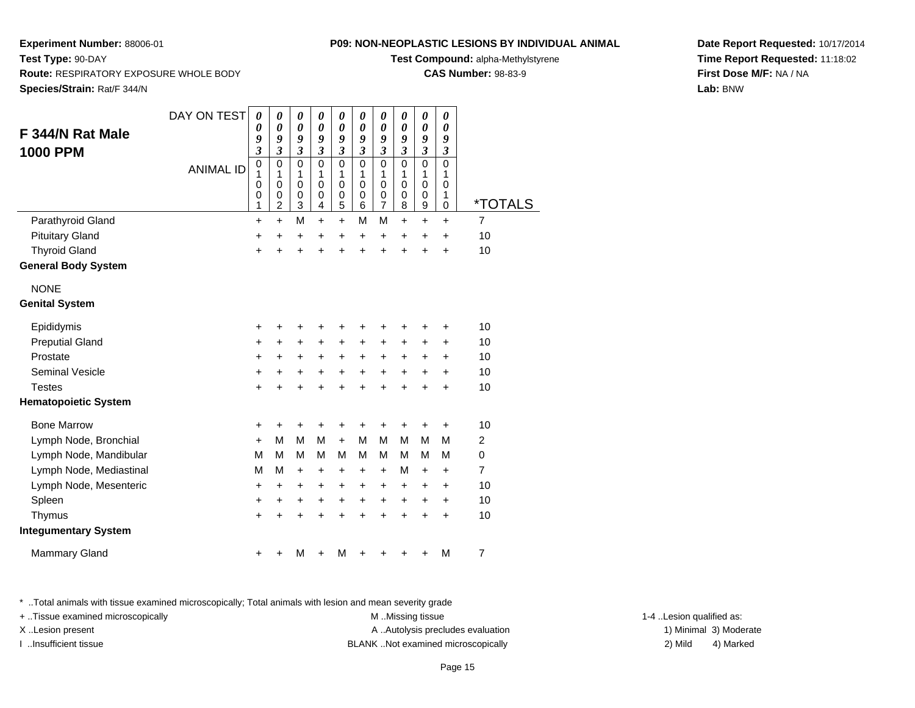**Test Compound:** alpha-Methylstyrene

**CAS Number:** 98-83-9

**Date Report Requested:** 10/17/2014**Time Report Requested:** 11:18:02**First Dose M/F:** NA / NA**Lab:** BNW

**Experiment Number:** 88006-01**Test Type:** 90-DAY **Route:** RESPIRATORY EXPOSURE WHOLE BODY**Species/Strain:** Rat/F 344/N

| F 344/N Rat Male<br><b>1000 PPM</b> | DAY ON TEST<br><b>ANIMAL ID</b> | $\boldsymbol{\theta}$<br>0<br>9<br>$\overline{\mathbf{3}}$<br>$\mathbf 0$<br>1<br>$\mathbf 0$<br>0<br>1 | $\boldsymbol{\theta}$<br>$\boldsymbol{\theta}$<br>9<br>$\mathfrak{z}$<br>$\mathbf 0$<br>1<br>$\mathbf 0$<br>$\pmb{0}$<br>$\overline{2}$ | 0<br>$\boldsymbol{\theta}$<br>9<br>$\mathfrak{z}$<br>$\Omega$<br>1<br>$\Omega$<br>0<br>3 | $\pmb{\theta}$<br>$\boldsymbol{\theta}$<br>9<br>$\mathfrak{z}$<br>$\Omega$<br>1<br>$\mathbf 0$<br>$\pmb{0}$<br>4 | 0<br>$\boldsymbol{\theta}$<br>9<br>$\mathfrak{z}$<br>$\Omega$<br>1<br>$\mathbf 0$<br>0<br>5 | 0<br>0<br>9<br>$\boldsymbol{\mathfrak{z}}$<br>$\mathbf 0$<br>1<br>$\mathbf 0$<br>0<br>6 | 0<br>0<br>9<br>$\mathfrak{z}$<br>$\Omega$<br>1<br>$\mathbf 0$<br>0<br>$\overline{7}$ | 0<br>0<br>9<br>$\mathfrak{z}$<br>$\mathbf 0$<br>1<br>$\mathbf 0$<br>0<br>8 | 0<br>$\boldsymbol{\theta}$<br>9<br>$\mathfrak{z}$<br>$\Omega$<br>1<br>$\mathbf 0$<br>0<br>9 | 0<br>0<br>9<br>3<br>$\mathbf 0$<br>1<br>0<br>1<br>0 | *TOTALS        |
|-------------------------------------|---------------------------------|---------------------------------------------------------------------------------------------------------|-----------------------------------------------------------------------------------------------------------------------------------------|------------------------------------------------------------------------------------------|------------------------------------------------------------------------------------------------------------------|---------------------------------------------------------------------------------------------|-----------------------------------------------------------------------------------------|--------------------------------------------------------------------------------------|----------------------------------------------------------------------------|---------------------------------------------------------------------------------------------|-----------------------------------------------------|----------------|
| Parathyroid Gland                   |                                 | $\ddot{}$                                                                                               | $\ddot{}$                                                                                                                               | M                                                                                        | $+$                                                                                                              | $+$                                                                                         | M                                                                                       | М                                                                                    | $\ddot{}$                                                                  | $\ddot{}$                                                                                   | $\ddot{}$                                           | $\overline{7}$ |
| <b>Pituitary Gland</b>              |                                 | $\ddot{}$                                                                                               | $\ddot{}$                                                                                                                               | $\ddot{}$                                                                                | $\ddot{}$                                                                                                        | $\ddot{}$                                                                                   | $\ddot{}$                                                                               | $\ddot{}$                                                                            | $\ddot{}$                                                                  | $\ddot{}$                                                                                   | $\ddot{}$                                           | 10             |
| <b>Thyroid Gland</b>                |                                 | $\ddot{}$                                                                                               | $\ddot{}$                                                                                                                               | $\ddot{}$                                                                                | $\ddot{}$                                                                                                        | $\ddot{}$                                                                                   | $\ddot{}$                                                                               | $\ddot{}$                                                                            | $\ddot{}$                                                                  | $\ddot{}$                                                                                   | $\ddot{}$                                           | 10             |
| <b>General Body System</b>          |                                 |                                                                                                         |                                                                                                                                         |                                                                                          |                                                                                                                  |                                                                                             |                                                                                         |                                                                                      |                                                                            |                                                                                             |                                                     |                |
| <b>NONE</b>                         |                                 |                                                                                                         |                                                                                                                                         |                                                                                          |                                                                                                                  |                                                                                             |                                                                                         |                                                                                      |                                                                            |                                                                                             |                                                     |                |
| <b>Genital System</b>               |                                 |                                                                                                         |                                                                                                                                         |                                                                                          |                                                                                                                  |                                                                                             |                                                                                         |                                                                                      |                                                                            |                                                                                             |                                                     |                |
| Epididymis                          |                                 | +                                                                                                       | +                                                                                                                                       | +                                                                                        | +                                                                                                                | +                                                                                           | +                                                                                       | +                                                                                    | +                                                                          | +                                                                                           | +                                                   | 10             |
| <b>Preputial Gland</b>              |                                 | +                                                                                                       | $\ddot{}$                                                                                                                               | +                                                                                        | +                                                                                                                | +                                                                                           | +                                                                                       | +                                                                                    | +                                                                          | +                                                                                           | $\ddot{}$                                           | 10             |
| Prostate                            |                                 | +                                                                                                       | +                                                                                                                                       | +                                                                                        | +                                                                                                                | +                                                                                           | +                                                                                       | +                                                                                    | +                                                                          | +                                                                                           | +                                                   | 10             |
| <b>Seminal Vesicle</b>              |                                 | +                                                                                                       | +                                                                                                                                       | +                                                                                        | +                                                                                                                | +                                                                                           | +                                                                                       | +                                                                                    | $\ddot{}$                                                                  | $\ddot{}$                                                                                   | $\ddot{}$                                           | 10             |
| <b>Testes</b>                       |                                 | $\ddot{}$                                                                                               | $\ddot{}$                                                                                                                               | $\ddot{}$                                                                                | $\ddot{}$                                                                                                        | $\ddot{}$                                                                                   | $\ddot{}$                                                                               | $\ddot{}$                                                                            | $\ddot{}$                                                                  | $\ddot{}$                                                                                   | $\ddot{}$                                           | 10             |
| <b>Hematopoietic System</b>         |                                 |                                                                                                         |                                                                                                                                         |                                                                                          |                                                                                                                  |                                                                                             |                                                                                         |                                                                                      |                                                                            |                                                                                             |                                                     |                |
| <b>Bone Marrow</b>                  |                                 | +                                                                                                       | +                                                                                                                                       | +                                                                                        | +                                                                                                                | +                                                                                           | +                                                                                       | +                                                                                    | +                                                                          | +                                                                                           | +                                                   | 10             |
| Lymph Node, Bronchial               |                                 | $\ddot{}$                                                                                               | M                                                                                                                                       | M                                                                                        | M                                                                                                                | $+$                                                                                         | M                                                                                       | M                                                                                    | M                                                                          | M                                                                                           | M                                                   | 2              |
| Lymph Node, Mandibular              |                                 | м                                                                                                       | M                                                                                                                                       | м                                                                                        | M                                                                                                                | м                                                                                           | м                                                                                       | м                                                                                    | M                                                                          | м                                                                                           | M                                                   | $\Omega$       |
| Lymph Node, Mediastinal             |                                 | М                                                                                                       | М                                                                                                                                       | $\ddot{}$                                                                                | +                                                                                                                | +                                                                                           | $\ddot{}$                                                                               | $\ddot{}$                                                                            | M                                                                          | $\ddot{}$                                                                                   | $\ddot{}$                                           | $\overline{7}$ |
| Lymph Node, Mesenteric              |                                 | $\ddot{}$                                                                                               | $\ddot{}$                                                                                                                               | $\ddot{}$                                                                                | $\ddot{}$                                                                                                        | $\ddot{}$                                                                                   | +                                                                                       | +                                                                                    | $\ddot{}$                                                                  | $\ddot{}$                                                                                   | $\ddot{}$                                           | 10             |
| Spleen                              |                                 | +                                                                                                       | $\ddot{}$                                                                                                                               | +                                                                                        | $\ddot{}$                                                                                                        | $\ddot{}$                                                                                   | $\ddot{}$                                                                               | $\ddot{}$                                                                            | +                                                                          | +                                                                                           | +                                                   | 10             |
| Thymus                              |                                 | $\ddot{}$                                                                                               | $\ddot{}$                                                                                                                               | $\ddot{}$                                                                                | $\ddot{}$                                                                                                        | $\ddot{}$                                                                                   | $\ddot{}$                                                                               | $\ddot{}$                                                                            | $\ddot{}$                                                                  | $\ddot{}$                                                                                   | $\ddot{}$                                           | 10             |
| <b>Integumentary System</b>         |                                 |                                                                                                         |                                                                                                                                         |                                                                                          |                                                                                                                  |                                                                                             |                                                                                         |                                                                                      |                                                                            |                                                                                             |                                                     |                |
| <b>Mammary Gland</b>                |                                 | +                                                                                                       |                                                                                                                                         | м                                                                                        |                                                                                                                  | м                                                                                           |                                                                                         |                                                                                      |                                                                            | +                                                                                           | M                                                   | 7              |

\* ..Total animals with tissue examined microscopically; Total animals with lesion and mean severity grade

+ ..Tissue examined microscopically M ...Missing tissue 1-4 ... M ...Missing tissue

X..Lesion present **A ..Autolysis precludes evaluation** A ..Autolysis precludes evaluation 1) Minimal 3) Moderate I ..Insufficient tissue BLANK ..Not examined microscopically 2) Mild 4) Marked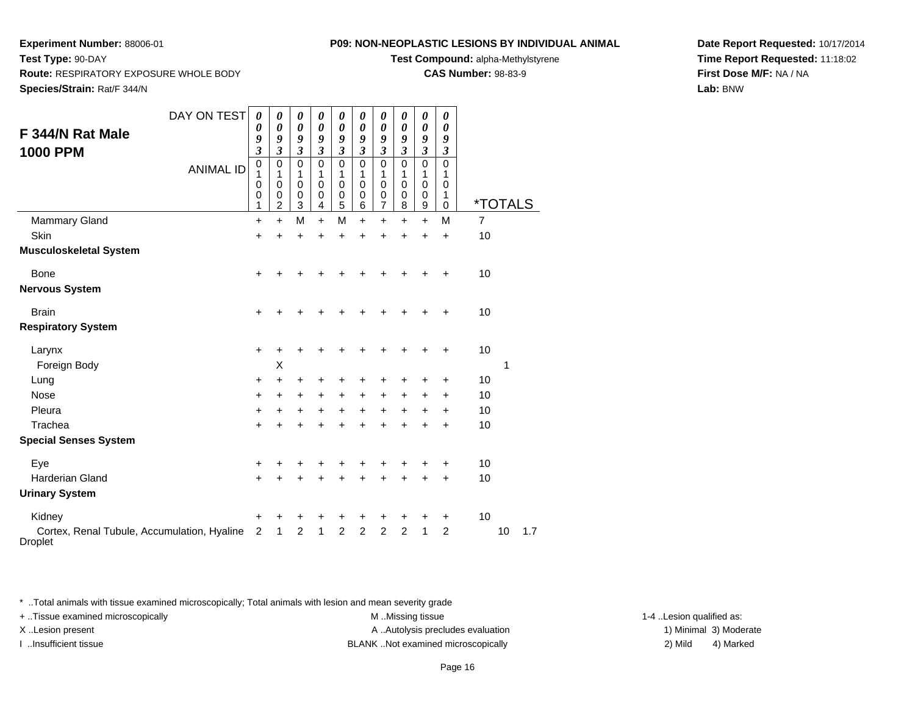**Test Compound:** alpha-Methylstyrene

**CAS Number:** 98-83-9

**Date Report Requested:** 10/17/2014**Time Report Requested:** 11:18:02**First Dose M/F:** NA / NA**Lab:** BNW

| F 344/N Rat Male<br><b>1000 PPM</b>                           | DAY ON TEST      | 0<br>0<br>9<br>$\overline{\mathbf{3}}$<br>$\mathbf 0$ | 0<br>0<br>9<br>$\overline{\mathbf{3}}$<br>$\mathbf 0$ | 0<br>$\boldsymbol{\theta}$<br>9<br>$\overline{\mathbf{3}}$<br>$\Omega$ | 0<br>0<br>9<br>$\overline{\mathbf{3}}$<br>$\mathbf 0$ | 0<br>0<br>9<br>$\mathfrak{z}$<br>$\mathbf 0$ | 0<br>0<br>9<br>$\mathfrak{z}$<br>$\mathbf 0$ | 0<br>0<br>9<br>$\mathfrak{z}$<br>$\mathbf 0$      | 0<br>0<br>9<br>$\mathfrak{z}$<br>$\mathbf 0$ | 0<br>0<br>9<br>$\mathfrak{z}$<br>$\mathbf 0$        | 0<br>0<br>9<br>3<br>$\mathbf 0$      |                       |    |     |
|---------------------------------------------------------------|------------------|-------------------------------------------------------|-------------------------------------------------------|------------------------------------------------------------------------|-------------------------------------------------------|----------------------------------------------|----------------------------------------------|---------------------------------------------------|----------------------------------------------|-----------------------------------------------------|--------------------------------------|-----------------------|----|-----|
|                                                               | <b>ANIMAL ID</b> | 1<br>0<br>0<br>1                                      | 1<br>$\mathbf 0$<br>0<br>$\overline{c}$               | 1<br>$\mathbf 0$<br>0<br>3                                             | 1<br>$\mathbf 0$<br>0<br>4                            | 1<br>$\mathbf 0$<br>$\mathbf 0$<br>5         | 1<br>$\mathbf 0$<br>0<br>6                   | 1<br>$\mathbf 0$<br>$\mathbf 0$<br>$\overline{7}$ | 1<br>$\mathbf 0$<br>$\mathbf 0$<br>8         | 1<br>$\mathbf 0$<br>$\mathbf 0$<br>$\boldsymbol{9}$ | 1<br>$\mathbf 0$<br>1<br>$\mathbf 0$ | <i><b>*TOTALS</b></i> |    |     |
| <b>Mammary Gland</b>                                          |                  | $\ddot{}$                                             | $\ddot{}$                                             | M                                                                      | $\ddot{}$                                             | M                                            | $\ddot{}$                                    | $\ddot{}$                                         | $\ddot{}$                                    | $\ddot{}$                                           | M                                    | $\overline{7}$        |    |     |
| Skin                                                          |                  | +                                                     | $\ddot{}$                                             | $\ddot{}$                                                              | $\ddot{}$                                             | $\ddot{}$                                    | $\ddot{}$                                    | +                                                 | +                                            | $\ddot{}$                                           | $\ddot{}$                            | 10                    |    |     |
| <b>Musculoskeletal System</b>                                 |                  |                                                       |                                                       |                                                                        |                                                       |                                              |                                              |                                                   |                                              |                                                     |                                      |                       |    |     |
| <b>Bone</b>                                                   |                  | +                                                     | +                                                     | +                                                                      | +                                                     | +                                            | +                                            | +                                                 | +                                            | +                                                   | +                                    | 10                    |    |     |
| <b>Nervous System</b>                                         |                  |                                                       |                                                       |                                                                        |                                                       |                                              |                                              |                                                   |                                              |                                                     |                                      |                       |    |     |
| <b>Brain</b>                                                  |                  | $\ddot{}$                                             | +                                                     | +                                                                      | +                                                     | +                                            | +                                            | +                                                 | ٠                                            | +                                                   | +                                    | 10                    |    |     |
| <b>Respiratory System</b>                                     |                  |                                                       |                                                       |                                                                        |                                                       |                                              |                                              |                                                   |                                              |                                                     |                                      |                       |    |     |
| Larynx                                                        |                  | +                                                     | +                                                     | +                                                                      | +                                                     | +                                            | +                                            | +                                                 | ٠                                            | +                                                   | +                                    | 10                    |    |     |
| Foreign Body                                                  |                  |                                                       | X                                                     |                                                                        |                                                       |                                              |                                              |                                                   |                                              |                                                     |                                      |                       | 1  |     |
| Lung                                                          |                  | +                                                     | +                                                     | +                                                                      | +                                                     | +                                            | +                                            | +                                                 | +                                            | +                                                   | +                                    | 10                    |    |     |
| <b>Nose</b>                                                   |                  | +                                                     | +                                                     | +                                                                      | +                                                     | +                                            | +                                            | $\ddot{}$                                         | +                                            | +                                                   | +                                    | 10                    |    |     |
| Pleura                                                        |                  | +                                                     | +                                                     | +                                                                      | +                                                     | +                                            | +                                            | $\ddot{}$                                         | +                                            | +                                                   | +                                    | 10                    |    |     |
| Trachea                                                       |                  | +                                                     |                                                       | +                                                                      | +                                                     | $\ddot{}$                                    | ÷                                            | $\ddot{}$                                         | $\ddot{}$                                    | $\ddot{}$                                           | $\ddot{}$                            | 10                    |    |     |
| <b>Special Senses System</b>                                  |                  |                                                       |                                                       |                                                                        |                                                       |                                              |                                              |                                                   |                                              |                                                     |                                      |                       |    |     |
| Eye                                                           |                  | +                                                     | +                                                     | +                                                                      | +                                                     | +                                            | +                                            | +                                                 | +                                            | +                                                   | +                                    | 10                    |    |     |
| <b>Harderian Gland</b>                                        |                  | +                                                     | +                                                     | +                                                                      | +                                                     | +                                            | +                                            | +                                                 | +                                            | +                                                   | +                                    | 10                    |    |     |
| <b>Urinary System</b>                                         |                  |                                                       |                                                       |                                                                        |                                                       |                                              |                                              |                                                   |                                              |                                                     |                                      |                       |    |     |
| Kidney                                                        |                  | +                                                     | +                                                     | +                                                                      | +                                                     | +                                            | +                                            | +                                                 | +                                            | +                                                   | +                                    | 10                    |    |     |
| Cortex, Renal Tubule, Accumulation, Hyaline<br><b>Droplet</b> |                  | $\overline{c}$                                        | 1                                                     | $\overline{2}$                                                         | 1                                                     | $\overline{2}$                               | $\overline{2}$                               | $\overline{c}$                                    | $\overline{c}$                               | $\mathbf{1}$                                        | $\overline{c}$                       |                       | 10 | 1.7 |

\* ..Total animals with tissue examined microscopically; Total animals with lesion and mean severity grade

+ ..Tissue examined microscopically M ...Missing tissue 1-4 ... M ...Missing tissue

X..Lesion present **A ..Autolysis precludes evaluation** A ..Autolysis precludes evaluation 1) Minimal 3) Moderate I ..Insufficient tissue BLANK ..Not examined microscopically 2) Mild 4) Marked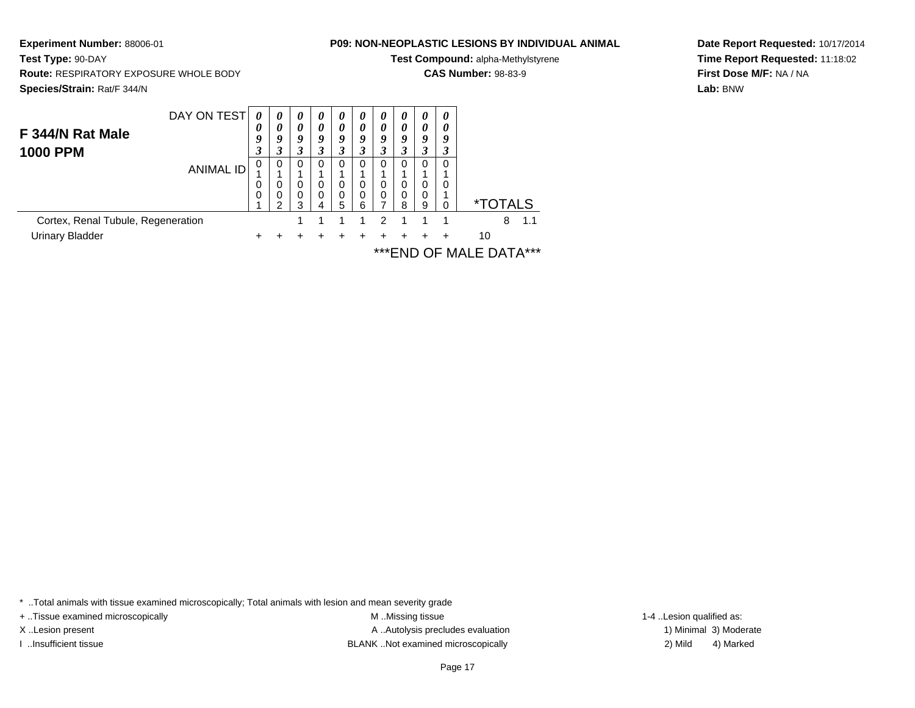**Experiment Number:** 88006-01**Test Type:** 90-DAY **Route:** RESPIRATORY EXPOSURE WHOLE BODY**Species/Strain:** Rat/F 344/N

## **P09: NON-NEOPLASTIC LESIONS BY INDIVIDUAL ANIMAL**

**Test Compound:** alpha-Methylstyrene

**CAS Number:** 98-83-9

**Date Report Requested:** 10/17/2014**Time Report Requested:** 11:18:02**First Dose M/F:** NA / NA**Lab:** BNW

|                                    | DAY ON TEST | $\theta$ | $\theta$ | $\theta$ | $\boldsymbol{\theta}$ | $\theta$ | 0 | $\theta$ | $\boldsymbol{\theta}$ | 0        | 0        |                       |
|------------------------------------|-------------|----------|----------|----------|-----------------------|----------|---|----------|-----------------------|----------|----------|-----------------------|
| F 344/N Rat Male                   |             | 0        | 0        | 0        | 0                     | 0        | 0 | 0        | 0                     | 0        | 0        |                       |
|                                    |             | 9        | 9        | 9        | Q                     | 9        | 9 | 9        | Q                     | 9        | 9        |                       |
| <b>1000 PPM</b>                    |             |          |          |          |                       |          |   |          | $\cdot$               | 3        | 3        |                       |
|                                    | ANIMAL ID   | 0        | $\Omega$ | $\Omega$ | <sup>0</sup>          | 0        | 0 | $\Omega$ | 0                     | $\Omega$ | 0        |                       |
|                                    |             |          |          |          |                       |          |   |          |                       |          |          |                       |
|                                    |             |          | 0        | 0        | 0                     | 0        | 0 | 0        | 0                     | 0        | 0        |                       |
|                                    |             | 0        | 0        | 0        |                       | 0        | 0 | 0        | 0                     | $\Omega$ |          |                       |
|                                    |             |          |          | з        | 4                     | 5        | 6 |          | 8                     | 9        | $\Omega$ | <i><b>*TOTALS</b></i> |
| Cortex, Renal Tubule, Regeneration |             |          |          |          |                       |          |   | 2        |                       |          |          | 1.1<br>8              |
| <b>Urinary Bladder</b>             |             |          |          |          |                       |          |   |          |                       |          | ÷        | 10                    |
|                                    |             |          |          |          |                       |          |   |          |                       |          |          |                       |

\*\*\*END OF MALE DATA\*\*\*

\* ..Total animals with tissue examined microscopically; Total animals with lesion and mean severity grade

+ ..Tissue examined microscopically examined microscopically examined as:  $M$  ..Missing tissue 1-4 ..Lesion qualified as:

X..Lesion present **A ..Autolysis precludes evaluation** A ..Autolysis precludes evaluation 1) Minimal 3) Moderate I ..Insufficient tissue 2) Mild and the SLANK ..Not examined microscopically and the SLANK ... Insufficient tissue

4) Marked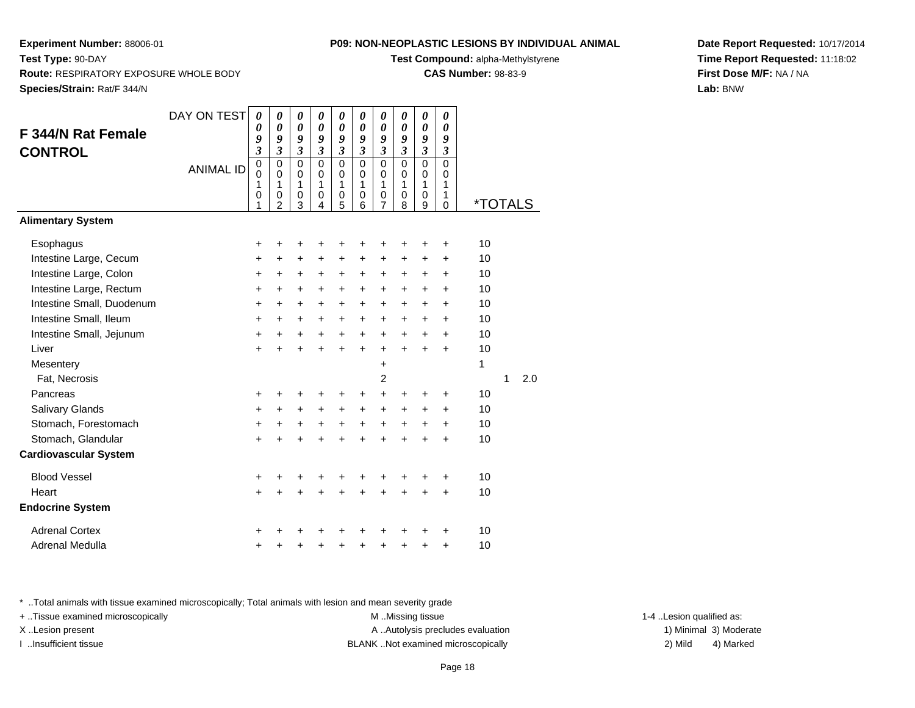**Test Compound:** alpha-Methylstyrene

**CAS Number:** 98-83-9

**Date Report Requested:** 10/17/2014**Time Report Requested:** 11:18:02**First Dose M/F:** NA / NA**Lab:** BNW

**Experiment Number:** 88006-01

|                              | DAY ON TEST      | 0                          | 0                          | 0                          | 0                          | 0                           | 0                          | 0                          | 0                          | 0                          | $\boldsymbol{\theta}$      |         |   |     |
|------------------------------|------------------|----------------------------|----------------------------|----------------------------|----------------------------|-----------------------------|----------------------------|----------------------------|----------------------------|----------------------------|----------------------------|---------|---|-----|
| <b>F 344/N Rat Female</b>    |                  | $\boldsymbol{\theta}$<br>9 | $\boldsymbol{\theta}$<br>9 | $\boldsymbol{\theta}$<br>9 | $\boldsymbol{\theta}$<br>9 | $\boldsymbol{\theta}$<br>9  | $\boldsymbol{\theta}$<br>9 | $\boldsymbol{\theta}$<br>9 | $\boldsymbol{\theta}$<br>9 | $\boldsymbol{\theta}$<br>9 | $\boldsymbol{\theta}$<br>9 |         |   |     |
| <b>CONTROL</b>               |                  | 3                          | $\mathfrak{z}$             | $\mathfrak{z}$             | $\overline{\mathbf{3}}$    | $\mathfrak{z}$              | $\overline{\mathbf{3}}$    | $\overline{\mathbf{3}}$    | $\mathfrak{z}$             | $\overline{\mathbf{3}}$    | $\mathfrak{z}$             |         |   |     |
|                              | <b>ANIMAL ID</b> | $\pmb{0}$                  | $\mathbf 0$                | $\mathbf 0$                | $\overline{0}$             | $\overline{0}$              | $\mathbf 0$                | 0                          | $\mathbf 0$                | $\overline{0}$             | $\mathbf 0$                |         |   |     |
|                              |                  | $\Omega$<br>1              | $\mathbf 0$<br>1           | $\mathbf 0$<br>1           | $\mathbf 0$<br>1           | $\mathbf 0$<br>$\mathbf{1}$ | $\mathbf 0$<br>1           | 0<br>1                     | $\Omega$<br>1              | $\mathbf 0$<br>1           | $\Omega$<br>1              |         |   |     |
|                              |                  | $\mathbf 0$                | $\mathbf 0$                | $\pmb{0}$                  | $\mathbf 0$                | $\pmb{0}$                   | 0                          | $\mathsf 0$                | $\mathbf 0$                | $\mathsf 0$                | $\mathbf{1}$               |         |   |     |
|                              |                  | 1                          | $\overline{2}$             | 3                          | 4                          | 5                           | 6                          | $\overline{7}$             | 8                          | 9                          | $\Omega$                   | *TOTALS |   |     |
| <b>Alimentary System</b>     |                  |                            |                            |                            |                            |                             |                            |                            |                            |                            |                            |         |   |     |
| Esophagus                    |                  | +                          | +                          | +                          | +                          | +                           | +                          | +                          | +                          | +                          | $\ddot{}$                  | 10      |   |     |
| Intestine Large, Cecum       |                  | +                          | +                          | $\ddot{}$                  | $\ddot{}$                  | $\ddot{}$                   | $\ddot{}$                  | +                          | $\ddot{}$                  | $\ddot{}$                  | $\ddot{}$                  | 10      |   |     |
| Intestine Large, Colon       |                  | +                          | +                          | +                          | +                          | $\ddot{}$                   | +                          | +                          | $\ddot{}$                  | $\ddot{}$                  | +                          | 10      |   |     |
| Intestine Large, Rectum      |                  | +                          | $\ddot{}$                  | $\ddot{}$                  | $\ddot{}$                  | +                           | $\ddot{}$                  | +                          | $\ddot{}$                  | $\ddot{}$                  | $\ddot{}$                  | 10      |   |     |
| Intestine Small, Duodenum    |                  | $\ddot{}$                  | $\ddot{}$                  | $\ddot{}$                  | $\ddot{}$                  | $\ddot{}$                   | $\ddot{}$                  | $\ddot{}$                  | $\ddot{}$                  | $\ddot{}$                  | $\ddot{}$                  | 10      |   |     |
| Intestine Small, Ileum       |                  | $\ddot{}$                  | $+$                        | $\ddot{}$                  | $\ddot{}$                  | $\ddot{}$                   | $\ddot{}$                  | +                          | $\ddot{}$                  | $\ddot{}$                  | $\ddot{}$                  | 10      |   |     |
| Intestine Small, Jejunum     |                  | $\ddot{}$                  | $\ddot{}$                  | $+$                        | $+$                        | $+$                         | $+$                        | $+$                        | $\ddot{}$                  | $+$                        | $\ddot{}$                  | 10      |   |     |
| Liver                        |                  | +                          | $\ddot{}$                  | $\ddot{}$                  | $\ddot{}$                  | $\ddot{}$                   | $\ddot{}$                  | +                          | $\ddot{}$                  | $\ddot{}$                  | $\ddot{}$                  | 10      |   |     |
| Mesentery                    |                  |                            |                            |                            |                            |                             |                            | $\ddot{}$                  |                            |                            |                            | 1       |   |     |
| Fat, Necrosis                |                  |                            |                            |                            |                            |                             |                            | 2                          |                            |                            |                            |         | 1 | 2.0 |
| Pancreas                     |                  | +                          | +                          | +                          | ٠                          | +                           | +                          | $\ddot{}$                  | +                          | +                          | +                          | 10      |   |     |
| Salivary Glands              |                  | +                          | $\ddot{}$                  | $+$                        | +                          | $\ddot{}$                   | +                          | $\ddot{}$                  | $\ddot{}$                  | $\ddot{}$                  | $\ddot{}$                  | 10      |   |     |
| Stomach, Forestomach         |                  | +                          | +                          | +                          | +                          | $\ddot{}$                   | $\ddot{}$                  | $\ddot{}$                  | $\ddot{}$                  | $\ddot{}$                  | +                          | 10      |   |     |
| Stomach, Glandular           |                  | $\ddot{}$                  | $\ddot{}$                  | $\ddot{}$                  | $\ddot{}$                  | $\ddot{}$                   | $\ddot{}$                  | $\ddot{}$                  | ÷                          | $\ddot{}$                  | ÷                          | 10      |   |     |
| <b>Cardiovascular System</b> |                  |                            |                            |                            |                            |                             |                            |                            |                            |                            |                            |         |   |     |
| <b>Blood Vessel</b>          |                  | +                          | +                          | +                          | +                          | +                           | +                          | +                          | +                          | +                          | $\ddot{}$                  | 10      |   |     |
| Heart                        |                  | +                          | +                          | $\ddot{}$                  | +                          | +                           | $\ddot{}$                  | $\ddot{}$                  | $\ddot{}$                  | +                          | +                          | 10      |   |     |
| <b>Endocrine System</b>      |                  |                            |                            |                            |                            |                             |                            |                            |                            |                            |                            |         |   |     |
| <b>Adrenal Cortex</b>        |                  | +                          |                            |                            |                            | +                           |                            | +                          |                            | +                          | ٠                          | 10      |   |     |
| Adrenal Medulla              |                  | +                          | +                          | +                          | +                          | +                           | +                          | +                          | $\ddot{}$                  | +                          | $\ddot{}$                  | 10      |   |     |

\* ..Total animals with tissue examined microscopically; Total animals with lesion and mean severity grade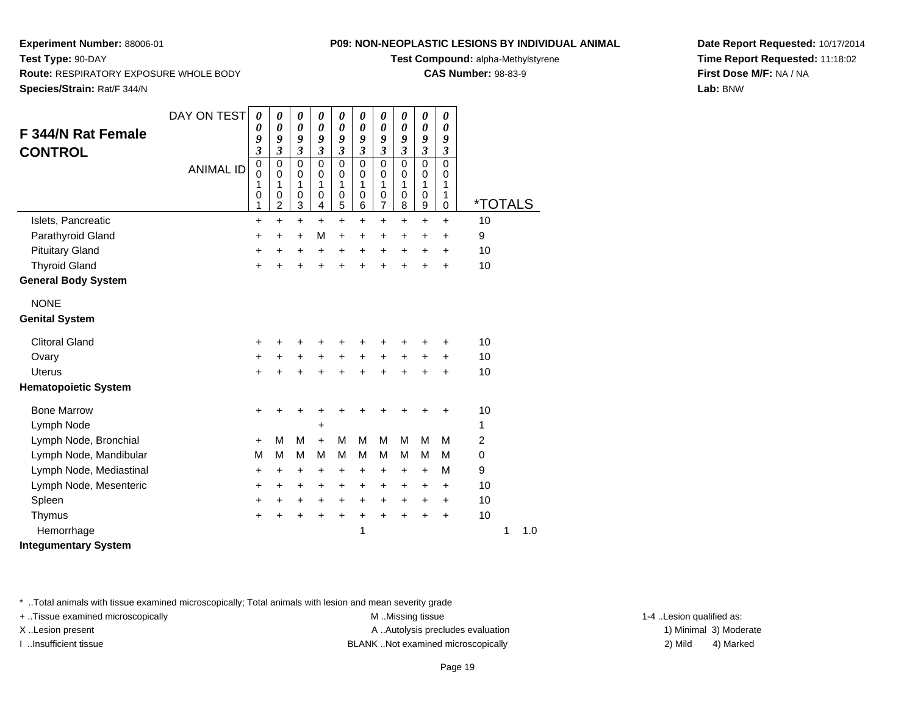**Test Compound:** alpha-Methylstyrene

**CAS Number:** 98-83-9

**Date Report Requested:** 10/17/2014**Time Report Requested:** 11:18:02**First Dose M/F:** NA / NA**Lab:** BNW

|                             | DAY ON TEST      | $\boldsymbol{\theta}$<br>0 | 0<br>0                        | $\boldsymbol{\theta}$<br>$\boldsymbol{\theta}$ | 0<br>0           | $\boldsymbol{\theta}$<br>$\boldsymbol{\theta}$ | $\boldsymbol{\theta}$<br>$\boldsymbol{\theta}$ | 0<br>0                        | $\boldsymbol{\theta}$<br>0 | $\pmb{\theta}$<br>$\boldsymbol{\theta}$ | $\boldsymbol{\theta}$<br>0 |                       |   |     |
|-----------------------------|------------------|----------------------------|-------------------------------|------------------------------------------------|------------------|------------------------------------------------|------------------------------------------------|-------------------------------|----------------------------|-----------------------------------------|----------------------------|-----------------------|---|-----|
| <b>F 344/N Rat Female</b>   |                  | 9                          | 9                             | 9                                              | 9                | 9                                              | 9                                              | 9                             | 9                          | 9                                       | 9                          |                       |   |     |
| <b>CONTROL</b>              |                  | 3                          | $\mathfrak{z}$                | $\mathfrak{z}$                                 | 3                | 3                                              | $\mathfrak{z}$                                 | $\boldsymbol{\beta}$          | $\boldsymbol{\beta}$       | $\boldsymbol{\mathfrak{z}}$             | $\boldsymbol{\beta}$       |                       |   |     |
|                             | <b>ANIMAL ID</b> | $\mathbf 0$<br>$\Omega$    | $\mathbf 0$<br>$\mathbf 0$    | $\mathbf 0$<br>$\mathbf 0$                     | $\mathbf 0$<br>0 | $\mathbf 0$<br>$\mathbf 0$                     | $\mathbf 0$<br>$\Omega$                        | 0<br>$\Omega$                 | $\mathbf 0$<br>$\Omega$    | $\mathbf 0$<br>$\mathbf 0$              | $\mathbf 0$<br>$\Omega$    |                       |   |     |
|                             |                  | 1                          | 1                             | 1                                              | 1                | 1                                              | 1                                              | 1                             | 1                          | 1                                       | 1                          |                       |   |     |
|                             |                  | $\mathbf 0$<br>1           | $\mathbf 0$<br>$\overline{c}$ | $\mathbf 0$<br>3                               | 0<br>4           | $\pmb{0}$<br>$\sqrt{5}$                        | $\mathbf 0$<br>6                               | $\mathbf 0$<br>$\overline{7}$ | $\mathbf 0$<br>8           | $\pmb{0}$<br>$\boldsymbol{9}$           | 1<br>$\mathbf 0$           | <i><b>*TOTALS</b></i> |   |     |
| Islets, Pancreatic          |                  | $\ddot{}$                  | $\ddot{}$                     | $\ddot{}$                                      | $\ddot{}$        | $\ddot{}$                                      | $\ddot{}$                                      | $\ddot{}$                     | $\ddot{}$                  | $\ddot{}$                               | $\ddot{}$                  | 10                    |   |     |
| Parathyroid Gland           |                  | +                          | +                             | $\ddot{}$                                      | M                | +                                              | $\ddot{}$                                      | $\ddot{}$                     | $\ddot{}$                  | $\ddot{}$                               | $\ddot{}$                  | 9                     |   |     |
| <b>Pituitary Gland</b>      |                  | $\ddot{}$                  | +                             | $\ddot{}$                                      | $\ddot{}$        | +                                              | $\ddot{}$                                      | $\ddot{}$                     | $\ddot{}$                  | $\ddot{}$                               | $\ddot{}$                  | 10                    |   |     |
| <b>Thyroid Gland</b>        |                  | $\ddot{}$                  | $\ddot{}$                     | $\ddot{}$                                      | $\ddot{}$        | $\ddot{}$                                      | $\ddot{}$                                      | $\ddot{}$                     | $\ddot{}$                  | $\ddot{}$                               | $\ddot{}$                  | 10                    |   |     |
| <b>General Body System</b>  |                  |                            |                               |                                                |                  |                                                |                                                |                               |                            |                                         |                            |                       |   |     |
| <b>NONE</b>                 |                  |                            |                               |                                                |                  |                                                |                                                |                               |                            |                                         |                            |                       |   |     |
| <b>Genital System</b>       |                  |                            |                               |                                                |                  |                                                |                                                |                               |                            |                                         |                            |                       |   |     |
| <b>Clitoral Gland</b>       |                  | +                          | +                             | +                                              | +                | +                                              | +                                              | +                             |                            |                                         | +                          | 10                    |   |     |
| Ovary                       |                  | +                          | +                             | $\ddot{}$                                      | $\ddot{}$        | $\ddot{}$                                      | $\ddot{}$                                      | $\ddot{}$                     | $\ddot{}$                  | +                                       | +                          | 10                    |   |     |
| <b>Uterus</b>               |                  | $\ddot{}$                  |                               | $\ddot{}$                                      | +                | $\ddot{}$                                      | $\ddot{}$                                      | $\ddot{}$                     | $\ddot{}$                  | $\ddot{}$                               | $\ddot{}$                  | 10                    |   |     |
| <b>Hematopoietic System</b> |                  |                            |                               |                                                |                  |                                                |                                                |                               |                            |                                         |                            |                       |   |     |
| <b>Bone Marrow</b>          |                  | +                          | +                             | +                                              | +                | +                                              |                                                | +                             |                            |                                         | +                          | 10                    |   |     |
| Lymph Node                  |                  |                            |                               |                                                | +                |                                                |                                                |                               |                            |                                         |                            | 1                     |   |     |
| Lymph Node, Bronchial       |                  | $\ddot{}$                  | M                             | M                                              | $+$              | M                                              | M                                              | M                             | M                          | M                                       | M                          | 2                     |   |     |
| Lymph Node, Mandibular      |                  | M                          | M                             | м                                              | M                | M                                              | M                                              | M                             | M                          | M                                       | M                          | 0                     |   |     |
| Lymph Node, Mediastinal     |                  | +                          | $\ddot{}$                     | $\ddot{}$                                      | $\ddot{}$        | $\ddot{}$                                      | $\ddot{}$                                      | +                             | +                          | $\ddot{}$                               | M                          | 9                     |   |     |
| Lymph Node, Mesenteric      |                  | $\ddot{}$                  | $\ddot{}$                     | $\ddot{}$                                      | $\ddot{}$        | $\ddot{}$                                      | $\ddot{}$                                      | $\ddot{}$                     | $\ddot{}$                  | $\ddot{}$                               | $\ddot{}$                  | 10                    |   |     |
| Spleen                      |                  | +                          | +                             | +                                              | $\ddot{}$        | $\ddot{}$                                      | $\ddot{}$                                      | $\ddot{}$                     | $\ddot{}$                  | +                                       | +                          | 10                    |   |     |
| Thymus                      |                  | $\ddot{}$                  | $\ddot{}$                     | $\ddot{}$                                      | $\ddot{}$        | $\ddot{}$                                      | $\ddot{}$                                      | $\ddot{}$                     | $\ddot{}$                  | $\ddot{}$                               | $\ddot{}$                  | 10                    |   |     |
| Hemorrhage                  |                  |                            |                               |                                                |                  |                                                | 1                                              |                               |                            |                                         |                            |                       | 1 | 1.0 |
| <b>Integumentary System</b> |                  |                            |                               |                                                |                  |                                                |                                                |                               |                            |                                         |                            |                       |   |     |

\* ..Total animals with tissue examined microscopically; Total animals with lesion and mean severity grade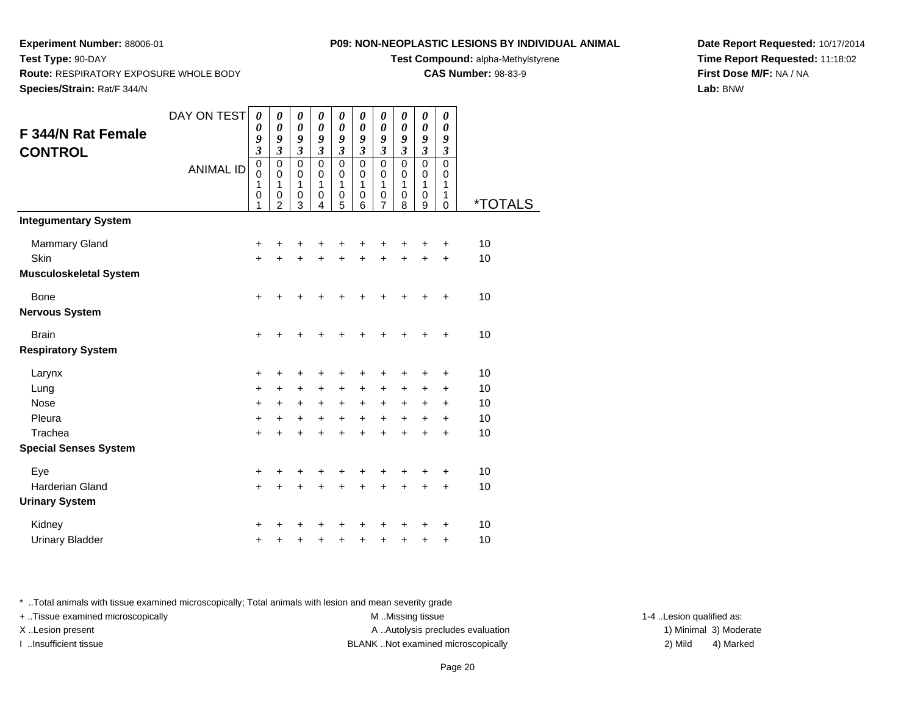**Test Compound:** alpha-Methylstyrene

**CAS Number:** 98-83-9

**Date Report Requested:** 10/17/2014**Time Report Requested:** 11:18:02**First Dose M/F:** NA / NA**Lab:** BNW

**Experiment Number:** 88006-01**Test Type:** 90-DAY **Route:** RESPIRATORY EXPOSURE WHOLE BODY**Species/Strain:** Rat/F 344/N

|                               | DAY ON TEST      | $\boldsymbol{\theta}$ | 0                             | 0                         | 0                         | 0                         | 0                         | 0                         | 0                   | 0                   | 0                         |                       |
|-------------------------------|------------------|-----------------------|-------------------------------|---------------------------|---------------------------|---------------------------|---------------------------|---------------------------|---------------------|---------------------|---------------------------|-----------------------|
| F 344/N Rat Female            |                  | $\boldsymbol{\theta}$ | $\boldsymbol{\theta}$         | $\boldsymbol{\theta}$     | $\boldsymbol{\theta}$     | $\boldsymbol{\theta}$     | $\boldsymbol{\theta}$     | $\boldsymbol{\theta}$     | 0                   | 0                   | 0                         |                       |
|                               |                  | 9<br>$\mathfrak{z}$   | 9<br>$\mathfrak{z}$           | 9<br>$\boldsymbol{\beta}$ | 9<br>$\boldsymbol{\beta}$ | 9<br>$\boldsymbol{\beta}$ | 9<br>$\boldsymbol{\beta}$ | 9<br>$\boldsymbol{\beta}$ | 9<br>$\mathfrak{z}$ | 9<br>$\mathfrak{z}$ | 9<br>$\boldsymbol{\beta}$ |                       |
| <b>CONTROL</b>                |                  | $\mathbf 0$           | $\mathbf 0$                   | $\mathbf 0$               | $\mathbf 0$               | $\mathbf 0$               | $\mathbf 0$               | $\mathbf 0$               | $\mathbf 0$         | $\mathbf 0$         | $\mathbf 0$               |                       |
|                               | <b>ANIMAL ID</b> | $\mathbf 0$           | $\mathbf 0$                   | $\Omega$                  | $\mathbf 0$               | $\Omega$                  | 0                         | 0                         | 0                   | $\mathbf 0$         | 0                         |                       |
|                               |                  | 1                     | 1                             | 1                         | 1                         | 1                         | 1                         | 1                         | 1                   | 1                   | 1                         |                       |
|                               |                  | $\mathbf 0$<br>1      | $\mathbf 0$<br>$\overline{2}$ | 0<br>3                    | 0<br>4                    | $\pmb{0}$<br>5            | $\pmb{0}$<br>6            | $\pmb{0}$<br>7            | $\pmb{0}$<br>8      | 0<br>9              | 1<br>$\mathbf 0$          | <i><b>*TOTALS</b></i> |
| <b>Integumentary System</b>   |                  |                       |                               |                           |                           |                           |                           |                           |                     |                     |                           |                       |
| <b>Mammary Gland</b>          |                  | +                     | +                             | +                         | +                         | ٠                         | +                         | ٠                         | +                   | +                   | $\ddot{}$                 | 10                    |
| Skin                          |                  | $+$                   | $+$                           | $+$                       | $+$                       | $\ddot{}$                 | $+$                       | $\ddot{}$                 | $+$                 | $\ddot{}$           | $\ddot{}$                 | 10                    |
| <b>Musculoskeletal System</b> |                  |                       |                               |                           |                           |                           |                           |                           |                     |                     |                           |                       |
| Bone                          |                  | $\ddot{}$             | +                             | +                         | +                         | +                         | +                         | +                         | +                   | +                   | +                         | 10                    |
| <b>Nervous System</b>         |                  |                       |                               |                           |                           |                           |                           |                           |                     |                     |                           |                       |
| <b>Brain</b>                  |                  | $\ddot{}$             | +                             | +                         | +                         | +                         | +                         | +                         | +                   | ٠                   | $\ddot{}$                 | 10                    |
| <b>Respiratory System</b>     |                  |                       |                               |                           |                           |                           |                           |                           |                     |                     |                           |                       |
| Larynx                        |                  | +                     | +                             | +                         | +                         | +                         | +                         | +                         | +                   | +                   | +                         | 10                    |
| Lung                          |                  | +                     | $\ddot{}$                     | +                         | $\ddot{}$                 | $\ddot{}$                 | $\ddot{}$                 | $\ddot{}$                 | $\ddot{}$           | +                   | +                         | 10                    |
| <b>Nose</b>                   |                  | $\ddot{}$             | $\ddot{}$                     | $\ddot{}$                 | $+$                       | $\ddot{}$                 | $\ddot{}$                 | $\ddot{}$                 | $+$                 | $\ddot{}$           | $\ddot{}$                 | 10                    |
| Pleura                        |                  | $\ddot{}$             | $\ddot{}$                     | +                         | $\ddot{}$                 | $\ddot{}$                 | $\ddot{}$                 | $\ddot{}$                 | +                   | $\ddot{}$           | $\ddot{}$                 | 10                    |
| Trachea                       |                  | $\ddot{}$             | $\ddot{}$                     | $\ddot{}$                 | +                         | $\ddot{}$                 | $\ddot{}$                 | $\ddot{}$                 | $\ddot{}$           | $\ddot{}$           | $\ddot{}$                 | 10                    |
| <b>Special Senses System</b>  |                  |                       |                               |                           |                           |                           |                           |                           |                     |                     |                           |                       |
| Eye                           |                  | +                     | +                             | +                         | +                         | +                         | +                         | +                         | +                   | +                   | +                         | 10                    |
| <b>Harderian Gland</b>        |                  | $\ddot{}$             | $\ddot{}$                     | $\ddot{}$                 | +                         | $\ddot{}$                 | $\ddot{}$                 | $\ddot{}$                 | $\ddot{}$           | $\ddot{}$           | $\ddot{}$                 | 10                    |
| <b>Urinary System</b>         |                  |                       |                               |                           |                           |                           |                           |                           |                     |                     |                           |                       |
| Kidney                        |                  | ٠                     | +                             | +                         | +                         | +                         | +                         | +                         | +                   | +                   | +                         | 10                    |
| <b>Urinary Bladder</b>        |                  | +                     | +                             | +                         | +                         | +                         | +                         | +                         | +                   | +                   | +                         | 10                    |

\* ..Total animals with tissue examined microscopically; Total animals with lesion and mean severity grade

+ ..Tissue examined microscopically M ...Missing tissue 1-4 ... M ...Missing tissue

X..Lesion present **A ..Autolysis precludes evaluation** A ..Autolysis precludes evaluation 1) Minimal 3) Moderate I ..Insufficient tissue BLANK ..Not examined microscopically 2) Mild 4) Marked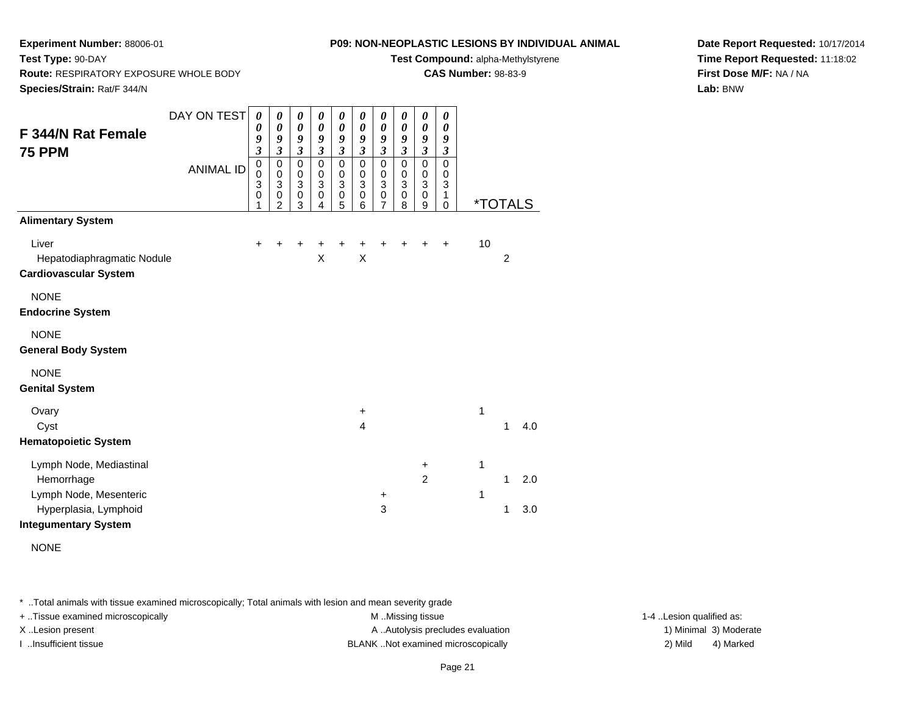**Route:** RESPIRATORY EXPOSURE WHOLE BODY

**Test Type:** 90-DAY

## **P09: NON-NEOPLASTIC LESIONS BY INDIVIDUAL ANIMAL**

**Test Compound:** alpha-Methylstyrene

**CAS Number:** 98-83-9

**Date Report Requested:** 10/17/2014**Time Report Requested:** 11:18:02**First Dose M/F:** NA / NA**Lab:** BNW

**Species/Strain:** Rat/F 344/NDAY ON TEST**F 344/N Rat Female75 PPM**ANIMAL ID*0 0 9 3* 0 0 3 0 1*0 0 9 3* 0 0 3 0 2*0 0 9 3* 0 0 3 0 3*0 0 9 3* 0 0 3 0 4*0 0 9 3* 0 0 3 0 5*0 0 9 3* 0 0 3 0 6*0 0 9 3* 0 0 3 0 7*0 0 9 3* 0 0 3 0 8*0 0 9 3* 0 0 3 0 9*0 0 9 3* 0 0 3 1 $\overline{0}$ 0 \*TOTALS**Alimentary System**Liver $\mathsf{r}$  + <sup>+</sup> <sup>+</sup> <sup>+</sup> <sup>+</sup> <sup>+</sup> <sup>+</sup> <sup>+</sup> <sup>+</sup> + 10 Hepatodiaphragmatic Nodulee X  $X$   $X$  2 **Cardiovascular System**NONE **Endocrine System**NONE **General Body System**NONE **Genital System**Ovaryy the set of  $\sim$  1 Cystt  $\sim$  4 <sup>1</sup> 4.0 **Hematopoietic System**Lymph Node, Mediastinal + 1Hemorrhagee 2 1 2.0 Lymph Node, Mesentericc  $+$  1 Hyperplasia, Lymphoidd  $3$  1 3.0 **Integumentary System**

\* ..Total animals with tissue examined microscopically; Total animals with lesion and mean severity grade

+ ..Tissue examined microscopically examined microscopically examined as: M ..Missing tissue 1-4 ..Lesion qualified as: X..Lesion present **A ..**Autolysis precludes evaluation A ..Autolysis precludes evaluation 1) Minimal 3) Moderate

I ..Insufficient tissue BLANK ..Not examined microscopically 2) Mild 4) Marked

NONE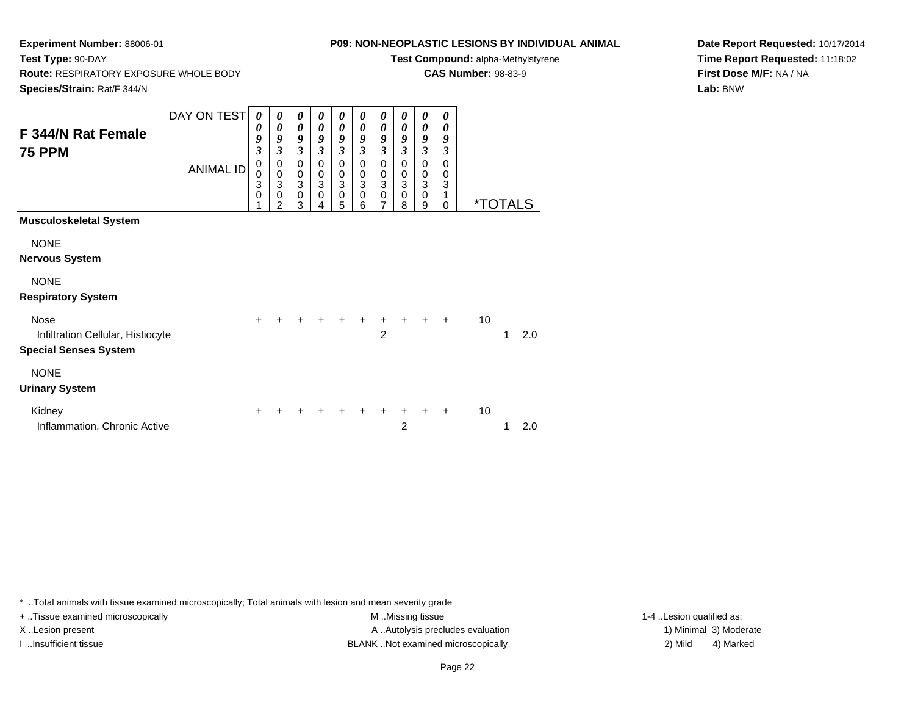**Experiment Number:** 88006-01**Test Type:** 90-DAY

**Route:** RESPIRATORY EXPOSURE WHOLE BODY

## **P09: NON-NEOPLASTIC LESIONS BY INDIVIDUAL ANIMAL**

**Test Compound:** alpha-Methylstyrene

**CAS Number:** 98-83-9

**Species/Strain:** Rat/F 344/N

**Date Report Requested:** 10/17/2014**Time Report Requested:** 11:18:02**First Dose M/F:** NA / NA**Lab:** BNW

| Species/Strain: Rat/F 344/N                                                      |                  |                                           |                                                            |                                                                           |                                                   |                                                               |                                            |                                                                           |                                        |                                                            |                       |    |                       |     |
|----------------------------------------------------------------------------------|------------------|-------------------------------------------|------------------------------------------------------------|---------------------------------------------------------------------------|---------------------------------------------------|---------------------------------------------------------------|--------------------------------------------|---------------------------------------------------------------------------|----------------------------------------|------------------------------------------------------------|-----------------------|----|-----------------------|-----|
| F 344/N Rat Female<br><b>75 PPM</b>                                              | DAY ON TEST      | 0<br>0<br>9<br>$\mathfrak{z}$             | $\boldsymbol{\theta}$<br>0<br>9<br>$\overline{\mathbf{3}}$ | 0<br>0<br>9<br>$\mathfrak{z}$                                             | 0<br>$\boldsymbol{\theta}$<br>9<br>$\mathfrak{z}$ | 0<br>0<br>9<br>$\boldsymbol{\mathfrak{z}}$                    | 0<br>0<br>9<br>3                           | 0<br>0<br>9<br>3                                                          | 0<br>0<br>9<br>$\overline{\mathbf{3}}$ | 0<br>$\boldsymbol{\theta}$<br>9<br>$\overline{\mathbf{3}}$ | 0<br>0<br>9<br>3      |    |                       |     |
|                                                                                  | <b>ANIMAL ID</b> | $\mathbf 0$<br>0<br>3<br>$\mathbf 0$<br>1 | 0<br>$\pmb{0}$<br>3<br>$\mathbf 0$<br>$\overline{2}$       | $\mathbf 0$<br>$\mathbf 0$<br>$\ensuremath{\mathsf{3}}$<br>$\pmb{0}$<br>3 | 0<br>$\mathbf 0$<br>3<br>$\mathbf 0$<br>4         | 0<br>$\pmb{0}$<br>$\ensuremath{\mathsf{3}}$<br>$\pmb{0}$<br>5 | 0<br>0<br>$\mathbf{3}$<br>$\mathbf 0$<br>6 | 0<br>$\boldsymbol{0}$<br>$\ensuremath{\mathsf{3}}$<br>$\overline{0}$<br>7 | 0<br>0<br>3<br>0<br>8                  | 0<br>$\mathbf 0$<br>$\mathbf{3}$<br>$\pmb{0}$<br>9         | 0<br>0<br>3<br>1<br>0 |    | <i><b>*TOTALS</b></i> |     |
| <b>Musculoskeletal System</b>                                                    |                  |                                           |                                                            |                                                                           |                                                   |                                                               |                                            |                                                                           |                                        |                                                            |                       |    |                       |     |
| <b>NONE</b><br><b>Nervous System</b>                                             |                  |                                           |                                                            |                                                                           |                                                   |                                                               |                                            |                                                                           |                                        |                                                            |                       |    |                       |     |
| <b>NONE</b><br><b>Respiratory System</b>                                         |                  |                                           |                                                            |                                                                           |                                                   |                                                               |                                            |                                                                           |                                        |                                                            |                       |    |                       |     |
| <b>Nose</b><br>Infiltration Cellular, Histiocyte<br><b>Special Senses System</b> |                  | $\ddot{}$                                 |                                                            |                                                                           |                                                   |                                                               |                                            | +<br>$\overline{2}$                                                       |                                        |                                                            | $+$                   | 10 | 1                     | 2.0 |
| <b>NONE</b><br><b>Urinary System</b>                                             |                  |                                           |                                                            |                                                                           |                                                   |                                                               |                                            |                                                                           |                                        |                                                            |                       |    |                       |     |
| Kidney<br>Inflammation, Chronic Active                                           |                  | $\ddot{}$                                 |                                                            |                                                                           |                                                   |                                                               |                                            |                                                                           | 2                                      |                                                            |                       | 10 |                       | 2.0 |

\* ..Total animals with tissue examined microscopically; Total animals with lesion and mean severity grade

+ ..Tissue examined microscopically M ...Missing tissue 1-4 ... M ...Missing tissue

X..Lesion present **A ..Autolysis precludes evaluation** A ..Autolysis precludes evaluation 1) Minimal 3) Moderate I ..Insufficient tissue BLANK ..Not examined microscopically 2) Mild 4) Marked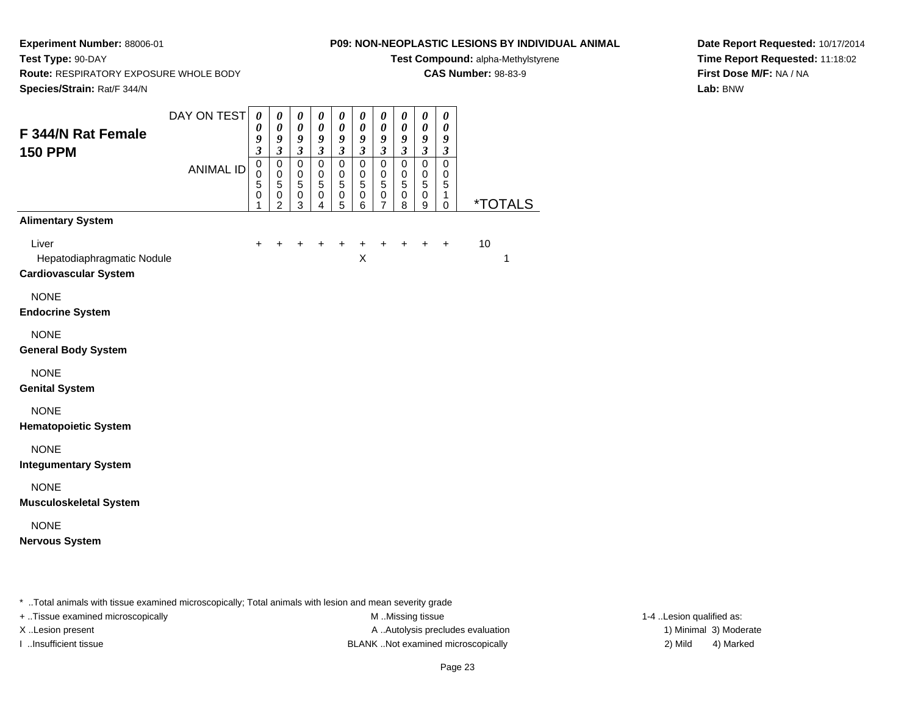**Test Type:** 90-DAY

## **P09: NON-NEOPLASTIC LESIONS BY INDIVIDUAL ANIMAL**

**Test Compound:** alpha-Methylstyrene

**CAS Number:** 98-83-9

**Date Report Requested:** 10/17/2014**Time Report Requested:** 11:18:02**First Dose M/F:** NA / NA**Lab:** BNW

 **Route:** RESPIRATORY EXPOSURE WHOLE BODY**Species/Strain:** Rat/F 344/N

| F 344/N Rat Female<br><b>150 PPM</b>                                | DAY ON TEST<br><b>ANIMAL ID</b> | $\boldsymbol{\theta}$<br>0<br>9<br>$\mathfrak{z}$<br>$\mathbf 0$<br>0<br>5<br>$\mathbf 0$<br>1 | $\boldsymbol{\theta}$<br>$\boldsymbol{\theta}$<br>9<br>$\boldsymbol{\beta}$<br>$\pmb{0}$<br>$\pmb{0}$<br>5<br>$\begin{smallmatrix} 0\\2 \end{smallmatrix}$ | 0<br>$\pmb{\theta}$<br>9<br>$\mathfrak{z}$<br>$\mathbf 0$<br>$\pmb{0}$<br>5<br>0<br>3 | 0<br>$\pmb{\theta}$<br>9<br>$\boldsymbol{\beta}$<br>$\mathbf 0$<br>0<br>$\overline{5}$<br>$\begin{smallmatrix}0\0\4\end{smallmatrix}$ | 0<br>$\boldsymbol{\theta}$<br>9<br>$\mathfrak{z}$<br>0<br>0<br>5<br>0<br>5 | $\boldsymbol{\theta}$<br>$\boldsymbol{\theta}$<br>9<br>$\boldsymbol{\beta}$<br>$\pmb{0}$<br>0<br>5<br>$\mathbf 0$<br>6 | $\boldsymbol{\theta}$<br>$\pmb{\theta}$<br>9<br>$\mathfrak{z}$<br>$\pmb{0}$<br>0<br>$\overline{5}$<br>0<br>$\overline{7}$ | $\boldsymbol{\theta}$<br>$\boldsymbol{\theta}$<br>9<br>$\mathfrak{z}$<br>$\pmb{0}$<br>$\pmb{0}$<br>5<br>$\pmb{0}$<br>8 | $\pmb{\theta}$<br>$\boldsymbol{\theta}$<br>$\boldsymbol{9}$<br>$\mathfrak{z}$<br>$\pmb{0}$<br>$\mathbf 0$<br>$\sqrt{5}$<br>$\pmb{0}$<br>9 | $\boldsymbol{\theta}$<br>$\boldsymbol{\theta}$<br>9<br>$\boldsymbol{\beta}$<br>$\mathbf 0$<br>$\pmb{0}$<br>5<br>1<br>$\Omega$ | <i><b>*TOTALS</b></i> |
|---------------------------------------------------------------------|---------------------------------|------------------------------------------------------------------------------------------------|------------------------------------------------------------------------------------------------------------------------------------------------------------|---------------------------------------------------------------------------------------|---------------------------------------------------------------------------------------------------------------------------------------|----------------------------------------------------------------------------|------------------------------------------------------------------------------------------------------------------------|---------------------------------------------------------------------------------------------------------------------------|------------------------------------------------------------------------------------------------------------------------|-------------------------------------------------------------------------------------------------------------------------------------------|-------------------------------------------------------------------------------------------------------------------------------|-----------------------|
| <b>Alimentary System</b>                                            |                                 |                                                                                                |                                                                                                                                                            |                                                                                       |                                                                                                                                       |                                                                            |                                                                                                                        |                                                                                                                           |                                                                                                                        |                                                                                                                                           |                                                                                                                               |                       |
| Liver<br>Hepatodiaphragmatic Nodule<br><b>Cardiovascular System</b> |                                 | $\pm$                                                                                          |                                                                                                                                                            |                                                                                       |                                                                                                                                       |                                                                            | $\ddot{}$<br>X                                                                                                         |                                                                                                                           |                                                                                                                        | $\ddot{}$                                                                                                                                 | $\ddot{}$                                                                                                                     | 10<br>1               |
| <b>NONE</b><br><b>Endocrine System</b>                              |                                 |                                                                                                |                                                                                                                                                            |                                                                                       |                                                                                                                                       |                                                                            |                                                                                                                        |                                                                                                                           |                                                                                                                        |                                                                                                                                           |                                                                                                                               |                       |
| <b>NONE</b><br><b>General Body System</b>                           |                                 |                                                                                                |                                                                                                                                                            |                                                                                       |                                                                                                                                       |                                                                            |                                                                                                                        |                                                                                                                           |                                                                                                                        |                                                                                                                                           |                                                                                                                               |                       |
| <b>NONE</b><br><b>Genital System</b>                                |                                 |                                                                                                |                                                                                                                                                            |                                                                                       |                                                                                                                                       |                                                                            |                                                                                                                        |                                                                                                                           |                                                                                                                        |                                                                                                                                           |                                                                                                                               |                       |
| <b>NONE</b><br><b>Hematopoietic System</b>                          |                                 |                                                                                                |                                                                                                                                                            |                                                                                       |                                                                                                                                       |                                                                            |                                                                                                                        |                                                                                                                           |                                                                                                                        |                                                                                                                                           |                                                                                                                               |                       |
| <b>NONE</b><br><b>Integumentary System</b>                          |                                 |                                                                                                |                                                                                                                                                            |                                                                                       |                                                                                                                                       |                                                                            |                                                                                                                        |                                                                                                                           |                                                                                                                        |                                                                                                                                           |                                                                                                                               |                       |
| <b>NONE</b><br><b>Musculoskeletal System</b>                        |                                 |                                                                                                |                                                                                                                                                            |                                                                                       |                                                                                                                                       |                                                                            |                                                                                                                        |                                                                                                                           |                                                                                                                        |                                                                                                                                           |                                                                                                                               |                       |
| <b>NONE</b><br><b>Nervous System</b>                                |                                 |                                                                                                |                                                                                                                                                            |                                                                                       |                                                                                                                                       |                                                                            |                                                                                                                        |                                                                                                                           |                                                                                                                        |                                                                                                                                           |                                                                                                                               |                       |

\* ..Total animals with tissue examined microscopically; Total animals with lesion and mean severity grade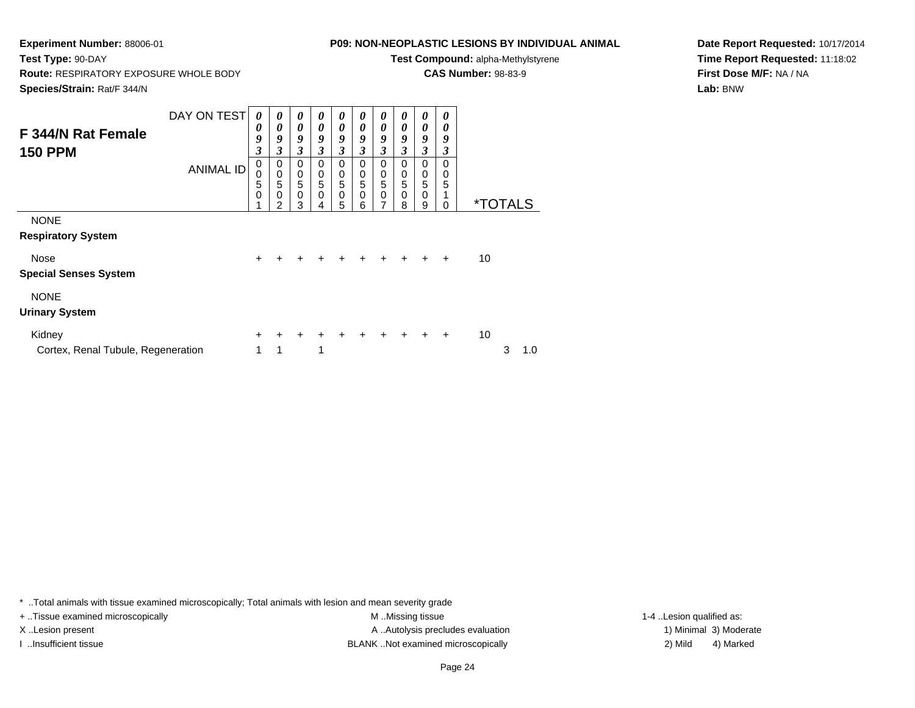**Route:** RESPIRATORY EXPOSURE WHOLE BODY

## **P09: NON-NEOPLASTIC LESIONS BY INDIVIDUAL ANIMAL**

**Test Compound:** alpha-Methylstyrene

**CAS Number:** 98-83-9

**Species/Strain:** Rat/F 344/N

**Test Type:** 90-DAY

**Date Report Requested:** 10/17/2014**Time Report Requested:** 11:18:02**First Dose M/F:** NA / NA**Lab:** BNW

| F 344/N Rat Female<br><b>150 PPM</b>         | DAY ON TEST<br><b>ANIMAL ID</b> | 0<br>0<br>9<br>3<br>$\pmb{0}$<br>$\mathbf 0$ | 0<br>$\boldsymbol{\theta}$<br>9<br>3<br>0<br>$\mathbf 0$ | 0<br>0<br>9<br>$\mathfrak{z}$<br>$\mathbf 0$         | 0<br>$\boldsymbol{\theta}$<br>9<br>3<br>$\Omega$<br>$\pmb{0}$ | 0<br>$\boldsymbol{\theta}$<br>9<br>3<br>$\Omega$<br>$\pmb{0}$ | 0<br>0<br>9<br>3<br>$\Omega$<br>0 | 0<br>0<br>9<br>3<br>$\Omega$<br>0 | 0<br>0<br>9<br>3<br>$\Omega$<br>0 | 0<br>0<br>9<br>3<br>0                                 | 0<br>0<br>9<br>3<br>0<br>0 |    |                       |     |
|----------------------------------------------|---------------------------------|----------------------------------------------|----------------------------------------------------------|------------------------------------------------------|---------------------------------------------------------------|---------------------------------------------------------------|-----------------------------------|-----------------------------------|-----------------------------------|-------------------------------------------------------|----------------------------|----|-----------------------|-----|
|                                              |                                 | 5<br>0                                       | 5<br>0<br>2                                              | $\begin{matrix}0\\5\end{matrix}$<br>$\mathbf 0$<br>3 | 5<br>0<br>4                                                   | 5<br>$\pmb{0}$<br>5                                           | 5<br>0<br>6                       | 5<br>0<br>7                       | 5<br>0<br>8                       | $\begin{smallmatrix}0\0\0\end{smallmatrix}$<br>0<br>9 | 5<br>0                     |    | <i><b>*TOTALS</b></i> |     |
| <b>NONE</b><br><b>Respiratory System</b>     |                                 |                                              |                                                          |                                                      |                                                               |                                                               |                                   |                                   |                                   |                                                       |                            |    |                       |     |
| Nose<br><b>Special Senses System</b>         |                                 | +                                            |                                                          |                                                      |                                                               |                                                               |                                   |                                   |                                   |                                                       | $\ddot{}$                  | 10 |                       |     |
| <b>NONE</b><br><b>Urinary System</b>         |                                 |                                              |                                                          |                                                      |                                                               |                                                               |                                   |                                   |                                   |                                                       |                            |    |                       |     |
| Kidney<br>Cortex, Renal Tubule, Regeneration |                                 | +<br>1                                       | ٠<br>1                                                   | ÷                                                    | 1                                                             |                                                               |                                   |                                   |                                   |                                                       | $\ddot{}$                  | 10 | 3                     | 1.0 |

\* ..Total animals with tissue examined microscopically; Total animals with lesion and mean severity grade

+ ..Tissue examined microscopically examined microscopically examined as:  $M$  ..Missing tissue 1-4 ..Lesion qualified as: X..Lesion present **A ..Autolysis precludes evaluation** A ..Autolysis precludes evaluation 1) Minimal 3) Moderate I ..Insufficient tissue 2) Mild and the SLANK ..Not examined microscopically and the SLANK ... Insufficient tissue

4) Marked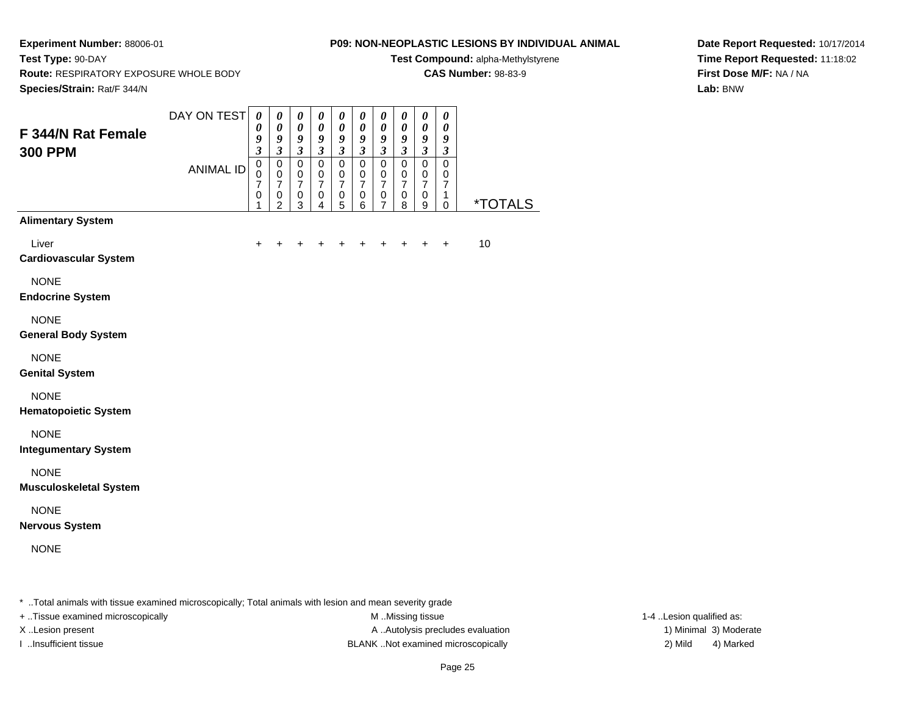**Test Type:** 90-DAY

#### **P09: NON-NEOPLASTIC LESIONS BY INDIVIDUAL ANIMAL**

**Test Compound:** alpha-Methylstyrene

**CAS Number:** 98-83-9

**Date Report Requested:** 10/17/2014**Time Report Requested:** 11:18:02**First Dose M/F:** NA / NA**Lab:** BNW

**Route:** RESPIRATORY EXPOSURE WHOLE BODY

| Species/Strain: Rat/F 344/N                  |                  |                                                          |                                                                             |                                                                           |                                                                             |                                                                |                                                                |                                                                                  |                                                                |                                                                        |                                                                             |                |
|----------------------------------------------|------------------|----------------------------------------------------------|-----------------------------------------------------------------------------|---------------------------------------------------------------------------|-----------------------------------------------------------------------------|----------------------------------------------------------------|----------------------------------------------------------------|----------------------------------------------------------------------------------|----------------------------------------------------------------|------------------------------------------------------------------------|-----------------------------------------------------------------------------|----------------|
| F 344/N Rat Female<br><b>300 PPM</b>         | DAY ON TEST      | $\pmb{\theta}$<br>$\boldsymbol{\theta}$<br>$\frac{9}{3}$ | $\pmb{\theta}$<br>$\pmb{\theta}$<br>9<br>$\overline{\mathbf{3}}$            | $\pmb{\theta}$<br>$\boldsymbol{\theta}$<br>9<br>$\mathfrak{z}$            | $\pmb{\theta}$<br>$\pmb{\theta}$<br>9<br>$\mathfrak{z}$                     | $\pmb{\theta}$<br>$\boldsymbol{\theta}$<br>9<br>$\mathfrak{z}$ | $\pmb{\theta}$<br>$\boldsymbol{\theta}$<br>9<br>$\mathfrak{z}$ | $\pmb{\theta}$<br>$\boldsymbol{\theta}$<br>9<br>$\overline{\mathbf{3}}$          | $\pmb{\theta}$<br>$\boldsymbol{\theta}$<br>9<br>$\mathfrak{z}$ | $\pmb{\theta}$<br>$\boldsymbol{\theta}$<br>$\pmb{9}$<br>$\mathfrak{z}$ | $\boldsymbol{\theta}$<br>$\boldsymbol{\theta}$<br>9<br>$\boldsymbol{\beta}$ |                |
|                                              | <b>ANIMAL ID</b> | $\overline{0}$<br>$\pmb{0}$<br>$\overline{7}$<br>0<br>1  | $\mathsf 0$<br>$\pmb{0}$<br>$\boldsymbol{7}$<br>$\pmb{0}$<br>$\overline{c}$ | $\pmb{0}$<br>$\pmb{0}$<br>$\boldsymbol{7}$<br>$\pmb{0}$<br>$\mathfrak{S}$ | $\mathbf 0$<br>$\mathbf 0$<br>$\overline{7}$<br>$\pmb{0}$<br>$\overline{4}$ | $\mathsf 0$<br>$\mathbf 0$<br>$\overline{7}$<br>$\pmb{0}$<br>5 | $\mathbf 0$<br>$\mathbf 0$<br>$\overline{7}$<br>0<br>6         | $\overline{0}$<br>$\mathbf 0$<br>$\boldsymbol{7}$<br>$\pmb{0}$<br>$\overline{7}$ | 0<br>$\mathbf 0$<br>$\overline{7}$<br>0<br>8                   | $\mathsf 0$<br>$\mathbf 0$<br>$\boldsymbol{7}$<br>$\pmb{0}$<br>9       | $\mathbf 0$<br>$\mathbf 0$<br>$\overline{7}$<br>$\mathbf{1}$<br>$\mathbf 0$ | <u>*TOTALS</u> |
| <b>Alimentary System</b>                     |                  |                                                          |                                                                             |                                                                           |                                                                             |                                                                |                                                                |                                                                                  |                                                                |                                                                        |                                                                             |                |
| Liver<br><b>Cardiovascular System</b>        |                  | +                                                        | +                                                                           |                                                                           |                                                                             | +                                                              | $\ddot{}$                                                      | $\ddot{}$                                                                        | $\ddot{}$                                                      | $\ddot{}$                                                              | $\ddot{}$                                                                   | 10             |
| <b>NONE</b><br><b>Endocrine System</b>       |                  |                                                          |                                                                             |                                                                           |                                                                             |                                                                |                                                                |                                                                                  |                                                                |                                                                        |                                                                             |                |
| <b>NONE</b><br><b>General Body System</b>    |                  |                                                          |                                                                             |                                                                           |                                                                             |                                                                |                                                                |                                                                                  |                                                                |                                                                        |                                                                             |                |
| <b>NONE</b><br><b>Genital System</b>         |                  |                                                          |                                                                             |                                                                           |                                                                             |                                                                |                                                                |                                                                                  |                                                                |                                                                        |                                                                             |                |
| <b>NONE</b><br><b>Hematopoietic System</b>   |                  |                                                          |                                                                             |                                                                           |                                                                             |                                                                |                                                                |                                                                                  |                                                                |                                                                        |                                                                             |                |
| <b>NONE</b><br><b>Integumentary System</b>   |                  |                                                          |                                                                             |                                                                           |                                                                             |                                                                |                                                                |                                                                                  |                                                                |                                                                        |                                                                             |                |
| <b>NONE</b><br><b>Musculoskeletal System</b> |                  |                                                          |                                                                             |                                                                           |                                                                             |                                                                |                                                                |                                                                                  |                                                                |                                                                        |                                                                             |                |
| <b>NONE</b><br><b>Nervous System</b>         |                  |                                                          |                                                                             |                                                                           |                                                                             |                                                                |                                                                |                                                                                  |                                                                |                                                                        |                                                                             |                |
| <b>NONE</b>                                  |                  |                                                          |                                                                             |                                                                           |                                                                             |                                                                |                                                                |                                                                                  |                                                                |                                                                        |                                                                             |                |
|                                              |                  |                                                          |                                                                             |                                                                           |                                                                             |                                                                |                                                                |                                                                                  |                                                                |                                                                        |                                                                             |                |

\* ..Total animals with tissue examined microscopically; Total animals with lesion and mean severity grade

+ ..Tissue examined microscopically M ...Missing tissue 1-4 ... M ...Missing tissue

X..Lesion present **A ..Autolysis precludes evaluation** A ..Autolysis precludes evaluation 1) Minimal 3) Moderate I ..Insufficient tissue BLANK ..Not examined microscopically 2) Mild 4) Marked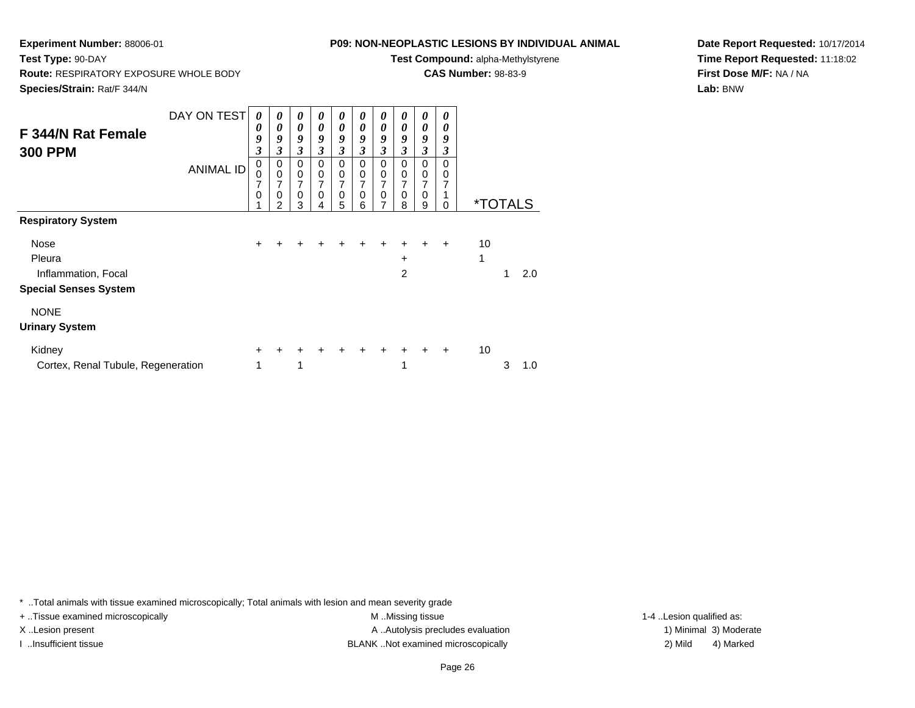## **P09: NON-NEOPLASTIC LESIONS BY INDIVIDUAL ANIMAL**

**Test Compound:** alpha-Methylstyrene

**CAS Number:** 98-83-9

**Date Report Requested:** 10/17/2014**Time Report Requested:** 11:18:02**First Dose M/F:** NA / NA**Lab:** BNW

**Route:** RESPIRATORY EXPOSURE WHOLE BODY

**Species/Strain:** Rat/F 344/N

**Test Type:** 90-DAY

| F 344/N Rat Female<br><b>300 PPM</b> | DAY ON TEST<br><b>ANIMAL ID</b> | 0<br>0<br>9<br>3<br>0<br>0<br>7<br>0 | 0<br>0<br>9<br>3<br>0<br>$\pmb{0}$<br>7<br>$\mathbf 0$<br>$\mathfrak{p}$ | $\boldsymbol{\theta}$<br>$\boldsymbol{\theta}$<br>9<br>$\mathfrak{z}$<br>$\mathbf 0$<br>$\pmb{0}$<br>$\overline{7}$<br>$\mathbf 0$<br>3 | 0<br>0<br>9<br>3<br>$\Omega$<br>$\mathbf 0$<br>7<br>$\Omega$<br>4 | $\boldsymbol{\theta}$<br>0<br>9<br>$\mathfrak{z}$<br>0<br>$\pmb{0}$<br>$\overline{7}$<br>$\mathbf 0$<br>5 | 0<br>0<br>9<br>$\boldsymbol{\beta}$<br>0<br>$\mathbf 0$<br>7<br>0<br>6 | 0<br>0<br>9<br>3<br>0<br>0<br>7<br>0<br>7 | 0<br>0<br>9<br>3<br>0<br>0<br>7<br>0<br>8 | 0<br>0<br>9<br>$\mathfrak{z}$<br>0<br>$\,0\,$<br>$\overline{7}$<br>0<br>9 | 0<br>0<br>9<br>3<br>0<br>0<br>7<br>0 |    | <i><b>*TOTALS</b></i> |     |
|--------------------------------------|---------------------------------|--------------------------------------|--------------------------------------------------------------------------|-----------------------------------------------------------------------------------------------------------------------------------------|-------------------------------------------------------------------|-----------------------------------------------------------------------------------------------------------|------------------------------------------------------------------------|-------------------------------------------|-------------------------------------------|---------------------------------------------------------------------------|--------------------------------------|----|-----------------------|-----|
| <b>Respiratory System</b>            |                                 |                                      |                                                                          |                                                                                                                                         |                                                                   |                                                                                                           |                                                                        |                                           |                                           |                                                                           |                                      |    |                       |     |
| Nose                                 |                                 | $\pm$                                |                                                                          |                                                                                                                                         |                                                                   |                                                                                                           |                                                                        | +                                         | +                                         |                                                                           | $\ddot{}$                            | 10 |                       |     |
| Pleura                               |                                 |                                      |                                                                          |                                                                                                                                         |                                                                   |                                                                                                           |                                                                        |                                           | $\pm$                                     |                                                                           |                                      | 1  |                       |     |
| Inflammation, Focal                  |                                 |                                      |                                                                          |                                                                                                                                         |                                                                   |                                                                                                           |                                                                        |                                           | $\overline{2}$                            |                                                                           |                                      |    | 1                     | 2.0 |
| <b>Special Senses System</b>         |                                 |                                      |                                                                          |                                                                                                                                         |                                                                   |                                                                                                           |                                                                        |                                           |                                           |                                                                           |                                      |    |                       |     |
| <b>NONE</b>                          |                                 |                                      |                                                                          |                                                                                                                                         |                                                                   |                                                                                                           |                                                                        |                                           |                                           |                                                                           |                                      |    |                       |     |
| <b>Urinary System</b>                |                                 |                                      |                                                                          |                                                                                                                                         |                                                                   |                                                                                                           |                                                                        |                                           |                                           |                                                                           |                                      |    |                       |     |
| Kidney                               |                                 | $\pm$                                | +                                                                        | ٠                                                                                                                                       | +                                                                 | +                                                                                                         | $\ddot{}$                                                              | +                                         | $\ddot{}$                                 | ÷                                                                         | $\ddot{}$                            | 10 |                       |     |
| Cortex, Renal Tubule, Regeneration   |                                 | 1                                    |                                                                          | 1                                                                                                                                       |                                                                   |                                                                                                           |                                                                        |                                           | 1                                         |                                                                           |                                      |    | 3                     | 1.0 |

\* ..Total animals with tissue examined microscopically; Total animals with lesion and mean severity grade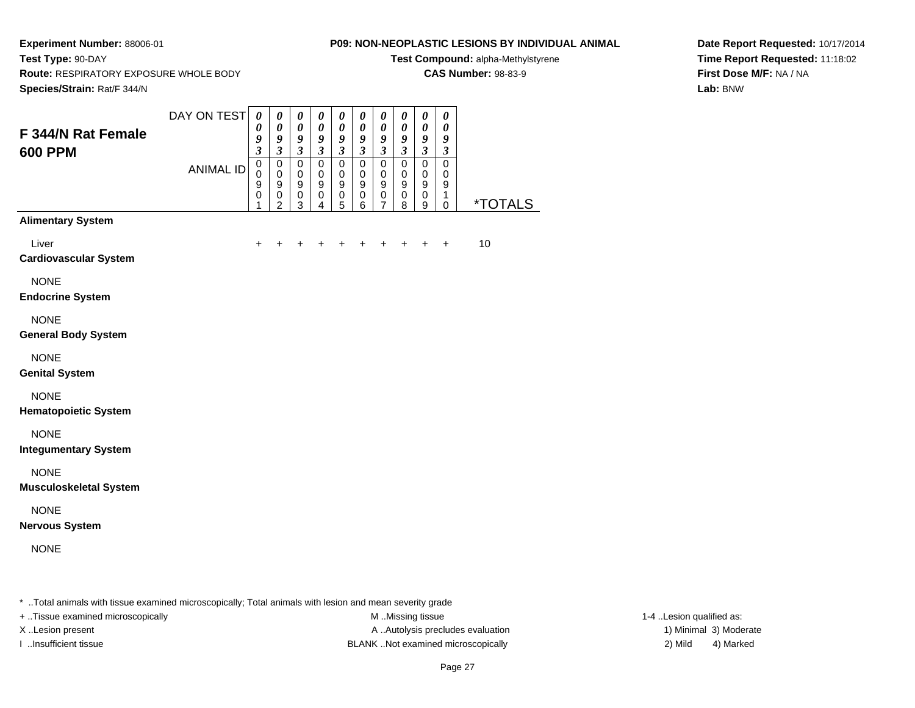**Test Type:** 90-DAY

#### **P09: NON-NEOPLASTIC LESIONS BY INDIVIDUAL ANIMAL**

**Test Compound:** alpha-Methylstyrene

**CAS Number:** 98-83-9

**Date Report Requested:** 10/17/2014**Time Report Requested:** 11:18:02**First Dose M/F:** NA / NA**Lab:** BNW

**Route:** RESPIRATORY EXPOSURE WHOLE BODY

| Species/Strain: Rat/F 344/N                  |                  |                                                             |                                                                                 |                                                                                 |                                                                                |                                                                         |                                                                    |                                                                                               |                                                                                |                                                                                    |                                                                    |                       |
|----------------------------------------------|------------------|-------------------------------------------------------------|---------------------------------------------------------------------------------|---------------------------------------------------------------------------------|--------------------------------------------------------------------------------|-------------------------------------------------------------------------|--------------------------------------------------------------------|-----------------------------------------------------------------------------------------------|--------------------------------------------------------------------------------|------------------------------------------------------------------------------------|--------------------------------------------------------------------|-----------------------|
| F 344/N Rat Female<br><b>600 PPM</b>         | DAY ON TEST      | $\pmb{\theta}$<br>0<br>9<br>$\overline{\mathbf{3}}$         | $\pmb{\theta}$<br>$\boldsymbol{\theta}$<br>9<br>$\overline{\mathbf{3}}$         | $\pmb{\theta}$<br>$\boldsymbol{\theta}$<br>$\pmb{9}$<br>$\overline{\mathbf{3}}$ | $\boldsymbol{\theta}$<br>$\boldsymbol{\theta}$<br>9<br>$\overline{\mathbf{3}}$ | $\boldsymbol{\theta}$<br>$\pmb{\theta}$<br>9<br>$\overline{\mathbf{3}}$ | $\pmb{\theta}$<br>$\pmb{\theta}$<br>9<br>$\overline{\mathbf{3}}$   | $\boldsymbol{\theta}$<br>$\boldsymbol{\theta}$<br>$\boldsymbol{9}$<br>$\overline{\mathbf{3}}$ | $\boldsymbol{\theta}$<br>$\boldsymbol{\theta}$<br>9<br>$\overline{\mathbf{3}}$ | $\boldsymbol{\theta}$<br>$\pmb{\theta}$<br>9<br>$\overline{\mathbf{3}}$            | 0<br>$\boldsymbol{\theta}$<br>9<br>$\overline{\mathbf{3}}$         |                       |
|                                              | <b>ANIMAL ID</b> | $\mathsf 0$<br>$\mathbf 0$<br>$\mathsf g$<br>$\pmb{0}$<br>1 | $\mathsf 0$<br>$\mathbf 0$<br>$\boldsymbol{9}$<br>$\mathsf 0$<br>$\overline{2}$ | $\mathbf 0$<br>$\mathbf 0$<br>9<br>$\mathbf 0$<br>3                             | $\pmb{0}$<br>$\mathbf 0$<br>$\mathsf g$<br>0<br>4                              | $\mathbf 0$<br>$\mathbf 0$<br>$\boldsymbol{9}$<br>$\,0\,$<br>5          | $\mathbf 0$<br>$\mathbf 0$<br>$\boldsymbol{9}$<br>$\mathbf 0$<br>6 | $\mathbf 0$<br>$\mathbf 0$<br>9<br>$\pmb{0}$<br>$\overline{7}$                                | $\mathsf 0$<br>$\mathbf 0$<br>9<br>$\pmb{0}$<br>8                              | $\overline{0}$<br>$\mathbf 0$<br>$\boldsymbol{9}$<br>$\pmb{0}$<br>$\boldsymbol{9}$ | $\mathsf 0$<br>$\mathbf 0$<br>$\boldsymbol{9}$<br>1<br>$\mathbf 0$ | <i><b>*TOTALS</b></i> |
| <b>Alimentary System</b>                     |                  |                                                             |                                                                                 |                                                                                 |                                                                                |                                                                         |                                                                    |                                                                                               |                                                                                |                                                                                    |                                                                    |                       |
| Liver<br><b>Cardiovascular System</b>        |                  | $\ddot{}$                                                   | ÷                                                                               | +                                                                               | $\ddot{}$                                                                      | +                                                                       | $\div$                                                             | +                                                                                             | $\ddot{}$                                                                      | $\ddot{}$                                                                          | $+$                                                                | 10                    |
| <b>NONE</b><br><b>Endocrine System</b>       |                  |                                                             |                                                                                 |                                                                                 |                                                                                |                                                                         |                                                                    |                                                                                               |                                                                                |                                                                                    |                                                                    |                       |
| <b>NONE</b><br><b>General Body System</b>    |                  |                                                             |                                                                                 |                                                                                 |                                                                                |                                                                         |                                                                    |                                                                                               |                                                                                |                                                                                    |                                                                    |                       |
| <b>NONE</b><br><b>Genital System</b>         |                  |                                                             |                                                                                 |                                                                                 |                                                                                |                                                                         |                                                                    |                                                                                               |                                                                                |                                                                                    |                                                                    |                       |
| <b>NONE</b><br><b>Hematopoietic System</b>   |                  |                                                             |                                                                                 |                                                                                 |                                                                                |                                                                         |                                                                    |                                                                                               |                                                                                |                                                                                    |                                                                    |                       |
| <b>NONE</b><br><b>Integumentary System</b>   |                  |                                                             |                                                                                 |                                                                                 |                                                                                |                                                                         |                                                                    |                                                                                               |                                                                                |                                                                                    |                                                                    |                       |
| <b>NONE</b><br><b>Musculoskeletal System</b> |                  |                                                             |                                                                                 |                                                                                 |                                                                                |                                                                         |                                                                    |                                                                                               |                                                                                |                                                                                    |                                                                    |                       |
| <b>NONE</b><br><b>Nervous System</b>         |                  |                                                             |                                                                                 |                                                                                 |                                                                                |                                                                         |                                                                    |                                                                                               |                                                                                |                                                                                    |                                                                    |                       |
| <b>NONE</b>                                  |                  |                                                             |                                                                                 |                                                                                 |                                                                                |                                                                         |                                                                    |                                                                                               |                                                                                |                                                                                    |                                                                    |                       |

\* ..Total animals with tissue examined microscopically; Total animals with lesion and mean severity grade

+ ..Tissue examined microscopically M ...Missing tissue 1-4 ... M ...Missing tissue

X..Lesion present **A ..Autolysis precludes evaluation** A ..Autolysis precludes evaluation 1) Minimal 3) Moderate I ..Insufficient tissue BLANK ..Not examined microscopically 2) Mild 4) Marked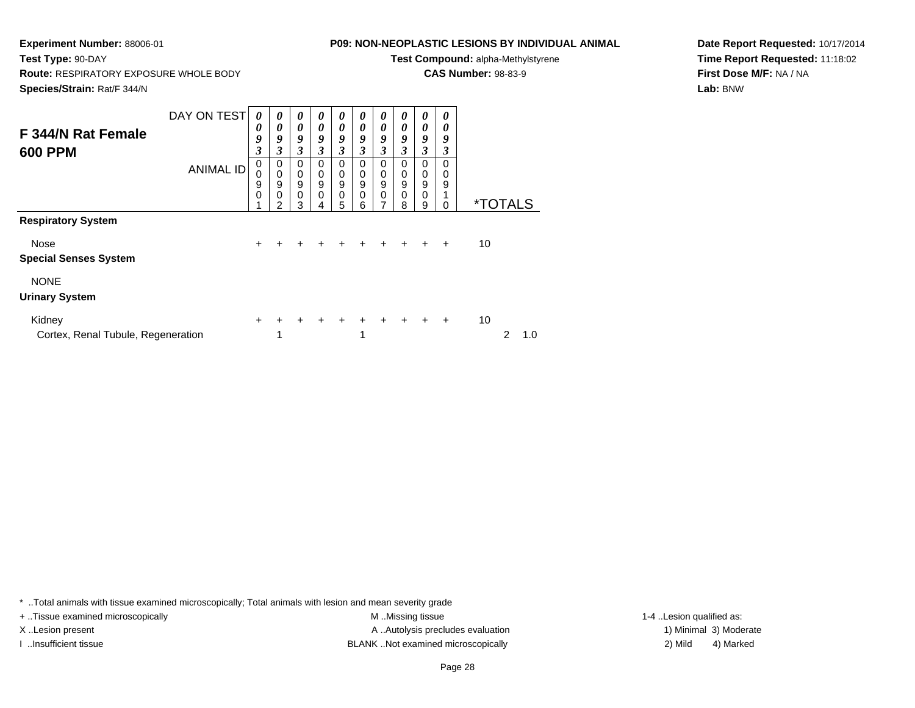## **P09: NON-NEOPLASTIC LESIONS BY INDIVIDUAL ANIMAL**

**Test Compound:** alpha-Methylstyrene

**CAS Number:** 98-83-9

**Date Report Requested:** 10/17/2014**Time Report Requested:** 11:18:02**First Dose M/F:** NA / NA**Lab:** BNW

**Route:** RESPIRATORY EXPOSURE WHOLE BODY

**Species/Strain:** Rat/F 344/N

**Test Type:** 90-DAY

| F 344/N Rat Female<br><b>600 PPM</b>         | DAY ON TEST<br><b>ANIMAL ID</b> | 0<br>0<br>9<br>3<br>0<br>$\mathbf 0$<br>9<br>$\mathbf 0$ | $\boldsymbol{\theta}$<br>$\theta$<br>9<br>3<br>0<br>$\mathbf 0$<br>$\boldsymbol{9}$<br>$\mathbf 0$<br>2 | 0<br>$\boldsymbol{\theta}$<br>9<br>$\boldsymbol{\beta}$<br>$\mathbf 0$<br>$\mathbf 0$<br>$\boldsymbol{9}$<br>$\mathbf 0$<br>3 | 0<br>0<br>9<br>3<br>0<br>0<br>$\boldsymbol{9}$<br>$\mathbf 0$<br>4 | 0<br>0<br>9<br>3<br>0<br>0<br>9<br>0<br>5 | 0<br>0<br>9<br>3<br>0<br>0<br>9<br>0<br>6 | 0<br>0<br>9<br>3<br>0<br>0<br>$\mathsf g$<br>0<br>7 | 0<br>0<br>9<br>3<br>0<br>0<br>9<br>0<br>8 | 0<br>0<br>9<br>3<br>0<br>0<br>$\mathsf g$<br>0<br>9 | 0<br>0<br>9<br>3<br>$\Omega$<br>0<br>9<br>$\Omega$ |    | <i><b>*TOTALS</b></i> |     |
|----------------------------------------------|---------------------------------|----------------------------------------------------------|---------------------------------------------------------------------------------------------------------|-------------------------------------------------------------------------------------------------------------------------------|--------------------------------------------------------------------|-------------------------------------------|-------------------------------------------|-----------------------------------------------------|-------------------------------------------|-----------------------------------------------------|----------------------------------------------------|----|-----------------------|-----|
| <b>Respiratory System</b>                    |                                 |                                                          |                                                                                                         |                                                                                                                               |                                                                    |                                           |                                           |                                                     |                                           |                                                     |                                                    |    |                       |     |
| Nose<br><b>Special Senses System</b>         |                                 | $\ddot{}$                                                | +                                                                                                       |                                                                                                                               |                                                                    | +                                         | $\div$                                    |                                                     |                                           | +                                                   | $\ddot{}$                                          | 10 |                       |     |
| <b>NONE</b><br><b>Urinary System</b>         |                                 |                                                          |                                                                                                         |                                                                                                                               |                                                                    |                                           |                                           |                                                     |                                           |                                                     |                                                    |    |                       |     |
| Kidney<br>Cortex, Renal Tubule, Regeneration |                                 | $\ddot{}$                                                | 4                                                                                                       |                                                                                                                               |                                                                    | $\div$                                    | 1                                         |                                                     | $+$                                       | $+$                                                 | $\ddot{}$                                          | 10 | 2                     | 1.0 |

\* ..Total animals with tissue examined microscopically; Total animals with lesion and mean severity grade

+ ..Tissue examined microscopically M ...Missing tissue 1-4 ... M ...Missing tissue

X..Lesion present **A ..Autolysis precludes evaluation** A ..Autolysis precludes evaluation 1) Minimal 3) Moderate I ..Insufficient tissue BLANK ..Not examined microscopically 2) Mild 4) Marked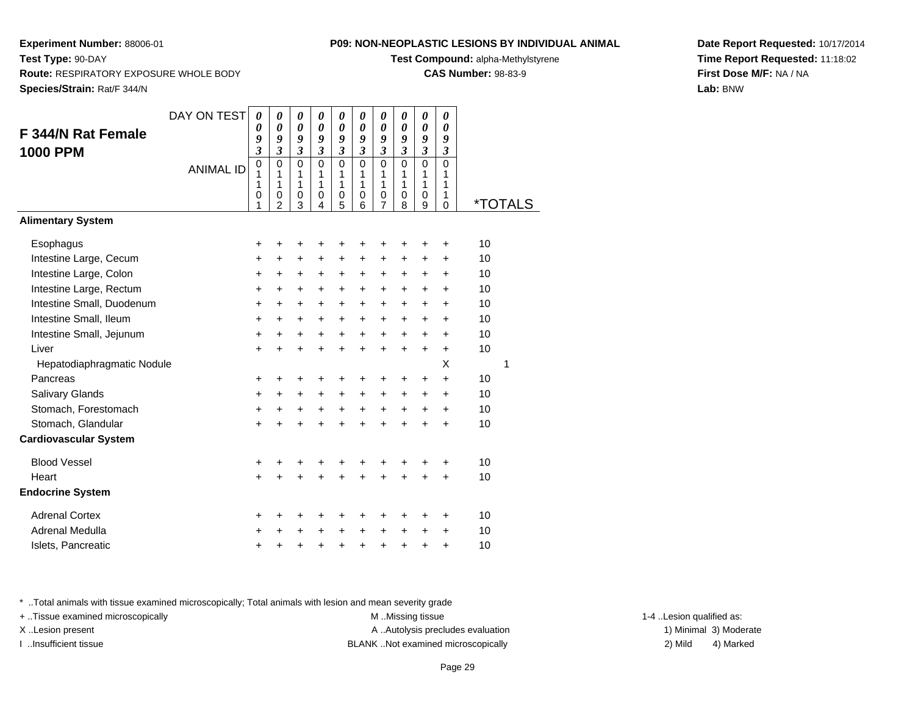**Test Compound:** alpha-Methylstyrene

**CAS Number:** 98-83-9

**Date Report Requested:** 10/17/2014**Time Report Requested:** 11:18:02**First Dose M/F:** NA / NA**Lab:** BNW

| F 344/N Rat Female<br><b>1000 PPM</b> | DAY ON TEST      | 0<br>0<br>9<br>$\overline{\mathbf{3}}$ | 0<br>$\boldsymbol{\theta}$<br>9<br>$\boldsymbol{\mathfrak{z}}$ | 0<br>$\boldsymbol{\theta}$<br>9<br>$\boldsymbol{\beta}$ | 0<br>$\boldsymbol{\theta}$<br>9<br>$\mathfrak{z}$ | 0<br>0<br>9<br>$\mathfrak{z}$          | 0<br>$\boldsymbol{\theta}$<br>9<br>$\mathfrak{z}$ | 0<br>0<br>9<br>$\mathfrak{z}$             | 0<br>0<br>9<br>$\mathfrak{z}$   | 0<br>$\boldsymbol{\theta}$<br>9<br>$\overline{\mathbf{3}}$ | 0<br>$\boldsymbol{\theta}$<br>9<br>$\overline{\mathbf{3}}$ |    |                       |
|---------------------------------------|------------------|----------------------------------------|----------------------------------------------------------------|---------------------------------------------------------|---------------------------------------------------|----------------------------------------|---------------------------------------------------|-------------------------------------------|---------------------------------|------------------------------------------------------------|------------------------------------------------------------|----|-----------------------|
|                                       | <b>ANIMAL ID</b> | $\mathbf 0$<br>1<br>1<br>0<br>1        | $\mathbf 0$<br>1<br>1<br>$\pmb{0}$<br>$\overline{2}$           | $\Omega$<br>1<br>1<br>0<br>3                            | $\mathbf 0$<br>1<br>1<br>0<br>4                   | $\Omega$<br>1<br>1<br>$\mathbf 0$<br>5 | $\mathbf 0$<br>1<br>1<br>0<br>6                   | $\Omega$<br>1<br>1<br>0<br>$\overline{7}$ | $\mathbf 0$<br>1<br>1<br>0<br>8 | $\mathbf 0$<br>1<br>1<br>0<br>9                            | $\mathbf{0}$<br>1<br>1<br>1<br>$\mathbf 0$                 |    | <i><b>*TOTALS</b></i> |
| <b>Alimentary System</b>              |                  |                                        |                                                                |                                                         |                                                   |                                        |                                                   |                                           |                                 |                                                            |                                                            |    |                       |
| Esophagus                             |                  | +                                      | +                                                              | +                                                       | +                                                 | +                                      | +                                                 | +                                         | +                               | +                                                          | +                                                          | 10 |                       |
| Intestine Large, Cecum                |                  | +                                      | +                                                              | +                                                       | +                                                 | +                                      | +                                                 | +                                         | +                               | +                                                          | $\ddot{}$                                                  | 10 |                       |
| Intestine Large, Colon                |                  | +                                      | +                                                              | +                                                       | +                                                 | +                                      | +                                                 | +                                         | +                               | +                                                          | +                                                          | 10 |                       |
| Intestine Large, Rectum               |                  | +                                      | $\ddot{}$                                                      | +                                                       | +                                                 | +                                      | +                                                 | $\ddot{}$                                 | +                               | +                                                          | $\ddot{}$                                                  | 10 |                       |
| Intestine Small, Duodenum             |                  | +                                      | $\ddot{}$                                                      | +                                                       | +                                                 | $\ddot{}$                              | $\ddot{}$                                         | +                                         | +                               | +                                                          | +                                                          | 10 |                       |
| Intestine Small, Ileum                |                  | +                                      | $\ddot{}$                                                      | $\ddot{}$                                               | +                                                 | $\ddot{}$                              | +                                                 | $\ddot{}$                                 | +                               | +                                                          | +                                                          | 10 |                       |
| Intestine Small, Jejunum              |                  | $\ddot{}$                              | $\ddot{}$                                                      | $\ddot{}$                                               | $\ddot{}$                                         | $\ddot{}$                              | $\ddot{}$                                         | $\ddot{}$                                 | $+$                             | $\ddot{}$                                                  | $\ddot{}$                                                  | 10 |                       |
| Liver                                 |                  | $\ddot{}$                              | $\ddot{}$                                                      | $\ddot{}$                                               | $\ddot{}$                                         | $\ddot{}$                              | $\ddot{}$                                         | $\ddot{}$                                 | $\ddot{}$                       | $\ddot{}$                                                  | $\ddot{}$                                                  | 10 |                       |
| Hepatodiaphragmatic Nodule            |                  |                                        |                                                                |                                                         |                                                   |                                        |                                                   |                                           |                                 |                                                            | X                                                          |    | 1                     |
| Pancreas                              |                  | $\ddot{}$                              | $\ddot{}$                                                      | +                                                       | +                                                 | $\ddot{}$                              | +                                                 | +                                         | +                               | +                                                          | $\ddot{}$                                                  | 10 |                       |
| Salivary Glands                       |                  | $\ddot{}$                              | $\ddot{}$                                                      | $\ddot{}$                                               | $\ddot{}$                                         | $\ddot{}$                              | $\ddot{}$                                         | $\ddot{}$                                 | +                               | $\ddot{}$                                                  | $\ddot{}$                                                  | 10 |                       |
| Stomach, Forestomach                  |                  | +                                      | $\ddot{}$                                                      | $\ddot{}$                                               | $\ddot{}$                                         | $\ddot{}$                              | $\ddot{}$                                         | $\ddot{}$                                 | $\ddot{}$                       | +                                                          | $\ddot{}$                                                  | 10 |                       |
| Stomach, Glandular                    |                  | $\ddot{}$                              | $\ddot{}$                                                      | $\ddot{}$                                               | $\ddot{}$                                         | $\ddot{}$                              | $\ddot{}$                                         | $\ddot{}$                                 | $\ddot{}$                       | $\ddot{}$                                                  | $\ddot{}$                                                  | 10 |                       |
| <b>Cardiovascular System</b>          |                  |                                        |                                                                |                                                         |                                                   |                                        |                                                   |                                           |                                 |                                                            |                                                            |    |                       |
| <b>Blood Vessel</b>                   |                  | +                                      | +                                                              | +                                                       | +                                                 | +                                      | +                                                 | +                                         | +                               | +                                                          | +                                                          | 10 |                       |
| Heart                                 |                  | $\ddot{}$                              | $\ddot{}$                                                      | ÷                                                       | $\ddot{}$                                         | Ŧ.                                     | $\ddot{}$                                         | $\ddot{}$                                 | $\ddot{}$                       |                                                            | $\ddot{}$                                                  | 10 |                       |
| <b>Endocrine System</b>               |                  |                                        |                                                                |                                                         |                                                   |                                        |                                                   |                                           |                                 |                                                            |                                                            |    |                       |
| <b>Adrenal Cortex</b>                 |                  | +                                      | +                                                              | +                                                       | +                                                 | +                                      | +                                                 | +                                         | +                               | +                                                          | +                                                          | 10 |                       |
| Adrenal Medulla                       |                  | +                                      | +                                                              | +                                                       | +                                                 | +                                      | +                                                 | +                                         | +                               | +                                                          | +                                                          | 10 |                       |
| Islets, Pancreatic                    |                  | +                                      | +                                                              | +                                                       | +                                                 | +                                      | +                                                 | +                                         | +                               | +                                                          | +                                                          | 10 |                       |

\* ..Total animals with tissue examined microscopically; Total animals with lesion and mean severity grade

+ ..Tissue examined microscopically M ...Missing tissue 1-4 ... M ...Missing tissue

X..Lesion present **A ..Autolysis precludes evaluation** A ..Autolysis precludes evaluation 1) Minimal 3) Moderate I ..Insufficient tissue BLANK ..Not examined microscopically 2) Mild 4) Marked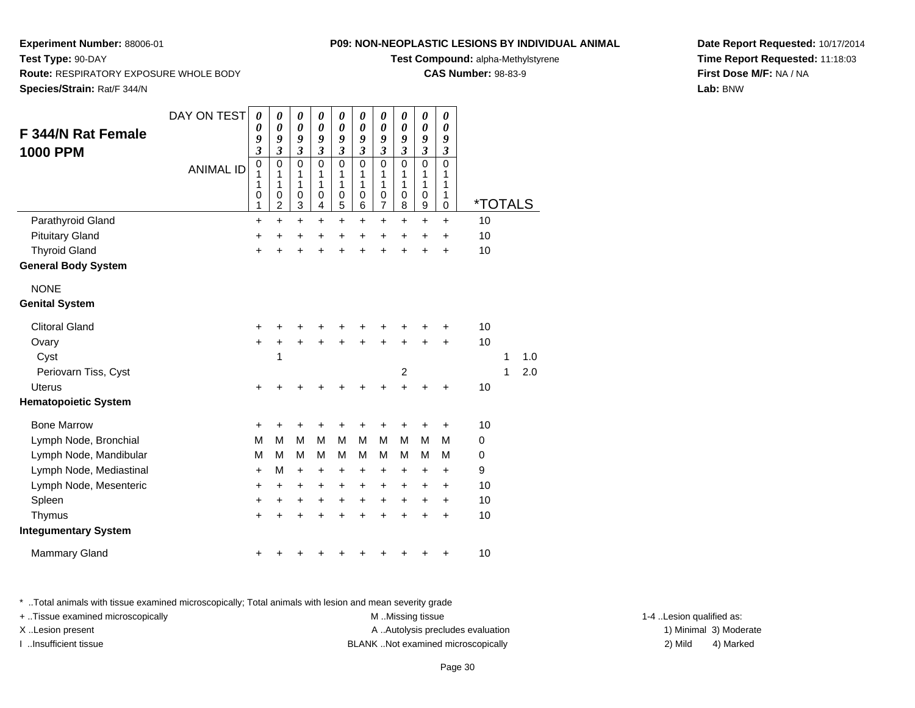**Test Compound:** alpha-Methylstyrene

**CAS Number:** 98-83-9

**Date Report Requested:** 10/17/2014**Time Report Requested:** 11:18:03**First Dose M/F:** NA / NA**Lab:** BNW

**Experiment Number:** 88006-01**Test Type:** 90-DAY **Route:** RESPIRATORY EXPOSURE WHOLE BODY**Species/Strain:** Rat/F 344/N

| <b>F 344/N Rat Female</b><br><b>1000 PPM</b> | DAY ON TEST      | 0<br>$\boldsymbol{\theta}$<br>9<br>3    | 0<br>$\boldsymbol{\theta}$<br>9<br>$\mathfrak{z}$ | 0<br>$\boldsymbol{\theta}$<br>9<br>$\mathfrak{z}$                            | 0<br>$\boldsymbol{\theta}$<br>9<br>$\mathfrak{z}$ | 0<br>$\pmb{\theta}$<br>9<br>$\mathfrak{z}$ | 0<br>$\boldsymbol{\theta}$<br>9<br>$\mathfrak{z}$ | 0<br>$\boldsymbol{\theta}$<br>9<br>$\mathfrak{z}$ | 0<br>$\boldsymbol{\theta}$<br>9<br>$\mathfrak{z}$ | 0<br>$\boldsymbol{\theta}$<br>9<br>$\mathfrak{z}$        | 0<br>$\boldsymbol{\theta}$<br>9<br>$\mathfrak{z}$ |         |   |     |
|----------------------------------------------|------------------|-----------------------------------------|---------------------------------------------------|------------------------------------------------------------------------------|---------------------------------------------------|--------------------------------------------|---------------------------------------------------|---------------------------------------------------|---------------------------------------------------|----------------------------------------------------------|---------------------------------------------------|---------|---|-----|
|                                              | <b>ANIMAL ID</b> | $\pmb{0}$<br>1<br>1<br>$\mathbf 0$<br>1 | $\mathbf 0$<br>1<br>1<br>0<br>$\overline{c}$      | $\mathbf 0$<br>$\mathbf{1}$<br>1<br>$\mathbf 0$<br>$\ensuremath{\mathsf{3}}$ | $\mathbf 0$<br>1<br>1<br>$\mathbf 0$<br>4         | $\mathbf 0$<br>1<br>1<br>$\pmb{0}$<br>5    | $\mathbf 0$<br>1<br>1<br>$\mathbf 0$<br>6         | 0<br>1<br>1<br>$\mathbf 0$<br>$\overline{7}$      | $\mathbf 0$<br>1<br>1<br>$\mathbf 0$<br>8         | $\mathbf 0$<br>1<br>1<br>$\mathbf 0$<br>$\boldsymbol{9}$ | $\mathbf 0$<br>1<br>1<br>1<br>$\mathbf 0$         | *TOTALS |   |     |
| Parathyroid Gland                            |                  | $\ddot{}$                               | $\ddot{}$                                         | $\ddot{}$                                                                    | $\ddot{}$                                         | $\ddot{}$                                  | $\ddot{}$                                         | $\ddot{}$                                         | $\ddot{}$                                         | $\ddot{}$                                                | $+$                                               | 10      |   |     |
| <b>Pituitary Gland</b>                       |                  | +                                       | +                                                 | +                                                                            | +                                                 | +                                          | +                                                 | +                                                 | +                                                 | +                                                        | +                                                 | 10      |   |     |
| <b>Thyroid Gland</b>                         |                  | $\ddot{}$                               | +                                                 | +                                                                            | +                                                 | $\ddot{}$                                  | +                                                 | +                                                 | +                                                 | $\ddot{}$                                                | $\ddot{}$                                         | 10      |   |     |
| <b>General Body System</b>                   |                  |                                         |                                                   |                                                                              |                                                   |                                            |                                                   |                                                   |                                                   |                                                          |                                                   |         |   |     |
| <b>NONE</b>                                  |                  |                                         |                                                   |                                                                              |                                                   |                                            |                                                   |                                                   |                                                   |                                                          |                                                   |         |   |     |
| <b>Genital System</b>                        |                  |                                         |                                                   |                                                                              |                                                   |                                            |                                                   |                                                   |                                                   |                                                          |                                                   |         |   |     |
| <b>Clitoral Gland</b>                        |                  | +                                       | +                                                 | +                                                                            | +                                                 | +                                          | +                                                 | +                                                 |                                                   |                                                          | +                                                 | 10      |   |     |
| Ovary                                        |                  | $\ddot{}$                               | +                                                 | $\ddot{}$                                                                    | +                                                 | $\ddot{}$                                  |                                                   | +                                                 |                                                   | $\ddot{}$                                                | $\ddot{}$                                         | 10      |   |     |
| Cyst                                         |                  |                                         | 1                                                 |                                                                              |                                                   |                                            |                                                   |                                                   |                                                   |                                                          |                                                   |         | 1 | 1.0 |
| Periovarn Tiss, Cyst                         |                  |                                         |                                                   |                                                                              |                                                   |                                            |                                                   |                                                   | $\overline{2}$                                    |                                                          |                                                   |         | 1 | 2.0 |
| <b>Uterus</b>                                |                  | $\ddot{}$                               | +                                                 |                                                                              |                                                   | +                                          |                                                   | +                                                 | $\ddot{}$                                         | +                                                        | +                                                 | 10      |   |     |
| <b>Hematopoietic System</b>                  |                  |                                         |                                                   |                                                                              |                                                   |                                            |                                                   |                                                   |                                                   |                                                          |                                                   |         |   |     |
| <b>Bone Marrow</b>                           |                  | $\ddot{}$                               | +                                                 | +                                                                            | +                                                 | +                                          | +                                                 | +                                                 | +                                                 | $\ddot{}$                                                | $\ddot{}$                                         | 10      |   |     |
| Lymph Node, Bronchial                        |                  | M                                       | M                                                 | M                                                                            | M                                                 | M                                          | M                                                 | M                                                 | M                                                 | M                                                        | M                                                 | 0       |   |     |
| Lymph Node, Mandibular                       |                  | M                                       | M                                                 | M                                                                            | M                                                 | M                                          | M                                                 | M                                                 | M                                                 | M                                                        | М                                                 | 0       |   |     |
| Lymph Node, Mediastinal                      |                  | +                                       | M                                                 | +                                                                            | +                                                 | +                                          | +                                                 | +                                                 | +                                                 | +                                                        | $\ddot{}$                                         | 9       |   |     |
| Lymph Node, Mesenteric                       |                  | +                                       | $\ddot{}$                                         | $\ddot{}$                                                                    | $\ddot{}$                                         | $\ddot{}$                                  | $\ddot{}$                                         | $\ddot{}$                                         | $\ddot{}$                                         | $\ddot{}$                                                | $\ddot{}$                                         | 10      |   |     |
| Spleen                                       |                  | +                                       | +                                                 | +                                                                            | +                                                 | +                                          | +                                                 | $\ddot{}$                                         | $\ddot{}$                                         | $\ddot{}$                                                | $\ddot{}$                                         | 10      |   |     |
| Thymus                                       |                  | +                                       | +                                                 | $\ddot{}$                                                                    | +                                                 | +                                          | +                                                 | +                                                 | $\ddot{}$                                         | $\ddot{}$                                                | $\ddot{}$                                         | 10      |   |     |
| <b>Integumentary System</b>                  |                  |                                         |                                                   |                                                                              |                                                   |                                            |                                                   |                                                   |                                                   |                                                          |                                                   |         |   |     |
| <b>Mammary Gland</b>                         |                  | +                                       |                                                   |                                                                              |                                                   |                                            |                                                   | +                                                 | +                                                 | +                                                        | +                                                 | 10      |   |     |

\* ..Total animals with tissue examined microscopically; Total animals with lesion and mean severity grade

+ ..Tissue examined microscopically examined microscopically examined as:  $M$  ..Missing tissue 1-4 ..Lesion qualified as:

X..Lesion present **A ..Autolysis precludes evaluation** A ..Autolysis precludes evaluation 1) Minimal 3) Moderate I ..Insufficient tissue BLANK ..Not examined microscopically 2) Mild 4) Marked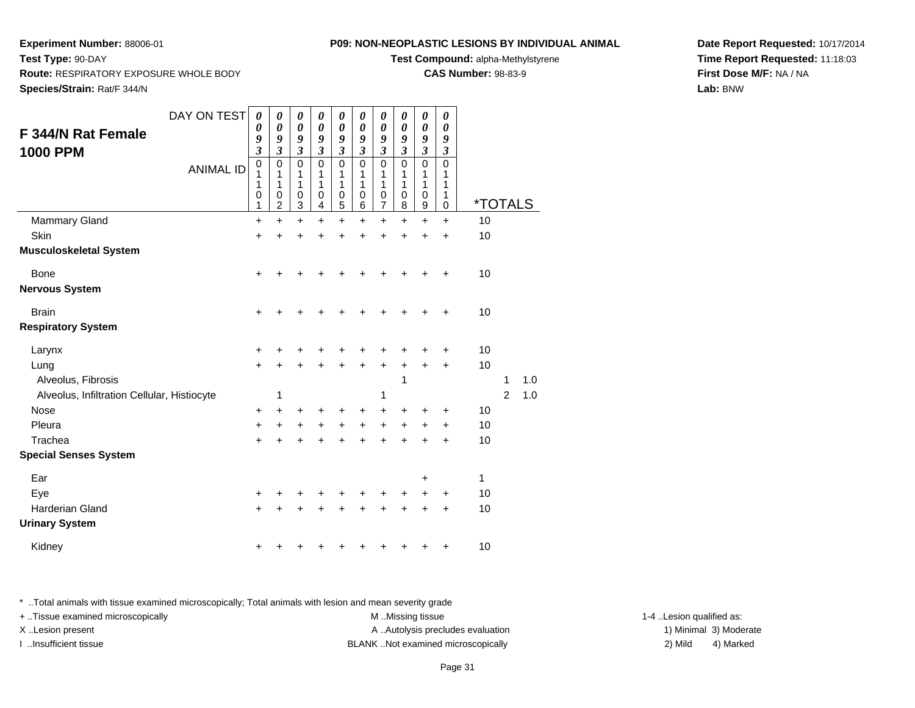**Test Compound:** alpha-Methylstyrene

**CAS Number:** 98-83-9

**Date Report Requested:** 10/17/2014**Time Report Requested:** 11:18:03**First Dose M/F:** NA / NA**Lab:** BNW

**Species/Strain:** Rat/F 344/N

**Test Type:** 90-DAY

**Experiment Number:** 88006-01

| F 344/N Rat Female<br><b>1000 PPM</b>       | DAY ON TEST<br><b>ANIMAL ID</b> | 0<br>0<br>9<br>$\overline{\mathbf{3}}$<br>$\overline{0}$<br>1<br>1<br>$\pmb{0}$<br>1 | 0<br>$\pmb{\theta}$<br>9<br>$\mathfrak{z}$<br>$\mathbf 0$<br>1<br>1<br>$\,0\,$<br>$\overline{2}$ | 0<br>$\boldsymbol{\theta}$<br>9<br>$\boldsymbol{\mathfrak{z}}$<br>$\mathbf 0$<br>1<br>1<br>$\boldsymbol{0}$<br>3 | 0<br>$\boldsymbol{\theta}$<br>9<br>$\boldsymbol{\mathfrak{z}}$<br>$\overline{0}$<br>1<br>1<br>0<br>4 | 0<br>$\boldsymbol{\theta}$<br>9<br>$\boldsymbol{\mathfrak{z}}$<br>$\overline{0}$<br>1<br>1<br>$\,0\,$<br>5 | 0<br>$\boldsymbol{\theta}$<br>9<br>$\mathfrak{z}$<br>$\mathbf 0$<br>1<br>1<br>0<br>6 | 0<br>$\boldsymbol{\theta}$<br>9<br>$\mathfrak{z}$<br>$\mathbf 0$<br>1<br>1<br>0<br>$\overline{7}$ | 0<br>0<br>9<br>$\mathfrak{z}$<br>$\mathbf 0$<br>1<br>1<br>0<br>8 | 0<br>$\boldsymbol{\theta}$<br>9<br>$\boldsymbol{\mathfrak{z}}$<br>$\overline{0}$<br>1<br>1<br>0<br>9 | 0<br>$\pmb{\theta}$<br>9<br>$\overline{\mathbf{3}}$<br>$\mathbf 0$<br>1<br>1<br>1<br>0 | <i><b>*TOTALS</b></i> |                |     |
|---------------------------------------------|---------------------------------|--------------------------------------------------------------------------------------|--------------------------------------------------------------------------------------------------|------------------------------------------------------------------------------------------------------------------|------------------------------------------------------------------------------------------------------|------------------------------------------------------------------------------------------------------------|--------------------------------------------------------------------------------------|---------------------------------------------------------------------------------------------------|------------------------------------------------------------------|------------------------------------------------------------------------------------------------------|----------------------------------------------------------------------------------------|-----------------------|----------------|-----|
| <b>Mammary Gland</b>                        |                                 | $\ddot{}$                                                                            | $\ddot{}$                                                                                        | $\ddot{}$                                                                                                        | $\ddot{}$                                                                                            | $\ddot{}$                                                                                                  | $\ddot{}$                                                                            | $\ddot{}$                                                                                         | $\ddot{}$                                                        | $\ddot{}$                                                                                            | $\ddot{}$                                                                              | 10                    |                |     |
| Skin                                        |                                 | $\ddot{}$                                                                            |                                                                                                  | +                                                                                                                | Ŧ.                                                                                                   | +                                                                                                          | +                                                                                    | $\ddot{}$                                                                                         | +                                                                | $\ddot{}$                                                                                            | $\ddot{}$                                                                              | 10                    |                |     |
| <b>Musculoskeletal System</b>               |                                 |                                                                                      |                                                                                                  |                                                                                                                  |                                                                                                      |                                                                                                            |                                                                                      |                                                                                                   |                                                                  |                                                                                                      |                                                                                        |                       |                |     |
| <b>Bone</b>                                 |                                 | $\ddot{}$                                                                            | +                                                                                                | +                                                                                                                | +                                                                                                    | +                                                                                                          | +                                                                                    | +                                                                                                 | +                                                                | +                                                                                                    | +                                                                                      | 10                    |                |     |
| <b>Nervous System</b>                       |                                 |                                                                                      |                                                                                                  |                                                                                                                  |                                                                                                      |                                                                                                            |                                                                                      |                                                                                                   |                                                                  |                                                                                                      |                                                                                        |                       |                |     |
| <b>Brain</b>                                |                                 | $\ddot{}$                                                                            | ٠                                                                                                | +                                                                                                                | +                                                                                                    | +                                                                                                          | +                                                                                    | +                                                                                                 | ٠                                                                | +                                                                                                    | $\ddot{}$                                                                              | 10                    |                |     |
| <b>Respiratory System</b>                   |                                 |                                                                                      |                                                                                                  |                                                                                                                  |                                                                                                      |                                                                                                            |                                                                                      |                                                                                                   |                                                                  |                                                                                                      |                                                                                        |                       |                |     |
| Larynx                                      |                                 | +                                                                                    |                                                                                                  |                                                                                                                  |                                                                                                      | ٠                                                                                                          | +                                                                                    | +                                                                                                 | +                                                                | +                                                                                                    | +                                                                                      | 10                    |                |     |
| Lung                                        |                                 | $\ddot{}$                                                                            |                                                                                                  |                                                                                                                  |                                                                                                      | $\ddot{}$                                                                                                  | $\ddot{}$                                                                            | +                                                                                                 | +                                                                | +                                                                                                    | +                                                                                      | 10                    |                |     |
| Alveolus, Fibrosis                          |                                 |                                                                                      |                                                                                                  |                                                                                                                  |                                                                                                      |                                                                                                            |                                                                                      |                                                                                                   | 1                                                                |                                                                                                      |                                                                                        |                       | 1              | 1.0 |
| Alveolus, Infiltration Cellular, Histiocyte |                                 |                                                                                      | 1                                                                                                |                                                                                                                  |                                                                                                      |                                                                                                            |                                                                                      | 1                                                                                                 |                                                                  |                                                                                                      |                                                                                        |                       | $\overline{2}$ | 1.0 |
| Nose                                        |                                 | +                                                                                    | ٠                                                                                                | +                                                                                                                |                                                                                                      | +                                                                                                          | +                                                                                    | +                                                                                                 | +                                                                | +                                                                                                    | +                                                                                      | 10                    |                |     |
| Pleura                                      |                                 | $\ddot{}$                                                                            | +                                                                                                | +                                                                                                                | +                                                                                                    | +                                                                                                          | $\ddot{}$                                                                            | +                                                                                                 | +                                                                | +                                                                                                    | $\ddot{}$                                                                              | 10                    |                |     |
| Trachea                                     |                                 | $\ddot{}$                                                                            |                                                                                                  | +                                                                                                                | +                                                                                                    | $\ddot{}$                                                                                                  | $\ddot{}$                                                                            | $\ddot{}$                                                                                         | $\ddot{}$                                                        | $\ddot{}$                                                                                            | $\ddot{}$                                                                              | 10                    |                |     |
| <b>Special Senses System</b>                |                                 |                                                                                      |                                                                                                  |                                                                                                                  |                                                                                                      |                                                                                                            |                                                                                      |                                                                                                   |                                                                  |                                                                                                      |                                                                                        |                       |                |     |
| Ear                                         |                                 |                                                                                      |                                                                                                  |                                                                                                                  |                                                                                                      |                                                                                                            |                                                                                      |                                                                                                   |                                                                  | +                                                                                                    |                                                                                        | 1                     |                |     |
| Eye                                         |                                 | +                                                                                    | ٠                                                                                                | ٠                                                                                                                | ٠                                                                                                    | +                                                                                                          | +                                                                                    | +                                                                                                 | +                                                                | +                                                                                                    | +                                                                                      | 10                    |                |     |
| <b>Harderian Gland</b>                      |                                 | $\ddot{}$                                                                            |                                                                                                  | +                                                                                                                | ÷                                                                                                    | $\ddot{}$                                                                                                  | $\ddot{}$                                                                            | $\ddot{}$                                                                                         | +                                                                | +                                                                                                    | +                                                                                      | 10                    |                |     |
| <b>Urinary System</b>                       |                                 |                                                                                      |                                                                                                  |                                                                                                                  |                                                                                                      |                                                                                                            |                                                                                      |                                                                                                   |                                                                  |                                                                                                      |                                                                                        |                       |                |     |
| Kidney                                      |                                 |                                                                                      |                                                                                                  |                                                                                                                  |                                                                                                      |                                                                                                            |                                                                                      |                                                                                                   |                                                                  |                                                                                                      | +                                                                                      | 10                    |                |     |

\* ..Total animals with tissue examined microscopically; Total animals with lesion and mean severity grade